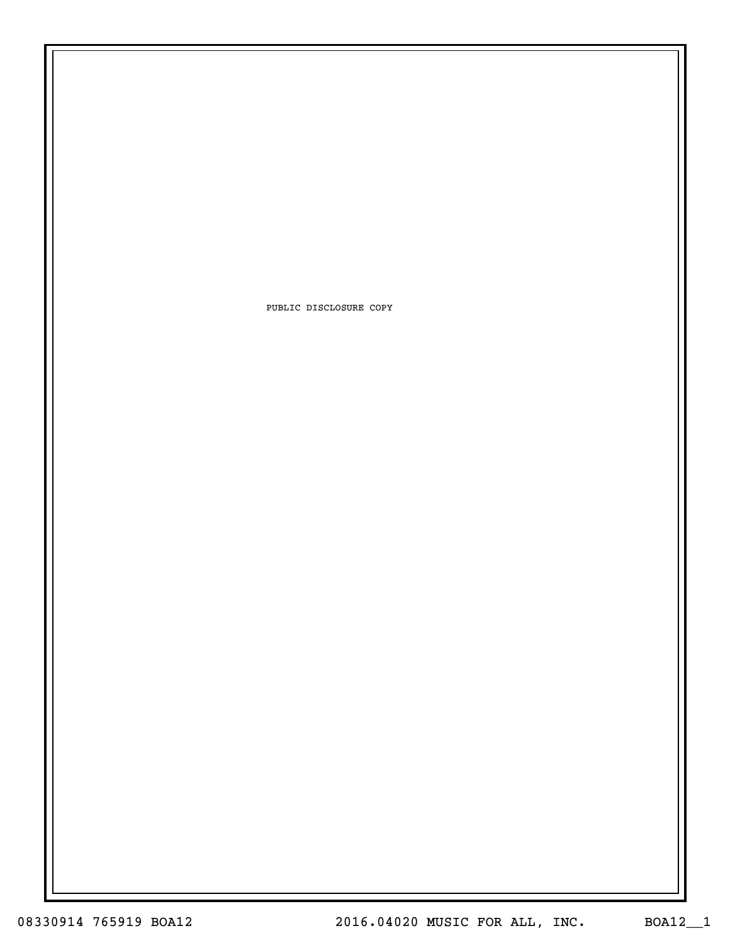PUBLIC DISCLOSURE COPY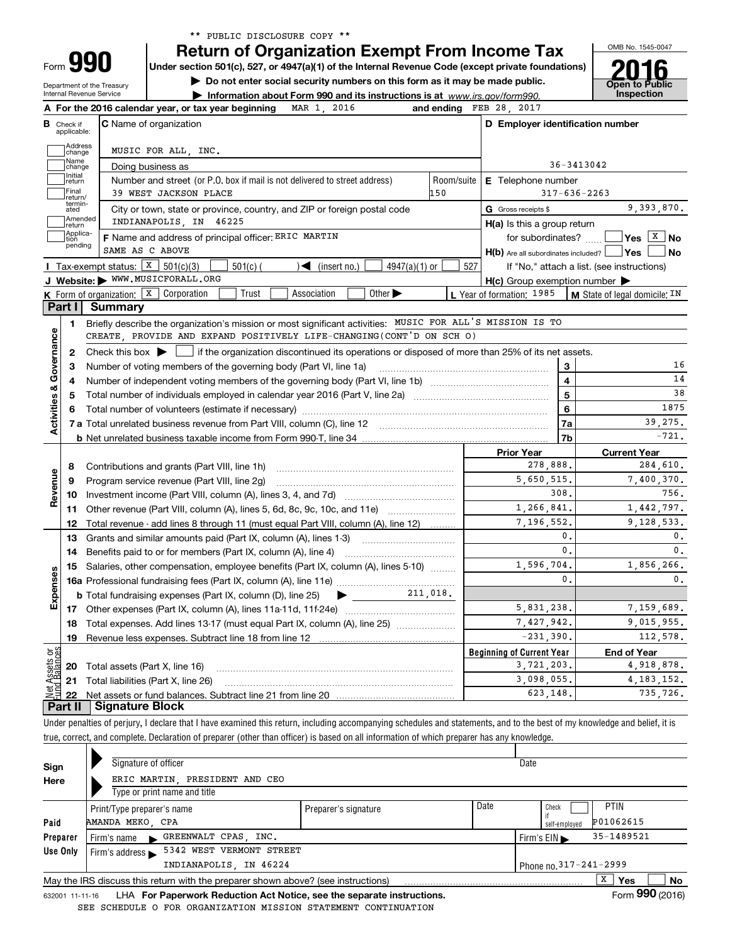| ** PUBLIC DISCLOSURE COPY ** |  |  |
|------------------------------|--|--|
|------------------------------|--|--|

OMB No. 1545-0047

**Open to Public** 

**2016**

| Form JJ |                            |
|---------|----------------------------|
|         | Department of the Treasury |

**990**

**Return of Organization Exempt From Income Tax**

**Under section 501(c), 527, or 4947(a)(1) of the Internal Revenue Code (except private foundations)**

**| Do not enter social security numbers on this form as it may be made public.**

Internal Revenue Service

|                               |                 | Information about Form 990 and its instructions is at www.irs.gov/form990. | <b>UNVIL IV LUM</b><br>Inspection |
|-------------------------------|-----------------|----------------------------------------------------------------------------|-----------------------------------|
| an an bair iraan laaninahan n | 2015<br>$MAD$ 1 | and ending FFP 38 3017                                                     |                                   |

| В                       | Check if<br>applicable: | <b>C</b> Name of organization                                                                                                                       |            | D Employer identification number                    |                                                                                |
|-------------------------|-------------------------|-----------------------------------------------------------------------------------------------------------------------------------------------------|------------|-----------------------------------------------------|--------------------------------------------------------------------------------|
|                         | Address<br>change       | MUSIC FOR ALL, INC.                                                                                                                                 |            |                                                     |                                                                                |
|                         | Name<br>change          | Doing business as                                                                                                                                   |            |                                                     | 36-3413042                                                                     |
|                         | Initial<br>return       | Number and street (or P.O. box if mail is not delivered to street address)                                                                          | Room/suite | <b>E</b> Telephone number                           |                                                                                |
|                         | Final<br>return/        | 39 WEST JACKSON PLACE                                                                                                                               | 150        |                                                     | $317 - 636 - 2263$                                                             |
|                         | termin-<br>ated         | City or town, state or province, country, and ZIP or foreign postal code                                                                            |            | G Gross receipts \$                                 | 9.393.870.                                                                     |
|                         | Amended<br>return       | INDIANAPOLIS, IN 46225                                                                                                                              |            | $H(a)$ is this a group return                       |                                                                                |
|                         | Applica-<br>tion        | F Name and address of principal officer: ERIC MARTIN                                                                                                |            | for subordinates?  [                                | $Yes \quad X \quad No$                                                         |
|                         | pending                 | SAME AS C ABOVE                                                                                                                                     |            | $H(b)$ Are all subordinates included? $\Box$ Yes    | <b>No</b>                                                                      |
|                         |                         | Tax-exempt status: $X \ 501(c)(3)$<br>$\sqrt{\frac{1}{1}}$ (insert no.)<br>$4947(a)(1)$ or<br>$501(c)$ (                                            | 527        |                                                     | If "No," attach a list. (see instructions)                                     |
|                         |                         | J Website: > WWW.MUSICFORALL.ORG                                                                                                                    |            | $H(c)$ Group exemption number $\blacktriangleright$ |                                                                                |
|                         |                         | Other $\blacktriangleright$<br><b>K</b> Form of organization: $\boxed{\textbf{x}}$ Corporation<br>Trust<br>Association                              |            | L Year of formation: 1985                           | M State of legal domicile: IN                                                  |
|                         | Part I                  | Summary                                                                                                                                             |            |                                                     |                                                                                |
|                         | 1.                      | Briefly describe the organization's mission or most significant activities: MUSIC FOR ALL'S MISSION IS TO                                           |            |                                                     |                                                                                |
|                         |                         | CREATE PROVIDE AND EXPAND POSITIVELY LIFE-CHANGING(CONT'D ON SCH O)                                                                                 |            |                                                     |                                                                                |
|                         | $\mathbf{2}$            | Check this box $\blacktriangleright$ $\blacksquare$ if the organization discontinued its operations or disposed of more than 25% of its net assets. |            |                                                     |                                                                                |
|                         | 3                       | Number of voting members of the governing body (Part VI, line 1a)                                                                                   |            | 3                                                   | 16                                                                             |
|                         | 4                       |                                                                                                                                                     |            | $\overline{\mathbf{4}}$                             | 14                                                                             |
|                         | 5                       |                                                                                                                                                     |            | 5                                                   | 38                                                                             |
|                         |                         |                                                                                                                                                     |            | 6                                                   | 1875                                                                           |
| Activities & Governance |                         |                                                                                                                                                     |            | 7a                                                  | 39,275.                                                                        |
|                         |                         |                                                                                                                                                     |            | 7b                                                  | $-721.$                                                                        |
|                         |                         |                                                                                                                                                     |            | <b>Prior Year</b>                                   | <b>Current Year</b>                                                            |
|                         | 8                       | Contributions and grants (Part VIII, line 1h)                                                                                                       |            | 278,888.                                            | 284,610.                                                                       |
|                         | 9                       | Program service revenue (Part VIII, line 2q)                                                                                                        |            | 5,650,515.                                          | 7,400,370.                                                                     |
| Revenue                 | 10                      |                                                                                                                                                     |            | 308.                                                | 756.                                                                           |
|                         | 11                      | Other revenue (Part VIII, column (A), lines 5, 6d, 8c, 9c, 10c, and 11e)                                                                            |            | 1,266,841.                                          | 1,442,797.                                                                     |
|                         | 12                      | Total revenue - add lines 8 through 11 (must equal Part VIII, column (A), line 12)                                                                  |            | 7,196,552.                                          | 9,128,533.                                                                     |
|                         | 13                      | Grants and similar amounts paid (Part IX, column (A), lines 1-3)                                                                                    |            | $\mathbf{0}$ .                                      | $\mathbf{0}$ .                                                                 |
|                         | 14                      | Benefits paid to or for members (Part IX, column (A), line 4)                                                                                       |            | $\mathbf{0}$ .                                      | 0.                                                                             |
|                         | 15                      | Salaries, other compensation, employee benefits (Part IX, column (A), lines 5-10)                                                                   |            | 1,596,704.                                          | 1,856,266.                                                                     |
|                         |                         |                                                                                                                                                     |            | $\mathbf{0}$ .                                      | 0.                                                                             |
|                         |                         |                                                                                                                                                     |            |                                                     |                                                                                |
|                         |                         | 211,018.<br><b>b</b> Total fundraising expenses (Part IX, column (D), line 25)<br>$\blacktriangleright$ and $\blacktriangleright$                   |            |                                                     |                                                                                |
| Expenses                |                         |                                                                                                                                                     |            | 5,831,238.                                          |                                                                                |
|                         | 18                      | Total expenses. Add lines 13-17 (must equal Part IX, column (A), line 25)                                                                           |            | 7,427,942.                                          |                                                                                |
|                         | 19                      |                                                                                                                                                     |            | $-231,390.$                                         |                                                                                |
|                         |                         |                                                                                                                                                     |            | <b>Beginning of Current Year</b>                    | <b>End of Year</b>                                                             |
| ăğ<br>sets              | 20                      | Total assets (Part X, line 16)                                                                                                                      |            | 3,721,203.                                          |                                                                                |
|                         | 21                      | Total liabilities (Part X, line 26)                                                                                                                 |            | 3,098,055.                                          | 7,159,689.<br>9,015,955.<br>112,578.<br>4,918,878.<br>4, 183, 152.<br>735.726. |

Under penalties of perjury, I declare that I have examined this return, including accompanying schedules and statements, and to the best of my knowledge and belief, it is true, correct, and complete. Declaration of preparer (other than officer) is based on all information of which preparer has any knowledge.

| Sign     | Signature of officer                 |                                                                                   |                                                                                                                                                                                                                                   |      | Date |                                  |                   |    |
|----------|--------------------------------------|-----------------------------------------------------------------------------------|-----------------------------------------------------------------------------------------------------------------------------------------------------------------------------------------------------------------------------------|------|------|----------------------------------|-------------------|----|
| Here     |                                      | ERIC MARTIN, PRESIDENT AND CEO                                                    |                                                                                                                                                                                                                                   |      |      |                                  |                   |    |
|          |                                      | Type or print name and title                                                      |                                                                                                                                                                                                                                   |      |      |                                  |                   |    |
|          | Print/Type preparer's name           |                                                                                   | Preparer's signature                                                                                                                                                                                                              | Date |      | Check                            | PTIN              |    |
| Paid     | AMANDA MEKO, CPA                     |                                                                                   |                                                                                                                                                                                                                                   |      |      | self-employed                    | P01062615         |    |
| Preparer |                                      | Firm's name GREENWALT CPAS, INC.                                                  |                                                                                                                                                                                                                                   |      |      | Firm's $EIN \blacktriangleright$ | 35-1489521        |    |
| Use Only | Firm's address $\blacktriangleright$ | 5342 WEST VERMONT STREET                                                          |                                                                                                                                                                                                                                   |      |      |                                  |                   |    |
|          |                                      | INDIANAPOLIS, IN 46224                                                            |                                                                                                                                                                                                                                   |      |      | Phone no. 317-241-2999           |                   |    |
|          |                                      | May the IRS discuss this return with the preparer shown above? (see instructions) |                                                                                                                                                                                                                                   |      |      |                                  | x<br><b>Yes</b>   | No |
|          |                                      |                                                                                   | $\mathbf{r}$ . The contract of the contract of the contract of the contract of the contract of the contract of the contract of the contract of the contract of the contract of the contract of the contract of the contract of th |      |      |                                  | $\sim$ 000 $\sim$ |    |

632001 11-11-16 **For Paperwork Reduction Act Notice, see the separate instructions.** LHA Form (2016) SEE SCHEDULE O FOR ORGANIZATION MISSION STATEMENT CONTINUATION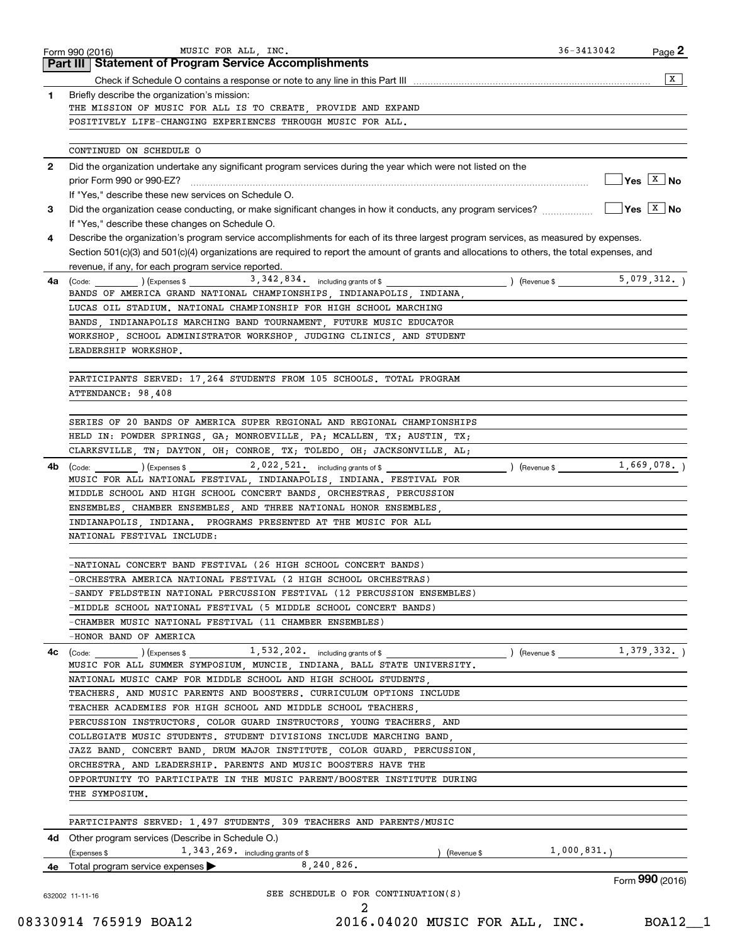|              | <b>Part III Statement of Program Service Accomplishments</b>                                                                                                                           |                                                      |
|--------------|----------------------------------------------------------------------------------------------------------------------------------------------------------------------------------------|------------------------------------------------------|
|              |                                                                                                                                                                                        | x                                                    |
| 1            | Briefly describe the organization's mission:                                                                                                                                           |                                                      |
|              | THE MISSION OF MUSIC FOR ALL IS TO CREATE, PROVIDE AND EXPAND                                                                                                                          |                                                      |
|              | POSITIVELY LIFE-CHANGING EXPERIENCES THROUGH MUSIC FOR ALL.                                                                                                                            |                                                      |
|              | CONTINUED ON SCHEDULE O                                                                                                                                                                |                                                      |
| $\mathbf{2}$ | Did the organization undertake any significant program services during the year which were not listed on the                                                                           |                                                      |
|              |                                                                                                                                                                                        | $\sqrt{}$ Yes $\sqrt{X}$ No                          |
|              | If "Yes," describe these new services on Schedule O.                                                                                                                                   |                                                      |
| 3            | Did the organization cease conducting, or make significant changes in how it conducts, any program services?<br>If "Yes," describe these changes on Schedule O.                        | $\overline{\mathsf{Yes}}$ $\overline{\mathsf{X}}$ No |
| 4            | Describe the organization's program service accomplishments for each of its three largest program services, as measured by expenses.                                                   |                                                      |
|              | Section 501(c)(3) and 501(c)(4) organizations are required to report the amount of grants and allocations to others, the total expenses, and                                           |                                                      |
|              | revenue, if any, for each program service reported.                                                                                                                                    |                                                      |
| 4a           | $\frac{1}{2}$ (Code: $\frac{1}{2}$ ) (Expenses \$ 3, 342, 834. including grants of \$<br>$\angle$ (Revenue \$                                                                          | 5,079,312.                                           |
|              | BANDS OF AMERICA GRAND NATIONAL CHAMPIONSHIPS, INDIANAPOLIS, INDIANA,                                                                                                                  |                                                      |
|              | LUCAS OIL STADIUM. NATIONAL CHAMPIONSHIP FOR HIGH SCHOOL MARCHING                                                                                                                      |                                                      |
|              | BANDS, INDIANAPOLIS MARCHING BAND TOURNAMENT, FUTURE MUSIC EDUCATOR                                                                                                                    |                                                      |
|              | WORKSHOP SCHOOL ADMINISTRATOR WORKSHOP JUDGING CLINICS AND STUDENT                                                                                                                     |                                                      |
|              | LEADERSHIP WORKSHOP.                                                                                                                                                                   |                                                      |
|              |                                                                                                                                                                                        |                                                      |
|              | PARTICIPANTS SERVED: 17 264 STUDENTS FROM 105 SCHOOLS. TOTAL PROGRAM                                                                                                                   |                                                      |
|              | ATTENDANCE: 98,408                                                                                                                                                                     |                                                      |
|              | SERIES OF 20 BANDS OF AMERICA SUPER REGIONAL AND REGIONAL CHAMPIONSHIPS                                                                                                                |                                                      |
|              | HELD IN: POWDER SPRINGS, GA; MONROEVILLE, PA; MCALLEN, TX; AUSTIN, TX;                                                                                                                 |                                                      |
|              | CLARKSVILLE, TN; DAYTON, OH; CONROE, TX; TOLEDO, OH; JACKSONVILLE, AL;                                                                                                                 |                                                      |
| 4b           | 2,022,521. including grants of \$<br>$\begin{pmatrix} \text{Code:} & \text{I} & \text{I} \end{pmatrix}$ $\begin{pmatrix} \text{Expenses $} \end{pmatrix}$                              | 1,669,078.<br>$\sqrt{2}$ (Revenue \$                 |
|              | MUSIC FOR ALL NATIONAL FESTIVAL, INDIANAPOLIS, INDIANA. FESTIVAL FOR                                                                                                                   |                                                      |
|              | MIDDLE SCHOOL AND HIGH SCHOOL CONCERT BANDS, ORCHESTRAS, PERCUSSION                                                                                                                    |                                                      |
|              | ENSEMBLES, CHAMBER ENSEMBLES, AND THREE NATIONAL HONOR ENSEMBLES,                                                                                                                      |                                                      |
|              | INDIANAPOLIS, INDIANA. PROGRAMS PRESENTED AT THE MUSIC FOR ALL                                                                                                                         |                                                      |
|              | NATIONAL FESTIVAL INCLUDE:                                                                                                                                                             |                                                      |
|              | -NATIONAL CONCERT BAND FESTIVAL (26 HIGH SCHOOL CONCERT BANDS)                                                                                                                         |                                                      |
|              | ORCHESTRA AMERICA NATIONAL FESTIVAL (2 HIGH SCHOOL ORCHESTRAS)                                                                                                                         |                                                      |
|              | -SANDY FELDSTEIN NATIONAL PERCUSSION FESTIVAL (12 PERCUSSION ENSEMBLES)                                                                                                                |                                                      |
|              | -MIDDLE SCHOOL NATIONAL FESTIVAL (5 MIDDLE SCHOOL CONCERT BANDS)                                                                                                                       |                                                      |
|              | -CHAMBER MUSIC NATIONAL FESTIVAL (11 CHAMBER ENSEMBLES)                                                                                                                                |                                                      |
|              | -HONOR BAND OF AMERICA                                                                                                                                                                 |                                                      |
| 4c           | $\left(\text{Code:}\begin{array}{c} \text{Code:} \end{array}\right)$ $\left(\text{Expenses $}\begin{array}{c} \text{Expenses $}\end{array}\right)$ $1,532,202.$ including grants of \$ | (Revenue \$ 1, 379, 332.)                            |
|              | MUSIC FOR ALL SUMMER SYMPOSIUM, MUNCIE, INDIANA, BALL STATE UNIVERSITY.                                                                                                                |                                                      |
|              | NATIONAL MUSIC CAMP FOR MIDDLE SCHOOL AND HIGH SCHOOL STUDENTS.                                                                                                                        |                                                      |
|              | TEACHERS, AND MUSIC PARENTS AND BOOSTERS. CURRICULUM OPTIONS INCLUDE                                                                                                                   |                                                      |
|              | TEACHER ACADEMIES FOR HIGH SCHOOL AND MIDDLE SCHOOL TEACHERS,                                                                                                                          |                                                      |
|              | PERCUSSION INSTRUCTORS, COLOR GUARD INSTRUCTORS, YOUNG TEACHERS, AND                                                                                                                   |                                                      |
|              | COLLEGIATE MUSIC STUDENTS. STUDENT DIVISIONS INCLUDE MARCHING BAND,                                                                                                                    |                                                      |
|              | JAZZ BAND, CONCERT BAND, DRUM MAJOR INSTITUTE, COLOR GUARD, PERCUSSION,                                                                                                                |                                                      |
|              | ORCHESTRA, AND LEADERSHIP. PARENTS AND MUSIC BOOSTERS HAVE THE                                                                                                                         |                                                      |
|              | OPPORTUNITY TO PARTICIPATE IN THE MUSIC PARENT/BOOSTER INSTITUTE DURING                                                                                                                |                                                      |
|              | THE SYMPOSIUM.                                                                                                                                                                         |                                                      |
|              | PARTICIPANTS SERVED: 1,497 STUDENTS, 309 TEACHERS AND PARENTS/MUSIC                                                                                                                    |                                                      |
|              | 4d Other program services (Describe in Schedule O.)                                                                                                                                    |                                                      |
|              | 1, 343, 269. including grants of \$<br>(Expenses \$<br>) (Revenue \$                                                                                                                   | $1,000,831.$ )                                       |
|              |                                                                                                                                                                                        |                                                      |
|              | 8,240,826.<br>4e Total program service expenses                                                                                                                                        |                                                      |
|              |                                                                                                                                                                                        | Form 990 (2016)                                      |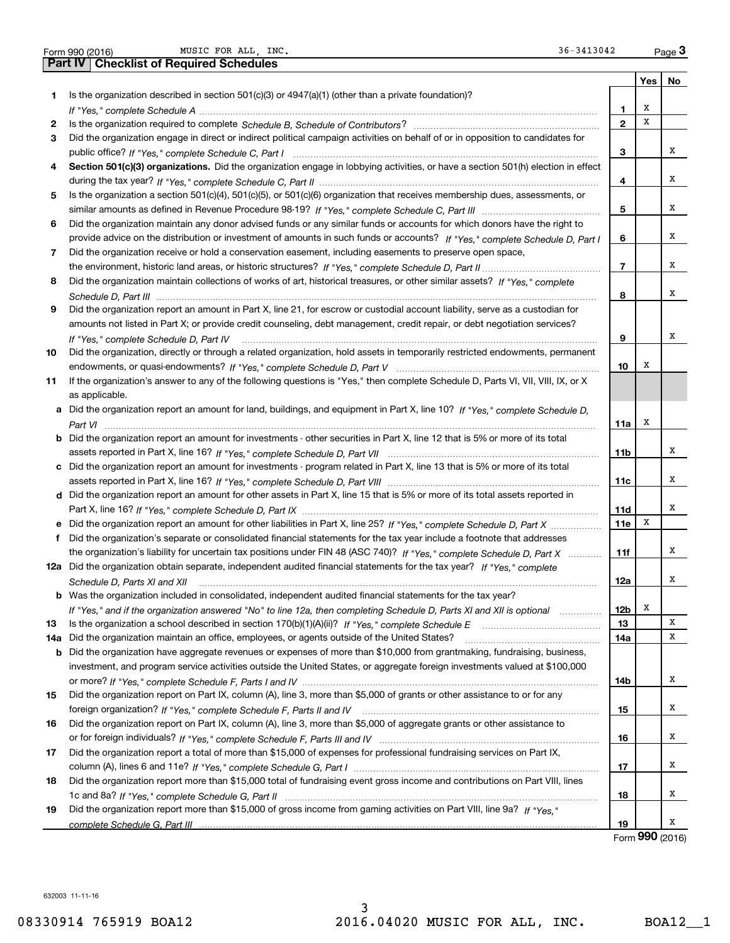| Form 990 (2016) |  |  |
|-----------------|--|--|

|     | MUSIC FOR ALL, INC.<br>36-3413042<br>Form 990 (2016)                                                                                 |                          |     | Page $3$ |
|-----|--------------------------------------------------------------------------------------------------------------------------------------|--------------------------|-----|----------|
|     | <b>Checklist of Required Schedules</b><br>Part IV                                                                                    |                          |     |          |
|     |                                                                                                                                      |                          | Yes | No       |
| 1.  | Is the organization described in section $501(c)(3)$ or $4947(a)(1)$ (other than a private foundation)?                              |                          |     |          |
|     |                                                                                                                                      | 1                        | х   |          |
| 2   |                                                                                                                                      | $\mathbf{2}$             | X   |          |
| 3   | Did the organization engage in direct or indirect political campaign activities on behalf of or in opposition to candidates for      |                          |     |          |
|     |                                                                                                                                      | 3                        |     | х        |
| 4   | Section 501(c)(3) organizations. Did the organization engage in lobbying activities, or have a section 501(h) election in effect     |                          |     |          |
|     |                                                                                                                                      | 4                        |     | х        |
| 5   | Is the organization a section 501(c)(4), 501(c)(5), or 501(c)(6) organization that receives membership dues, assessments, or         |                          |     |          |
|     |                                                                                                                                      | 5                        |     | х        |
| 6   | Did the organization maintain any donor advised funds or any similar funds or accounts for which donors have the right to            |                          |     |          |
|     | provide advice on the distribution or investment of amounts in such funds or accounts? If "Yes," complete Schedule D, Part I         | 6                        |     | х        |
| 7   | Did the organization receive or hold a conservation easement, including easements to preserve open space,                            |                          |     |          |
|     |                                                                                                                                      | $\overline{\phantom{a}}$ |     | х        |
| 8   | Did the organization maintain collections of works of art, historical treasures, or other similar assets? If "Yes," complete         |                          |     |          |
|     |                                                                                                                                      | 8                        |     | х        |
| 9   | Did the organization report an amount in Part X, line 21, for escrow or custodial account liability, serve as a custodian for        |                          |     |          |
|     | amounts not listed in Part X; or provide credit counseling, debt management, credit repair, or debt negotiation services?            |                          |     |          |
|     | If "Yes." complete Schedule D, Part IV                                                                                               | 9                        |     | х        |
| 10  | Did the organization, directly or through a related organization, hold assets in temporarily restricted endowments, permanent        |                          |     |          |
|     |                                                                                                                                      | 10                       | х   |          |
| 11  | If the organization's answer to any of the following questions is "Yes," then complete Schedule D, Parts VI, VII, VIII, IX, or X     |                          |     |          |
|     | as applicable.                                                                                                                       |                          |     |          |
|     | a Did the organization report an amount for land, buildings, and equipment in Part X, line 10? If "Yes," complete Schedule D,        |                          |     |          |
|     |                                                                                                                                      | 11a                      | х   |          |
|     | <b>b</b> Did the organization report an amount for investments - other securities in Part X, line 12 that is 5% or more of its total |                          |     |          |
|     |                                                                                                                                      | 11b                      |     | х        |
|     |                                                                                                                                      |                          |     |          |
|     | c Did the organization report an amount for investments - program related in Part X, line 13 that is 5% or more of its total         |                          |     | х        |
|     |                                                                                                                                      | 11c                      |     |          |
|     | d Did the organization report an amount for other assets in Part X, line 15 that is 5% or more of its total assets reported in       |                          |     | х        |
|     |                                                                                                                                      | 11d                      | х   |          |
|     | e Did the organization report an amount for other liabilities in Part X, line 25? If "Yes," complete Schedule D, Part X              | <b>11e</b>               |     |          |
| f   | Did the organization's separate or consolidated financial statements for the tax year include a footnote that addresses              |                          |     | х        |
|     | the organization's liability for uncertain tax positions under FIN 48 (ASC 740)? If "Yes," complete Schedule D, Part X               | 11f                      |     |          |
|     | 12a Did the organization obtain separate, independent audited financial statements for the tax year? If "Yes," complete              |                          |     | х        |
|     |                                                                                                                                      | 12a                      |     |          |
|     | <b>b</b> Was the organization included in consolidated, independent audited financial statements for the tax year?                   |                          |     |          |
|     | If "Yes," and if the organization answered "No" to line 12a, then completing Schedule D, Parts XI and XII is optional manum          | 12 <sub>b</sub>          | х   |          |
| 13  |                                                                                                                                      | 13                       |     | Χ        |
| 14a | Did the organization maintain an office, employees, or agents outside of the United States?                                          | 14a                      |     | х        |
|     | <b>b</b> Did the organization have aggregate revenues or expenses of more than \$10,000 from grantmaking, fundraising, business,     |                          |     |          |
|     | investment, and program service activities outside the United States, or aggregate foreign investments valued at \$100,000           |                          |     |          |
|     |                                                                                                                                      | 14b                      |     | х        |
| 15  | Did the organization report on Part IX, column (A), line 3, more than \$5,000 of grants or other assistance to or for any            |                          |     |          |
|     |                                                                                                                                      | 15                       |     | х        |
| 16  | Did the organization report on Part IX, column (A), line 3, more than \$5,000 of aggregate grants or other assistance to             |                          |     |          |
|     |                                                                                                                                      | 16                       |     | х        |
| 17  | Did the organization report a total of more than \$15,000 of expenses for professional fundraising services on Part IX,              |                          |     |          |
|     |                                                                                                                                      | 17                       |     | Χ        |
| 18  | Did the organization report more than \$15,000 total of fundraising event gross income and contributions on Part VIII, lines         |                          |     |          |
|     |                                                                                                                                      | 18                       |     | х        |
| 19  | Did the organization report more than \$15,000 of gross income from gaming activities on Part VIII, line 9a? If "Yes."               |                          |     |          |
|     |                                                                                                                                      | 19                       |     | х        |

Form (2016) **990**

632003 11-11-16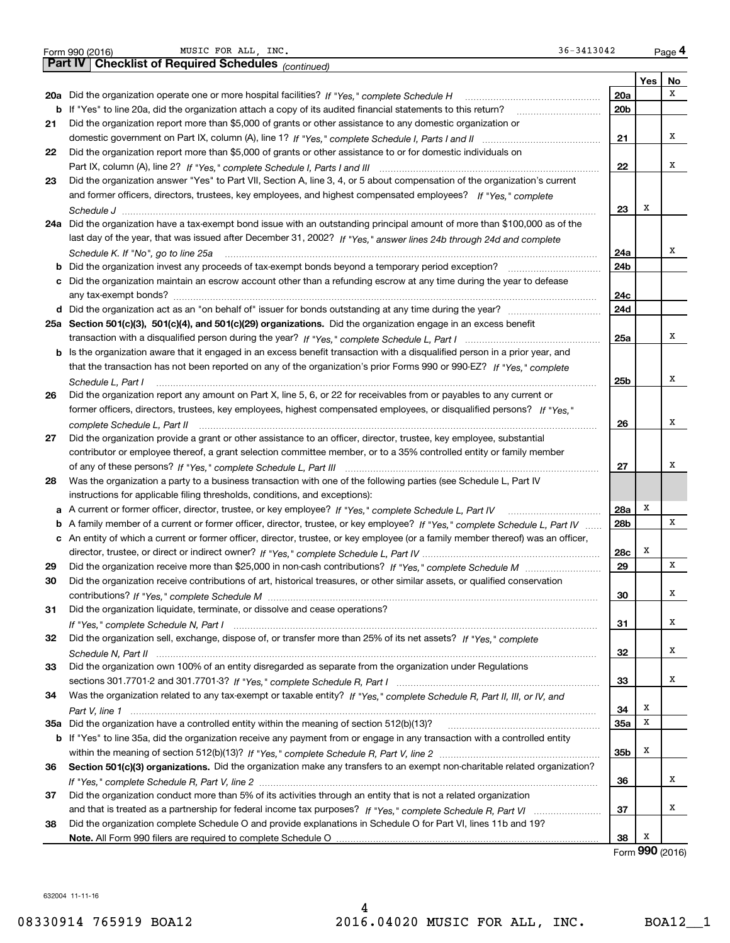|    | 36-3413042<br>MUSIC FOR ALL, INC.<br>Form 990 (2016)                                                                              |                 |     | Page 4          |
|----|-----------------------------------------------------------------------------------------------------------------------------------|-----------------|-----|-----------------|
|    | Part IV   Checklist of Required Schedules (continued)                                                                             |                 |     |                 |
|    |                                                                                                                                   |                 | Yes | No              |
|    |                                                                                                                                   | 20a             |     | х               |
|    | b If "Yes" to line 20a, did the organization attach a copy of its audited financial statements to this return?                    | 20 <sub>b</sub> |     |                 |
| 21 | Did the organization report more than \$5,000 of grants or other assistance to any domestic organization or                       |                 |     |                 |
|    |                                                                                                                                   | 21              |     | x               |
| 22 | Did the organization report more than \$5,000 of grants or other assistance to or for domestic individuals on                     |                 |     |                 |
|    |                                                                                                                                   | 22              |     | х               |
| 23 | Did the organization answer "Yes" to Part VII, Section A, line 3, 4, or 5 about compensation of the organization's current        |                 |     |                 |
|    | and former officers, directors, trustees, key employees, and highest compensated employees? If "Yes," complete                    |                 |     |                 |
|    |                                                                                                                                   | 23              | Х   |                 |
|    | 24a Did the organization have a tax-exempt bond issue with an outstanding principal amount of more than \$100,000 as of the       |                 |     |                 |
|    | last day of the year, that was issued after December 31, 2002? If "Yes," answer lines 24b through 24d and complete                |                 |     |                 |
|    | Schedule K. If "No", go to line 25a                                                                                               | 24a             |     | Χ               |
|    | <b>b</b> Did the organization invest any proceeds of tax-exempt bonds beyond a temporary period exception?                        | 24b             |     |                 |
| с  | Did the organization maintain an escrow account other than a refunding escrow at any time during the year to defease              |                 |     |                 |
|    |                                                                                                                                   | 24c             |     |                 |
|    | d Did the organization act as an "on behalf of" issuer for bonds outstanding at any time during the year?                         | 24d             |     |                 |
|    | 25a Section 501(c)(3), 501(c)(4), and 501(c)(29) organizations. Did the organization engage in an excess benefit                  |                 |     |                 |
|    |                                                                                                                                   | 25a             |     | х               |
|    | b Is the organization aware that it engaged in an excess benefit transaction with a disqualified person in a prior year, and      |                 |     |                 |
|    | that the transaction has not been reported on any of the organization's prior Forms 990 or 990-EZ? If "Yes," complete             |                 |     |                 |
|    | Schedule L, Part I                                                                                                                | 25b             |     | Х               |
| 26 | Did the organization report any amount on Part X, line 5, 6, or 22 for receivables from or payables to any current or             |                 |     |                 |
|    | former officers, directors, trustees, key employees, highest compensated employees, or disqualified persons? If "Yes."            |                 |     |                 |
|    | complete Schedule L, Part II                                                                                                      | 26              |     | Х               |
| 27 | Did the organization provide a grant or other assistance to an officer, director, trustee, key employee, substantial              |                 |     |                 |
|    | contributor or employee thereof, a grant selection committee member, or to a 35% controlled entity or family member               |                 |     |                 |
|    |                                                                                                                                   | 27              |     | х               |
| 28 | Was the organization a party to a business transaction with one of the following parties (see Schedule L, Part IV                 |                 |     |                 |
|    | instructions for applicable filing thresholds, conditions, and exceptions):                                                       |                 |     |                 |
|    | a A current or former officer, director, trustee, or key employee? If "Yes," complete Schedule L, Part IV                         | 28a             | х   |                 |
|    | b A family member of a current or former officer, director, trustee, or key employee? If "Yes," complete Schedule L, Part IV      | 28 <sub>b</sub> |     | X               |
|    | c An entity of which a current or former officer, director, trustee, or key employee (or a family member thereof) was an officer, |                 |     |                 |
|    |                                                                                                                                   | 28c             | Х   |                 |
| 29 |                                                                                                                                   | 29              |     | X               |
| 30 | Did the organization receive contributions of art, historical treasures, or other similar assets, or qualified conservation       |                 |     |                 |
|    |                                                                                                                                   | 30              |     | х               |
| 31 | Did the organization liquidate, terminate, or dissolve and cease operations?                                                      |                 |     |                 |
|    |                                                                                                                                   | 31              |     | х               |
| 32 | Did the organization sell, exchange, dispose of, or transfer more than 25% of its net assets? If "Yes," complete                  |                 |     |                 |
|    |                                                                                                                                   | 32              |     | х               |
| 33 | Did the organization own 100% of an entity disregarded as separate from the organization under Regulations                        |                 |     |                 |
|    |                                                                                                                                   | 33              |     | х               |
| 34 | Was the organization related to any tax-exempt or taxable entity? If "Yes," complete Schedule R, Part II, III, or IV, and         |                 |     |                 |
|    |                                                                                                                                   | 34              | Х   |                 |
|    |                                                                                                                                   | 35a             | х   |                 |
|    | b If "Yes" to line 35a, did the organization receive any payment from or engage in any transaction with a controlled entity       |                 |     |                 |
|    |                                                                                                                                   | 35b             | х   |                 |
| 36 | Section 501(c)(3) organizations. Did the organization make any transfers to an exempt non-charitable related organization?        |                 |     |                 |
|    |                                                                                                                                   | 36              |     | х               |
| 37 | Did the organization conduct more than 5% of its activities through an entity that is not a related organization                  |                 |     |                 |
|    |                                                                                                                                   | 37              |     | х               |
| 38 | Did the organization complete Schedule O and provide explanations in Schedule O for Part VI, lines 11b and 19?                    |                 |     |                 |
|    |                                                                                                                                   | 38              | х   |                 |
|    |                                                                                                                                   |                 |     | Form 990 (2016) |

632004 11-11-16

4 08330914 765919 BOA12 2016.04020 MUSIC FOR ALL, INC. BOA12\_1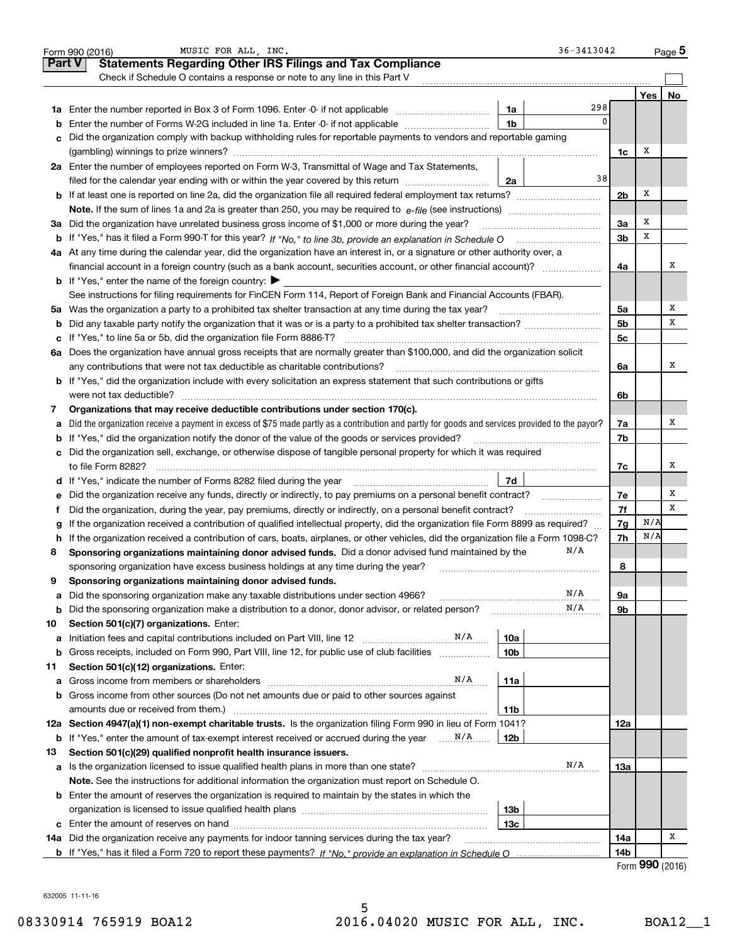|               | $36 - 3413042$<br>MUSIC FOR ALL, INC.<br>Form 990 (2016)                                                                                                                                 |                 |     | $_{\text{Page}}$ 5       |
|---------------|------------------------------------------------------------------------------------------------------------------------------------------------------------------------------------------|-----------------|-----|--------------------------|
| <b>Part V</b> | <b>Statements Regarding Other IRS Filings and Tax Compliance</b>                                                                                                                         |                 |     |                          |
|               | Check if Schedule O contains a response or note to any line in this Part V                                                                                                               |                 |     |                          |
|               |                                                                                                                                                                                          |                 | Yes | No                       |
| 1a            | 298<br>Enter the number reported in Box 3 of Form 1096. Enter -0- if not applicable <i>manumeraness</i><br>1a                                                                            |                 |     |                          |
| b             | 1 <sub>b</sub><br>Enter the number of Forms W-2G included in line 1a. Enter -0- if not applicable                                                                                        | 0               |     |                          |
| c             | Did the organization comply with backup withholding rules for reportable payments to vendors and reportable gaming                                                                       |                 |     |                          |
|               |                                                                                                                                                                                          | 1c              | Х   |                          |
|               | 2a Enter the number of employees reported on Form W-3, Transmittal of Wage and Tax Statements,                                                                                           |                 |     |                          |
|               | 38<br>filed for the calendar year ending with or within the year covered by this return<br>2a                                                                                            |                 |     |                          |
|               |                                                                                                                                                                                          | 2 <sub>b</sub>  | Х   |                          |
|               |                                                                                                                                                                                          |                 |     |                          |
|               | 3a Did the organization have unrelated business gross income of \$1,000 or more during the year?                                                                                         | 3a              | Х   |                          |
| b             |                                                                                                                                                                                          | 3 <sub>b</sub>  | х   |                          |
|               | 4a At any time during the calendar year, did the organization have an interest in, or a signature or other authority over, a                                                             |                 |     |                          |
|               |                                                                                                                                                                                          | 4a              |     | х                        |
|               | <b>b</b> If "Yes," enter the name of the foreign country: $\blacktriangleright$                                                                                                          |                 |     |                          |
|               | See instructions for filing requirements for FinCEN Form 114, Report of Foreign Bank and Financial Accounts (FBAR).                                                                      |                 |     |                          |
| 5a            | Was the organization a party to a prohibited tax shelter transaction at any time during the tax year?                                                                                    | 5a              |     | х                        |
| b             |                                                                                                                                                                                          | 5b              |     | x                        |
| с             |                                                                                                                                                                                          | 5с              |     |                          |
| 6a            | Does the organization have annual gross receipts that are normally greater than \$100,000, and did the organization solicit                                                              |                 |     |                          |
|               | any contributions that were not tax deductible as charitable contributions?                                                                                                              | 6a              |     | x                        |
| b             | If "Yes," did the organization include with every solicitation an express statement that such contributions or gifts                                                                     |                 |     |                          |
|               | were not tax deductible?                                                                                                                                                                 | 6b              |     |                          |
| 7             | Organizations that may receive deductible contributions under section 170(c).                                                                                                            |                 |     |                          |
| а             | Did the organization receive a payment in excess of \$75 made partly as a contribution and partly for goods and services provided to the payor?                                          | 7a              |     | х                        |
| b             | If "Yes," did the organization notify the donor of the value of the goods or services provided?                                                                                          | 7b              |     |                          |
| c             | Did the organization sell, exchange, or otherwise dispose of tangible personal property for which it was required                                                                        |                 |     |                          |
|               | to file Form 8282?                                                                                                                                                                       | 7с              |     | х                        |
|               | 7d<br>d If "Yes," indicate the number of Forms 8282 filed during the year manufactured in the second of the number of Forms 8282 filed during the year manufactured in the substitution. |                 |     |                          |
| е             | Did the organization receive any funds, directly or indirectly, to pay premiums on a personal benefit contract?                                                                          | 7e              |     | Х                        |
|               | Did the organization, during the year, pay premiums, directly or indirectly, on a personal benefit contract?                                                                             | 7f              |     | x                        |
|               | If the organization received a contribution of qualified intellectual property, did the organization file Form 8899 as required?                                                         | 7g              | N/A |                          |
| h             | If the organization received a contribution of cars, boats, airplanes, or other vehicles, did the organization file a Form 1098-C?                                                       | 7h              | N/A |                          |
| 8             | N/A<br>Sponsoring organizations maintaining donor advised funds. Did a donor advised fund maintained by the                                                                              |                 |     |                          |
|               | sponsoring organization have excess business holdings at any time during the year?                                                                                                       | 8               |     |                          |
| 9             | Sponsoring organizations maintaining donor advised funds.                                                                                                                                |                 |     |                          |
| а             | N/A<br>Did the sponsoring organization make any taxable distributions under section 4966?                                                                                                | 9а              |     |                          |
| b             | N/A<br>Did the sponsoring organization make a distribution to a donor, donor advisor, or related person?                                                                                 | 9b              |     |                          |
| 10            | Section 501(c)(7) organizations. Enter:                                                                                                                                                  |                 |     |                          |
| а             | N/A<br>10a<br>Initiation fees and capital contributions included on Part VIII, line 12                                                                                                   |                 |     |                          |
| b             | 10 <sub>b</sub><br>Gross receipts, included on Form 990, Part VIII, line 12, for public use of club facilities                                                                           |                 |     |                          |
| 11            | Section 501(c)(12) organizations. Enter:                                                                                                                                                 |                 |     |                          |
| а             | N/A<br>Gross income from members or shareholders<br>11a                                                                                                                                  |                 |     |                          |
| b             | Gross income from other sources (Do not net amounts due or paid to other sources against                                                                                                 |                 |     |                          |
|               | 11b<br>amounts due or received from them.)                                                                                                                                               |                 |     |                          |
|               | 12a Section 4947(a)(1) non-exempt charitable trusts. Is the organization filing Form 990 in lieu of Form 1041?                                                                           | 12a             |     |                          |
| b             | 12 <sub>b</sub>                                                                                                                                                                          |                 |     |                          |
| 13            | Section 501(c)(29) qualified nonprofit health insurance issuers.                                                                                                                         |                 |     |                          |
| а             | N/A<br>Is the organization licensed to issue qualified health plans in more than one state?                                                                                              | 13а             |     |                          |
|               | Note. See the instructions for additional information the organization must report on Schedule O.                                                                                        |                 |     |                          |
|               | <b>b</b> Enter the amount of reserves the organization is required to maintain by the states in which the                                                                                |                 |     |                          |
|               | 13 <sub>b</sub>                                                                                                                                                                          |                 |     |                          |
| c             | 13с                                                                                                                                                                                      |                 |     |                          |
|               | 14a Did the organization receive any payments for indoor tanning services during the tax year?                                                                                           | 14a             |     | x                        |
|               |                                                                                                                                                                                          | 14 <sub>b</sub> |     | $\mathbf{QQ} \mathbf{Q}$ |
|               |                                                                                                                                                                                          | $F = \ldots$    |     |                          |

632005 11-11-16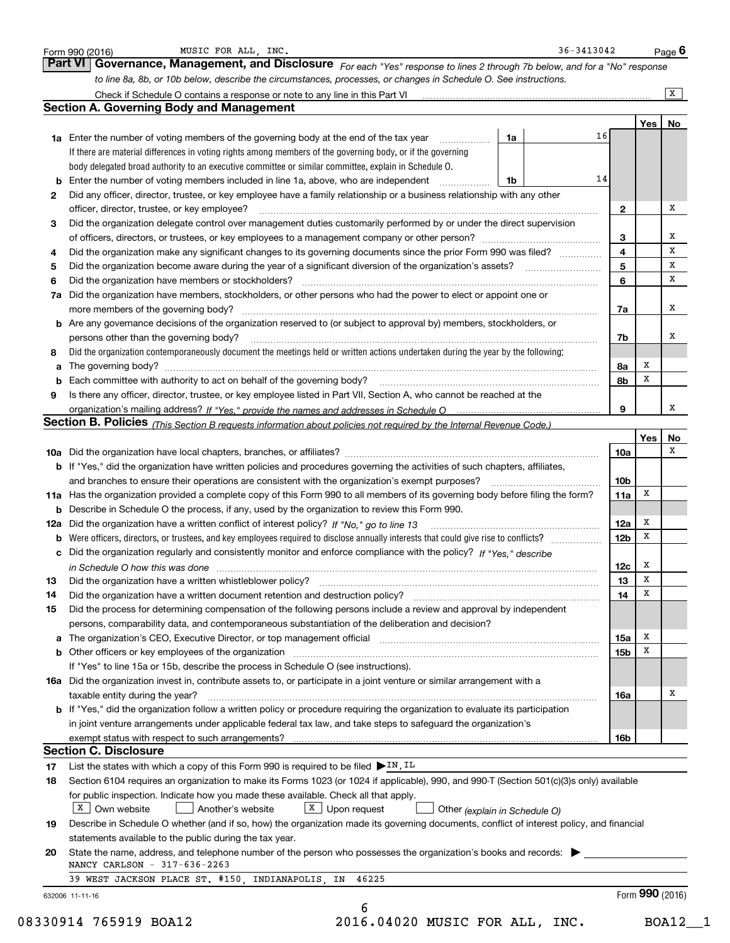|    |                                                                                                                                                                                                                                |                 |     | X      |
|----|--------------------------------------------------------------------------------------------------------------------------------------------------------------------------------------------------------------------------------|-----------------|-----|--------|
|    | <b>Section A. Governing Body and Management</b>                                                                                                                                                                                |                 |     |        |
|    |                                                                                                                                                                                                                                |                 | Yes | No     |
|    | 16<br>1a<br>1a Enter the number of voting members of the governing body at the end of the tax year <i>manumum</i>                                                                                                              |                 |     |        |
|    | If there are material differences in voting rights among members of the governing body, or if the governing                                                                                                                    |                 |     |        |
|    | body delegated broad authority to an executive committee or similar committee, explain in Schedule O.                                                                                                                          |                 |     |        |
|    | 14<br><b>b</b> Enter the number of voting members included in line 1a, above, who are independent <i>manument</i><br>1b                                                                                                        |                 |     |        |
| 2  | Did any officer, director, trustee, or key employee have a family relationship or a business relationship with any other                                                                                                       |                 |     |        |
|    | officer, director, trustee, or key employee?                                                                                                                                                                                   | 2               |     | x      |
| з  | Did the organization delegate control over management duties customarily performed by or under the direct supervision                                                                                                          |                 |     |        |
|    |                                                                                                                                                                                                                                | 3               |     | х<br>X |
| 4  | Did the organization make any significant changes to its governing documents since the prior Form 990 was filed?                                                                                                               | 4               |     | x      |
| 5  |                                                                                                                                                                                                                                | 5               |     | x      |
| 6  | Did the organization have members or stockholders?                                                                                                                                                                             | 6               |     |        |
| 7a | Did the organization have members, stockholders, or other persons who had the power to elect or appoint one or                                                                                                                 |                 |     | x      |
|    |                                                                                                                                                                                                                                | 7a              |     |        |
|    | <b>b</b> Are any governance decisions of the organization reserved to (or subject to approval by) members, stockholders, or<br>persons other than the governing body?                                                          |                 |     | х      |
|    | Did the organization contemporaneously document the meetings held or written actions undertaken during the year by the following:                                                                                              | 7b              |     |        |
| 8  |                                                                                                                                                                                                                                |                 | х   |        |
|    | The governing body? [11] matter is a construction of the state of the state of the state of the state of the state of the state of the state of the state of the state of the state of the state of the state of the state of  | 8a<br>8b        | x   |        |
| 9  | Is there any officer, director, trustee, or key employee listed in Part VII, Section A, who cannot be reached at the                                                                                                           |                 |     |        |
|    |                                                                                                                                                                                                                                | 9               |     | х      |
|    | Section B. Policies (This Section B requests information about policies not required by the Internal Revenue Code.)                                                                                                            |                 |     |        |
|    |                                                                                                                                                                                                                                |                 | Yes | No     |
|    |                                                                                                                                                                                                                                | 10a             |     | х      |
|    | b If "Yes," did the organization have written policies and procedures governing the activities of such chapters, affiliates,                                                                                                   |                 |     |        |
|    | and branches to ensure their operations are consistent with the organization's exempt purposes?                                                                                                                                | 10 <sub>b</sub> |     |        |
|    | 11a Has the organization provided a complete copy of this Form 990 to all members of its governing body before filing the form?                                                                                                | 11a             | X   |        |
|    | <b>b</b> Describe in Schedule O the process, if any, used by the organization to review this Form 990.                                                                                                                         |                 |     |        |
|    |                                                                                                                                                                                                                                | 12a             | x   |        |
|    |                                                                                                                                                                                                                                | 12 <sub>b</sub> | x   |        |
|    | c Did the organization regularly and consistently monitor and enforce compliance with the policy? If "Yes," describe                                                                                                           |                 |     |        |
|    | in Schedule O how this was done manufactured and contain an according of the state of the state of the state o                                                                                                                 | 12c             | x   |        |
| 13 | Did the organization have a written whistleblower policy?                                                                                                                                                                      | 13              | х   |        |
| 14 | Did the organization have a written document retention and destruction policy? [11] manufaction policy? [11] manufaction policy? [11] manufaction policy? [11] manufaction policy? [11] manufaction policy? [11] manufaction p | 14              | х   |        |
| 15 | Did the process for determining compensation of the following persons include a review and approval by independent                                                                                                             |                 |     |        |
|    | persons, comparability data, and contemporaneous substantiation of the deliberation and decision?                                                                                                                              |                 |     |        |
|    |                                                                                                                                                                                                                                | 15a             | х   |        |
|    | b Other officers or key employees of the organization manufactured content to the organization manufactured by Other officers or key employees of the organization manufactured content of the organization manufactured by Ot | 15b             | х   |        |
|    | If "Yes" to line 15a or 15b, describe the process in Schedule O (see instructions).                                                                                                                                            |                 |     |        |
|    | 16a Did the organization invest in, contribute assets to, or participate in a joint venture or similar arrangement with a                                                                                                      |                 |     |        |
|    | taxable entity during the year?                                                                                                                                                                                                | 16a             |     | х      |
|    | <b>b</b> If "Yes," did the organization follow a written policy or procedure requiring the organization to evaluate its participation                                                                                          |                 |     |        |
|    | in joint venture arrangements under applicable federal tax law, and take steps to safeguard the organization's                                                                                                                 |                 |     |        |
|    |                                                                                                                                                                                                                                | 16b             |     |        |
|    |                                                                                                                                                                                                                                |                 |     |        |
|    | <b>Section C. Disclosure</b>                                                                                                                                                                                                   |                 |     |        |
| 17 | List the states with which a copy of this Form 990 is required to be filed $\triangleright$ IN, IL                                                                                                                             |                 |     |        |
| 18 | Section 6104 requires an organization to make its Forms 1023 (or 1024 if applicable), 990, and 990-T (Section 501(c)(3)s only) available                                                                                       |                 |     |        |
|    | for public inspection. Indicate how you made these available. Check all that apply.                                                                                                                                            |                 |     |        |
|    | $X$ Own website<br>$X$ Upon request<br>Another's website<br>Other (explain in Schedule O)                                                                                                                                      |                 |     |        |
| 19 | Describe in Schedule O whether (and if so, how) the organization made its governing documents, conflict of interest policy, and financial                                                                                      |                 |     |        |
|    | statements available to the public during the tax year.                                                                                                                                                                        |                 |     |        |
| 20 | State the name, address, and telephone number of the person who possesses the organization's books and records:                                                                                                                |                 |     |        |
|    | NANCY CARLSON - 317-636-2263<br>39 WEST JACKSON PLACE ST. #150, INDIANAPOLIS, IN 46225                                                                                                                                         |                 |     |        |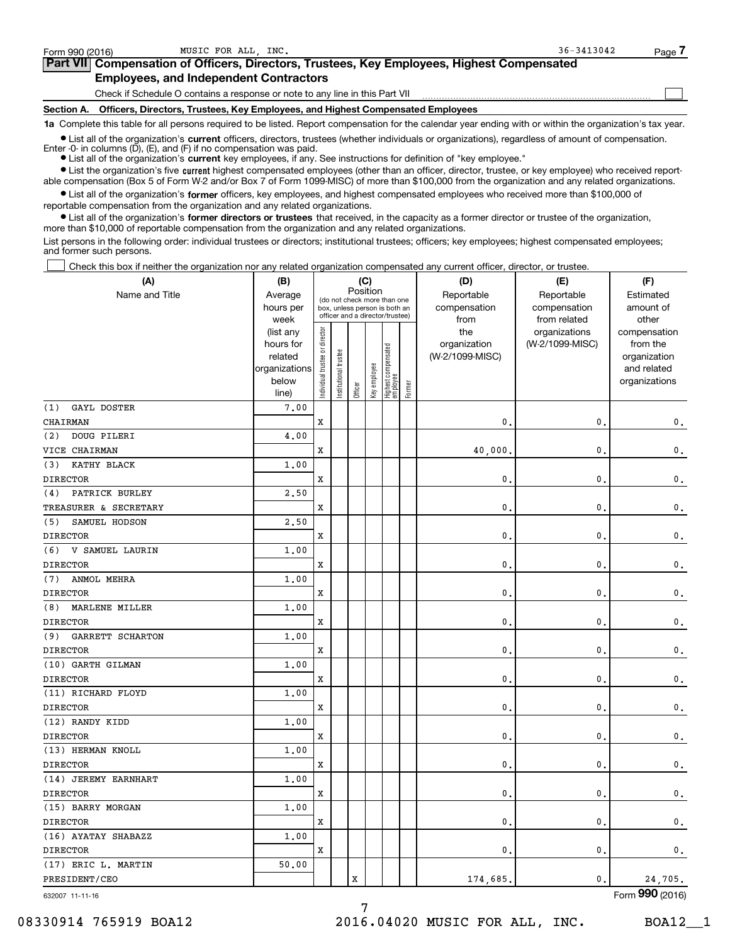$\mathcal{L}^{\text{max}}$ 

| orm 990 (2016) <sup>.</sup> | MUSIC FOR ALL INC.                                                                         | $36 - 3413042$ | Page 4 |
|-----------------------------|--------------------------------------------------------------------------------------------|----------------|--------|
|                             | Part VII Compensation of Officers, Directors, Trustees, Key Employees, Highest Compensated |                |        |
|                             | <b>Employees, and Independent Contractors</b>                                              |                |        |

Check if Schedule O contains a response or note to any line in this Part VII

**Section A. Officers, Directors, Trustees, Key Employees, and Highest Compensated Employees**

**1a**  Complete this table for all persons required to be listed. Report compensation for the calendar year ending with or within the organization's tax year.

**•** List all of the organization's current officers, directors, trustees (whether individuals or organizations), regardless of amount of compensation.

● List all of the organization's **current** key employees, if any. See instructions for definition of "key employee." Enter -0- in columns  $(D)$ ,  $(E)$ , and  $(F)$  if no compensation was paid.

**•** List the organization's five current highest compensated employees (other than an officer, director, trustee, or key employee) who received report-

 $\bullet$  List all of the organization's **former** officers, key employees, and highest compensated employees who received more than \$100,000 of able compensation (Box 5 of Form W-2 and/or Box 7 of Form 1099-MISC) of more than \$100,000 from the organization and any related organizations.

reportable compensation from the organization and any related organizations.

**•** List all of the organization's former directors or trustees that received, in the capacity as a former director or trustee of the organization, more than \$10,000 of reportable compensation from the organization and any related organizations.

List persons in the following order: individual trustees or directors; institutional trustees; officers; key employees; highest compensated employees; and former such persons.

Check this box if neither the organization nor any related organization compensated any current officer, director, or trustee.  $\mathcal{L}^{\text{max}}$ 

| Position<br>Name and Title<br>Reportable<br>Average<br>Reportable<br>Estimated<br>(do not check more than one<br>hours per<br>compensation<br>compensation<br>amount of<br>box, unless person is both an<br>officer and a director/trustee)<br>week<br>from related<br>other<br>from<br>ndividual trustee or director<br>the<br>organizations<br>(list any<br>compensation<br>organization<br>hours for<br>(W-2/1099-MISC)<br>from the<br>Highest compensated<br> employee<br>Institutional trustee<br>related<br>(W-2/1099-MISC)<br>organization<br>Key employee<br>organizations<br>and related<br>below<br>organizations<br>Former<br>Officer<br>line) | $\mathbf{0}$ .<br>$\mathbf 0$ . |
|-----------------------------------------------------------------------------------------------------------------------------------------------------------------------------------------------------------------------------------------------------------------------------------------------------------------------------------------------------------------------------------------------------------------------------------------------------------------------------------------------------------------------------------------------------------------------------------------------------------------------------------------------------------|---------------------------------|
|                                                                                                                                                                                                                                                                                                                                                                                                                                                                                                                                                                                                                                                           |                                 |
|                                                                                                                                                                                                                                                                                                                                                                                                                                                                                                                                                                                                                                                           |                                 |
|                                                                                                                                                                                                                                                                                                                                                                                                                                                                                                                                                                                                                                                           |                                 |
|                                                                                                                                                                                                                                                                                                                                                                                                                                                                                                                                                                                                                                                           |                                 |
|                                                                                                                                                                                                                                                                                                                                                                                                                                                                                                                                                                                                                                                           |                                 |
|                                                                                                                                                                                                                                                                                                                                                                                                                                                                                                                                                                                                                                                           |                                 |
|                                                                                                                                                                                                                                                                                                                                                                                                                                                                                                                                                                                                                                                           |                                 |
|                                                                                                                                                                                                                                                                                                                                                                                                                                                                                                                                                                                                                                                           |                                 |
| GAYL DOSTER<br>7.00<br>(1)                                                                                                                                                                                                                                                                                                                                                                                                                                                                                                                                                                                                                                |                                 |
| X<br>$\mathbf{0}$ .<br>$\mathbf{0}$ .<br>CHAIRMAN                                                                                                                                                                                                                                                                                                                                                                                                                                                                                                                                                                                                         |                                 |
| DOUG PILERI<br>4.00<br>(2)                                                                                                                                                                                                                                                                                                                                                                                                                                                                                                                                                                                                                                |                                 |
| VICE CHAIRMAN<br>X<br>40,000.<br>$\mathbf{0}$ .                                                                                                                                                                                                                                                                                                                                                                                                                                                                                                                                                                                                           |                                 |
| KATHY BLACK<br>1.00<br>(3)                                                                                                                                                                                                                                                                                                                                                                                                                                                                                                                                                                                                                                |                                 |
| <b>DIRECTOR</b><br>X<br>$\mathbf{0}$ .<br>$\mathbf{0}$ .                                                                                                                                                                                                                                                                                                                                                                                                                                                                                                                                                                                                  | $\mathbf 0$ .                   |
| PATRICK BURLEY<br>2.50<br>(4)                                                                                                                                                                                                                                                                                                                                                                                                                                                                                                                                                                                                                             |                                 |
| TREASURER & SECRETARY<br>x<br>0.<br>$\mathbf{0}$ .                                                                                                                                                                                                                                                                                                                                                                                                                                                                                                                                                                                                        | $\mathsf{0}\,.$                 |
| 2.50<br>SAMUEL HODSON<br>(5)                                                                                                                                                                                                                                                                                                                                                                                                                                                                                                                                                                                                                              |                                 |
| $\mathbf{0}$ .<br>$\mathbf{0}$ .<br><b>DIRECTOR</b><br>X                                                                                                                                                                                                                                                                                                                                                                                                                                                                                                                                                                                                  | $\mathbf 0$ .                   |
| (6) V SAMUEL LAURIN<br>1.00                                                                                                                                                                                                                                                                                                                                                                                                                                                                                                                                                                                                                               |                                 |
| $\mathbf{0}$ .<br>$\mathbf{0}$ .<br><b>DIRECTOR</b><br>X                                                                                                                                                                                                                                                                                                                                                                                                                                                                                                                                                                                                  | $\mathbf 0$ .                   |
| ANMOL MEHRA<br>1.00<br>(7)                                                                                                                                                                                                                                                                                                                                                                                                                                                                                                                                                                                                                                |                                 |
| <b>DIRECTOR</b><br>x<br>$\mathbf{0}$<br>$\mathbf{0}$ .                                                                                                                                                                                                                                                                                                                                                                                                                                                                                                                                                                                                    | $\mathbf 0$ .                   |
| 1.00<br>(8)<br>MARLENE MILLER                                                                                                                                                                                                                                                                                                                                                                                                                                                                                                                                                                                                                             |                                 |
| <b>DIRECTOR</b><br>x<br>$\mathbf{0}$<br>$\mathbf 0$ .                                                                                                                                                                                                                                                                                                                                                                                                                                                                                                                                                                                                     | $\mathbf 0$ .                   |
| GARRETT SCHARTON<br>1.00<br>(9)                                                                                                                                                                                                                                                                                                                                                                                                                                                                                                                                                                                                                           |                                 |
| <b>DIRECTOR</b><br>$\mathbf{0}$<br>$\mathbf{0}$ .<br>x                                                                                                                                                                                                                                                                                                                                                                                                                                                                                                                                                                                                    | $\mathbf{0}$ .                  |
| (10) GARTH GILMAN<br>1.00                                                                                                                                                                                                                                                                                                                                                                                                                                                                                                                                                                                                                                 |                                 |
| <b>DIRECTOR</b><br>X<br>$\mathbf{0}$<br>$\mathbf{0}$                                                                                                                                                                                                                                                                                                                                                                                                                                                                                                                                                                                                      | $\mathbf 0$ .                   |
| 1.00<br>(11) RICHARD FLOYD                                                                                                                                                                                                                                                                                                                                                                                                                                                                                                                                                                                                                                |                                 |
| <b>DIRECTOR</b><br>$\mathbf{0}$<br>$\mathbf{0}$ .<br>x                                                                                                                                                                                                                                                                                                                                                                                                                                                                                                                                                                                                    | $\mathbf{0}$ .                  |
| (12) RANDY KIDD<br>1.00                                                                                                                                                                                                                                                                                                                                                                                                                                                                                                                                                                                                                                   |                                 |
| <b>DIRECTOR</b><br>x<br>$\mathbf{0}$ .<br>$\mathbf{0}$ .                                                                                                                                                                                                                                                                                                                                                                                                                                                                                                                                                                                                  | $\mathbf 0$ .                   |
| (13) HERMAN KNOLL<br>1.00                                                                                                                                                                                                                                                                                                                                                                                                                                                                                                                                                                                                                                 |                                 |
| <b>DIRECTOR</b><br>0.<br>$\mathbf{0}$ .<br>X                                                                                                                                                                                                                                                                                                                                                                                                                                                                                                                                                                                                              | $\mathbf 0$ .                   |
| (14) JEREMY EARNHART<br>1.00                                                                                                                                                                                                                                                                                                                                                                                                                                                                                                                                                                                                                              |                                 |
| <b>DIRECTOR</b><br>x<br>$\mathbf{0}$ .<br>$\mathbf{0}$ .                                                                                                                                                                                                                                                                                                                                                                                                                                                                                                                                                                                                  | $\mathbf{0}$ .                  |
| (15) BARRY MORGAN<br>1.00                                                                                                                                                                                                                                                                                                                                                                                                                                                                                                                                                                                                                                 |                                 |
| <b>DIRECTOR</b><br>$\mathbf{0}$ .<br>X<br>$\mathbf{0}$ .                                                                                                                                                                                                                                                                                                                                                                                                                                                                                                                                                                                                  | $\mathsf{0}\,.$                 |
| (16) AYATAY SHABAZZ<br>1.00                                                                                                                                                                                                                                                                                                                                                                                                                                                                                                                                                                                                                               |                                 |
| 0.<br>$\mathbf{0}$ .<br><b>DIRECTOR</b><br>x                                                                                                                                                                                                                                                                                                                                                                                                                                                                                                                                                                                                              | $\mathbf{0}$ .                  |
| (17) ERIC L. MARTIN<br>50.00                                                                                                                                                                                                                                                                                                                                                                                                                                                                                                                                                                                                                              |                                 |
| X<br>PRESIDENT/CEO<br>174,685.<br>0.<br>24,705.                                                                                                                                                                                                                                                                                                                                                                                                                                                                                                                                                                                                           |                                 |

632007 11-11-16

Form (2016) **990**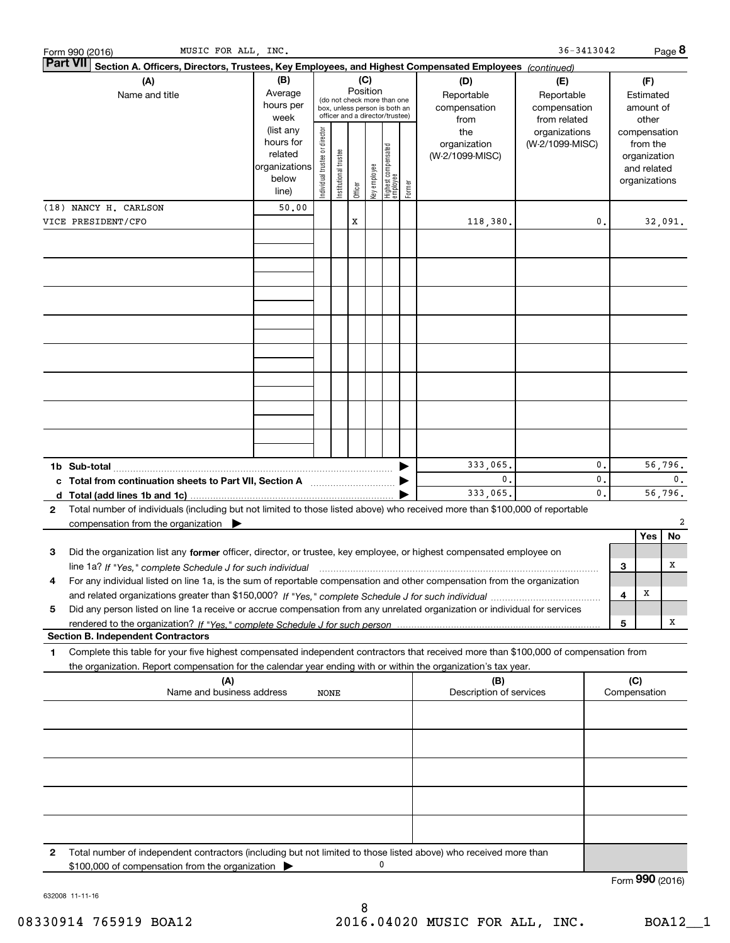|   | MUSIC FOR ALL, INC.<br>Form 990 (2016)                                                                                                                                                              |                        |                                |                       |         |              |                                   |        |                         | $36 - 3413042$  |                |                 |               | Page 8         |
|---|-----------------------------------------------------------------------------------------------------------------------------------------------------------------------------------------------------|------------------------|--------------------------------|-----------------------|---------|--------------|-----------------------------------|--------|-------------------------|-----------------|----------------|-----------------|---------------|----------------|
|   | <b>Part VII</b><br>Section A. Officers, Directors, Trustees, Key Employees, and Highest Compensated Employees (continued)                                                                           |                        |                                |                       |         |              |                                   |        |                         |                 |                |                 |               |                |
|   | (A)                                                                                                                                                                                                 | (B)                    |                                |                       |         | (C)          |                                   |        | (D)                     | (E)             |                |                 | (F)           |                |
|   | Position<br>Average<br>Name and title<br>Reportable<br>(do not check more than one<br>hours per<br>compensation<br>box, unless person is both an<br>officer and a director/trustee)<br>week<br>from |                        |                                |                       |         |              |                                   |        | Reportable              |                 |                | Estimated       |               |                |
|   |                                                                                                                                                                                                     |                        |                                |                       |         |              |                                   |        | compensation            |                 |                | amount of       |               |                |
|   |                                                                                                                                                                                                     |                        |                                |                       |         |              |                                   |        | from related            |                 |                | other           |               |                |
|   |                                                                                                                                                                                                     | (list any              |                                |                       |         |              |                                   |        | the                     | organizations   |                |                 | compensation  |                |
|   |                                                                                                                                                                                                     | hours for              |                                |                       |         |              |                                   |        | organization            | (W-2/1099-MISC) |                |                 | from the      |                |
|   |                                                                                                                                                                                                     | related                |                                |                       |         |              |                                   |        | (W-2/1099-MISC)         |                 |                |                 | organization  |                |
|   |                                                                                                                                                                                                     | organizations<br>below |                                |                       |         |              |                                   |        |                         |                 |                |                 | and related   |                |
|   |                                                                                                                                                                                                     | line)                  | Individual trustee or director | Institutional trustee | Officer | key employee | Highest compensated<br>  employee | Former |                         |                 |                |                 | organizations |                |
|   | (18) NANCY H. CARLSON                                                                                                                                                                               |                        |                                |                       |         |              |                                   |        |                         |                 |                |                 |               |                |
|   |                                                                                                                                                                                                     | 50.00                  |                                |                       |         |              |                                   |        |                         |                 |                |                 |               |                |
|   | VICE PRESIDENT/CFO                                                                                                                                                                                  |                        |                                |                       | X       |              |                                   |        | 118,380.                |                 | 0.             |                 |               | 32,091.        |
|   |                                                                                                                                                                                                     |                        |                                |                       |         |              |                                   |        |                         |                 |                |                 |               |                |
|   |                                                                                                                                                                                                     |                        |                                |                       |         |              |                                   |        |                         |                 |                |                 |               |                |
|   |                                                                                                                                                                                                     |                        |                                |                       |         |              |                                   |        |                         |                 |                |                 |               |                |
|   |                                                                                                                                                                                                     |                        |                                |                       |         |              |                                   |        |                         |                 |                |                 |               |                |
|   |                                                                                                                                                                                                     |                        |                                |                       |         |              |                                   |        |                         |                 |                |                 |               |                |
|   |                                                                                                                                                                                                     |                        |                                |                       |         |              |                                   |        |                         |                 |                |                 |               |                |
|   |                                                                                                                                                                                                     |                        |                                |                       |         |              |                                   |        |                         |                 |                |                 |               |                |
|   |                                                                                                                                                                                                     |                        |                                |                       |         |              |                                   |        |                         |                 |                |                 |               |                |
|   |                                                                                                                                                                                                     |                        |                                |                       |         |              |                                   |        |                         |                 |                |                 |               |                |
|   |                                                                                                                                                                                                     |                        |                                |                       |         |              |                                   |        |                         |                 |                |                 |               |                |
|   |                                                                                                                                                                                                     |                        |                                |                       |         |              |                                   |        |                         |                 |                |                 |               |                |
|   |                                                                                                                                                                                                     |                        |                                |                       |         |              |                                   |        |                         |                 |                |                 |               |                |
|   |                                                                                                                                                                                                     |                        |                                |                       |         |              |                                   |        |                         |                 |                |                 |               |                |
|   |                                                                                                                                                                                                     |                        |                                |                       |         |              |                                   |        |                         |                 |                |                 |               |                |
|   |                                                                                                                                                                                                     |                        |                                |                       |         |              |                                   |        |                         |                 |                |                 |               |                |
|   |                                                                                                                                                                                                     |                        |                                |                       |         |              |                                   |        |                         |                 |                |                 |               |                |
|   |                                                                                                                                                                                                     |                        |                                |                       |         |              |                                   |        | 333,065.                |                 | 0.             |                 |               | 56,796.        |
|   | c Total from continuation sheets to Part VII, Section A manufactured by                                                                                                                             |                        |                                |                       |         |              |                                   |        | 0.                      |                 | 0.             |                 |               | $\mathbf{0}$ . |
|   |                                                                                                                                                                                                     |                        |                                |                       |         |              |                                   |        | 333,065.                |                 | $\mathbf{0}$ . |                 |               | 56,796.        |
| 2 | Total number of individuals (including but not limited to those listed above) who received more than \$100,000 of reportable                                                                        |                        |                                |                       |         |              |                                   |        |                         |                 |                |                 |               |                |
|   | compensation from the organization $\blacktriangleright$                                                                                                                                            |                        |                                |                       |         |              |                                   |        |                         |                 |                |                 |               | 2              |
|   |                                                                                                                                                                                                     |                        |                                |                       |         |              |                                   |        |                         |                 |                |                 | Yes           | No.            |
| 3 | Did the organization list any former officer, director, or trustee, key employee, or highest compensated employee on                                                                                |                        |                                |                       |         |              |                                   |        |                         |                 |                |                 |               |                |
|   | line 1a? If "Yes," complete Schedule J for such individual manufactured contained and the line 1a? If "Yes," complete Schedule J for such individual                                                |                        |                                |                       |         |              |                                   |        |                         |                 |                | 3               |               | х              |
|   | For any individual listed on line 1a, is the sum of reportable compensation and other compensation from the organization                                                                            |                        |                                |                       |         |              |                                   |        |                         |                 |                |                 |               |                |
|   |                                                                                                                                                                                                     |                        |                                |                       |         |              |                                   |        |                         |                 |                | 4               | х             |                |
| 5 | Did any person listed on line 1a receive or accrue compensation from any unrelated organization or individual for services                                                                          |                        |                                |                       |         |              |                                   |        |                         |                 |                |                 |               |                |
|   |                                                                                                                                                                                                     |                        |                                |                       |         |              |                                   |        |                         |                 |                | 5               |               | х              |
|   | <b>Section B. Independent Contractors</b>                                                                                                                                                           |                        |                                |                       |         |              |                                   |        |                         |                 |                |                 |               |                |
| 1 | Complete this table for your five highest compensated independent contractors that received more than \$100,000 of compensation from                                                                |                        |                                |                       |         |              |                                   |        |                         |                 |                |                 |               |                |
|   | the organization. Report compensation for the calendar year ending with or within the organization's tax year.                                                                                      |                        |                                |                       |         |              |                                   |        |                         |                 |                |                 |               |                |
|   | (A)                                                                                                                                                                                                 |                        |                                |                       |         |              |                                   |        | (B)                     |                 |                | (C)             |               |                |
|   | Name and business address                                                                                                                                                                           |                        | NONE                           |                       |         |              |                                   |        | Description of services |                 |                |                 | Compensation  |                |
|   |                                                                                                                                                                                                     |                        |                                |                       |         |              |                                   |        |                         |                 |                |                 |               |                |
|   |                                                                                                                                                                                                     |                        |                                |                       |         |              |                                   |        |                         |                 |                |                 |               |                |
|   |                                                                                                                                                                                                     |                        |                                |                       |         |              |                                   |        |                         |                 |                |                 |               |                |
|   |                                                                                                                                                                                                     |                        |                                |                       |         |              |                                   |        |                         |                 |                |                 |               |                |
|   |                                                                                                                                                                                                     |                        |                                |                       |         |              |                                   |        |                         |                 |                |                 |               |                |
|   |                                                                                                                                                                                                     |                        |                                |                       |         |              |                                   |        |                         |                 |                |                 |               |                |
|   |                                                                                                                                                                                                     |                        |                                |                       |         |              |                                   |        |                         |                 |                |                 |               |                |
|   |                                                                                                                                                                                                     |                        |                                |                       |         |              |                                   |        |                         |                 |                |                 |               |                |
|   |                                                                                                                                                                                                     |                        |                                |                       |         |              |                                   |        |                         |                 |                |                 |               |                |
|   |                                                                                                                                                                                                     |                        |                                |                       |         |              |                                   |        |                         |                 |                |                 |               |                |
| 2 | Total number of independent contractors (including but not limited to those listed above) who received more than                                                                                    |                        |                                |                       |         |              |                                   |        |                         |                 |                |                 |               |                |
|   | \$100,000 of compensation from the organization                                                                                                                                                     |                        |                                |                       |         |              | 0                                 |        |                         |                 |                |                 |               |                |
|   |                                                                                                                                                                                                     |                        |                                |                       |         |              |                                   |        |                         |                 |                | Form 990 (2016) |               |                |

632008 11-11-16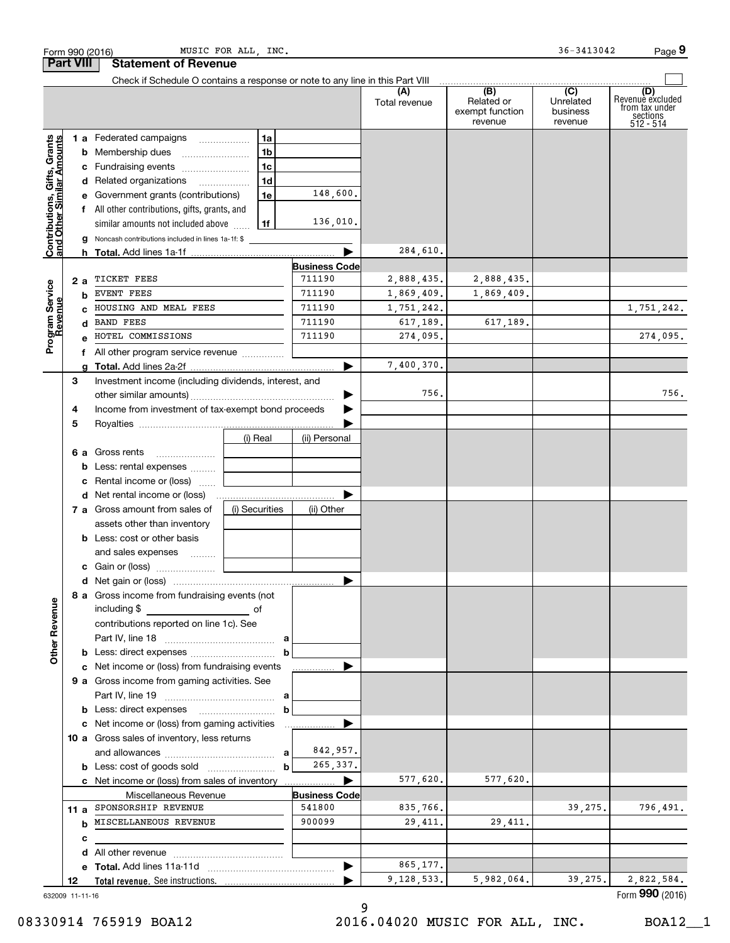|                                                           |                 | Form 990 (2016)                                                               | MUSIC FOR ALL, INC. |                          |                      |                                                 | 36-3413042                                           | Page 9                                                             |
|-----------------------------------------------------------|-----------------|-------------------------------------------------------------------------------|---------------------|--------------------------|----------------------|-------------------------------------------------|------------------------------------------------------|--------------------------------------------------------------------|
| <b>Part VIII</b>                                          |                 | <b>Statement of Revenue</b>                                                   |                     |                          |                      |                                                 |                                                      |                                                                    |
|                                                           |                 | Check if Schedule O contains a response or note to any line in this Part VIII |                     |                          |                      |                                                 |                                                      |                                                                    |
|                                                           |                 |                                                                               |                     |                          | (A)<br>Total revenue | (B)<br>Related or<br>exempt function<br>revenue | $\overline{(C)}$<br>Unrelated<br>business<br>revenue | (D)<br>Revenue excluded<br>from tax under<br>sections<br>512 - 514 |
|                                                           |                 | 1 a Federated campaigns                                                       | 1a                  |                          |                      |                                                 |                                                      |                                                                    |
| Contributions, Gifts, Grants<br>and Other Similar Amounts |                 | <b>b</b> Membership dues                                                      | 1 <sub>b</sub>      |                          |                      |                                                 |                                                      |                                                                    |
|                                                           |                 | c Fundraising events                                                          | 1 <sub>c</sub>      |                          |                      |                                                 |                                                      |                                                                    |
|                                                           |                 | d Related organizations                                                       | 1 <sub>d</sub>      |                          |                      |                                                 |                                                      |                                                                    |
|                                                           |                 | e Government grants (contributions)                                           | 1e                  | 148,600.                 |                      |                                                 |                                                      |                                                                    |
|                                                           |                 | f All other contributions, gifts, grants, and                                 |                     |                          |                      |                                                 |                                                      |                                                                    |
|                                                           |                 | similar amounts not included above                                            | 1f                  | 136,010.                 |                      |                                                 |                                                      |                                                                    |
|                                                           | g               | Noncash contributions included in lines 1a-1f: \$                             |                     |                          |                      |                                                 |                                                      |                                                                    |
|                                                           | h.              |                                                                               |                     |                          | 284,610.             |                                                 |                                                      |                                                                    |
|                                                           |                 |                                                                               |                     | <b>Business Code</b>     |                      |                                                 |                                                      |                                                                    |
|                                                           | 2 a             | TICKET FEES                                                                   |                     | 711190                   | 2,888,435.           | 2,888,435.                                      |                                                      |                                                                    |
|                                                           | b               | EVENT FEES                                                                    |                     | 711190                   | 1,869,409.           | 1,869,409.                                      |                                                      |                                                                    |
|                                                           | C.              | HOUSING AND MEAL FEES                                                         |                     | 711190                   | 1,751,242.           |                                                 |                                                      | 1,751,242.                                                         |
| Program Service<br>Revenue                                | d               | <b>BAND FEES</b>                                                              |                     | 711190                   | 617,189.             | 617,189.                                        |                                                      |                                                                    |
|                                                           |                 | HOTEL COMMISSIONS                                                             |                     | 711190                   | 274,095.             |                                                 |                                                      | 274,095.                                                           |
|                                                           |                 | f All other program service revenue                                           |                     |                          |                      |                                                 |                                                      |                                                                    |
|                                                           | g               |                                                                               |                     |                          | 7,400,370.           |                                                 |                                                      |                                                                    |
|                                                           | З               | Investment income (including dividends, interest, and                         |                     |                          |                      |                                                 |                                                      |                                                                    |
|                                                           |                 |                                                                               |                     | ▶                        | 756.                 |                                                 |                                                      | 756.                                                               |
|                                                           | 4               | Income from investment of tax-exempt bond proceeds                            |                     |                          |                      |                                                 |                                                      |                                                                    |
|                                                           | 5               |                                                                               |                     |                          |                      |                                                 |                                                      |                                                                    |
|                                                           |                 |                                                                               | (i) Real            | (ii) Personal            |                      |                                                 |                                                      |                                                                    |
|                                                           |                 | <b>6 a</b> Gross rents                                                        |                     |                          |                      |                                                 |                                                      |                                                                    |
|                                                           | b               | Less: rental expenses                                                         |                     |                          |                      |                                                 |                                                      |                                                                    |
|                                                           | c               | Rental income or (loss)                                                       |                     |                          |                      |                                                 |                                                      |                                                                    |
|                                                           |                 |                                                                               |                     |                          |                      |                                                 |                                                      |                                                                    |
|                                                           |                 | 7 a Gross amount from sales of                                                | (i) Securities      | (ii) Other               |                      |                                                 |                                                      |                                                                    |
|                                                           |                 | assets other than inventory                                                   |                     |                          |                      |                                                 |                                                      |                                                                    |
|                                                           |                 | <b>b</b> Less: cost or other basis                                            |                     |                          |                      |                                                 |                                                      |                                                                    |
|                                                           |                 | and sales expenses                                                            |                     |                          |                      |                                                 |                                                      |                                                                    |
|                                                           |                 |                                                                               |                     |                          |                      |                                                 |                                                      |                                                                    |
|                                                           |                 |                                                                               |                     |                          |                      |                                                 |                                                      |                                                                    |
| <b>Other Revenue</b>                                      |                 | 8 a Gross income from fundraising events (not<br>including \$                 |                     |                          |                      |                                                 |                                                      |                                                                    |
|                                                           |                 | contributions reported on line 1c). See                                       |                     |                          |                      |                                                 |                                                      |                                                                    |
|                                                           |                 |                                                                               |                     |                          |                      |                                                 |                                                      |                                                                    |
|                                                           |                 |                                                                               |                     | b                        |                      |                                                 |                                                      |                                                                    |
|                                                           |                 | c Net income or (loss) from fundraising events                                |                     |                          |                      |                                                 |                                                      |                                                                    |
|                                                           |                 | 9 a Gross income from gaming activities. See                                  |                     |                          |                      |                                                 |                                                      |                                                                    |
|                                                           |                 |                                                                               |                     |                          |                      |                                                 |                                                      |                                                                    |
|                                                           |                 |                                                                               |                     | $\mathbf b$              |                      |                                                 |                                                      |                                                                    |
|                                                           |                 | c Net income or (loss) from gaming activities                                 |                     | .                        |                      |                                                 |                                                      |                                                                    |
|                                                           |                 | 10 a Gross sales of inventory, less returns                                   |                     |                          |                      |                                                 |                                                      |                                                                    |
|                                                           |                 |                                                                               |                     | 842,957.                 |                      |                                                 |                                                      |                                                                    |
|                                                           |                 |                                                                               |                     | 265, 337.<br>$\mathbf b$ |                      |                                                 |                                                      |                                                                    |
|                                                           |                 | c Net income or (loss) from sales of inventory                                |                     | .                        | 577,620.             | 577,620.                                        |                                                      |                                                                    |
|                                                           |                 | Miscellaneous Revenue                                                         |                     | <b>Business Code</b>     |                      |                                                 |                                                      |                                                                    |
|                                                           | 11a             | SPONSORSHIP REVENUE                                                           |                     | 541800                   | 835,766.             |                                                 | 39,275.                                              | 796,491.                                                           |
|                                                           |                 | <b>b</b> MISCELLANEOUS REVENUE                                                |                     | 900099                   | 29,411.              | 29,411.                                         |                                                      |                                                                    |
|                                                           | с               |                                                                               |                     |                          |                      |                                                 |                                                      |                                                                    |
|                                                           | d               |                                                                               |                     |                          |                      |                                                 |                                                      |                                                                    |
|                                                           |                 |                                                                               |                     |                          | 865,177.             |                                                 |                                                      |                                                                    |
|                                                           | 12              |                                                                               |                     |                          | 9,128,533.           | 5,982,064.                                      | 39,275.                                              | 2,822,584.                                                         |
|                                                           | 632009 11-11-16 |                                                                               |                     |                          |                      |                                                 |                                                      | Form 990 (2016)                                                    |

9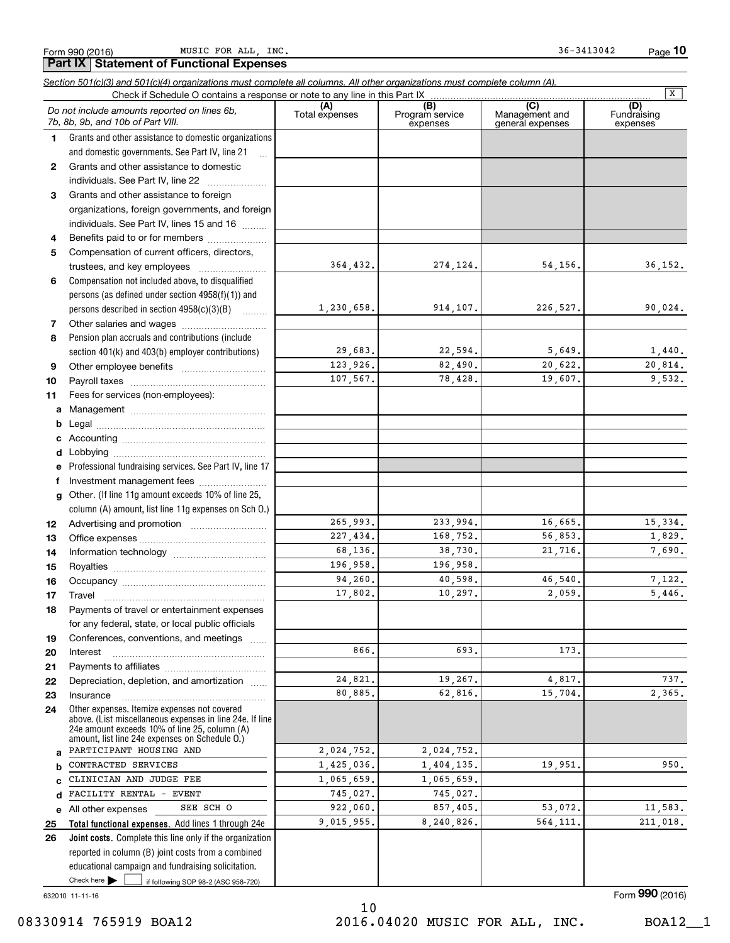|    | MUSIC FOR ALL, INC.<br>Form 990 (2016)<br><b>Part IX   Statement of Functional Expenses</b>                                |                       |                                    | 36-3413042                                | $Page$ 10                      |
|----|----------------------------------------------------------------------------------------------------------------------------|-----------------------|------------------------------------|-------------------------------------------|--------------------------------|
|    | Section 501(c)(3) and 501(c)(4) organizations must complete all columns. All other organizations must complete column (A). |                       |                                    |                                           |                                |
|    | Check if Schedule O contains a response or note to any line in this Part IX                                                |                       |                                    |                                           | $\overline{X}$                 |
|    | Do not include amounts reported on lines 6b,<br>7b, 8b, 9b, and 10b of Part VIII.                                          | (A)<br>Total expenses | (B)<br>Program service<br>expenses | (C)<br>Management and<br>general expenses | (D)<br>Fundraising<br>expenses |
| 1  | Grants and other assistance to domestic organizations                                                                      |                       |                                    |                                           |                                |
|    | and domestic governments. See Part IV, line 21                                                                             |                       |                                    |                                           |                                |
| 2  | Grants and other assistance to domestic                                                                                    |                       |                                    |                                           |                                |
|    | individuals. See Part IV, line 22                                                                                          |                       |                                    |                                           |                                |
| З  | Grants and other assistance to foreign                                                                                     |                       |                                    |                                           |                                |
|    | organizations, foreign governments, and foreign                                                                            |                       |                                    |                                           |                                |
|    | individuals. See Part IV, lines 15 and 16                                                                                  |                       |                                    |                                           |                                |
| 4  | Benefits paid to or for members                                                                                            |                       |                                    |                                           |                                |
| 5  | Compensation of current officers, directors,                                                                               |                       |                                    |                                           |                                |
|    | trustees, and key employees                                                                                                | 364,432.              | 274,124.                           | 54,156.                                   | 36,152.                        |
| 6  | Compensation not included above, to disqualified                                                                           |                       |                                    |                                           |                                |
|    | persons (as defined under section $4958(f)(1)$ ) and                                                                       |                       |                                    |                                           |                                |
|    | persons described in section 4958(c)(3)(B)                                                                                 | 1,230,658.            | 914,107.                           | 226,527.                                  | 90,024.                        |
| 7  |                                                                                                                            |                       |                                    |                                           |                                |
| 8  | Pension plan accruals and contributions (include                                                                           |                       |                                    |                                           |                                |
|    | section 401(k) and 403(b) employer contributions)                                                                          | 29.683.               | 22,594.                            | 5,649.                                    | 1,440.                         |
| 9  |                                                                                                                            | 123.926.              | 82,490.                            | 20,622.                                   | 20,814.                        |
| 10 |                                                                                                                            | 107,567.              | 78,428.                            | 19,607.                                   | 9,532.                         |
| 11 | Fees for services (non-employees):                                                                                         |                       |                                    |                                           |                                |
| a  |                                                                                                                            |                       |                                    |                                           |                                |
| b  |                                                                                                                            |                       |                                    |                                           |                                |
| c  |                                                                                                                            |                       |                                    |                                           |                                |
| d  |                                                                                                                            |                       |                                    |                                           |                                |
| е  | Professional fundraising services. See Part IV, line 17                                                                    |                       |                                    |                                           |                                |
| f  | Investment management fees                                                                                                 |                       |                                    |                                           |                                |
| g  | Other. (If line 11g amount exceeds 10% of line 25,                                                                         |                       |                                    |                                           |                                |
|    | column (A) amount, list line 11g expenses on Sch 0.)                                                                       |                       |                                    |                                           |                                |
| 12 |                                                                                                                            | 265.993.              | 233.994.                           | 16,665.                                   | 15,334.                        |
| 13 |                                                                                                                            | 227,434.              | 168,752.                           | 56,853.                                   | 1,829.                         |
| 14 |                                                                                                                            | 68,136.               | 38,730.                            | 21,716.                                   | 7,690.                         |
| 15 |                                                                                                                            | 196,958.              | 196,958.                           |                                           |                                |
| 16 |                                                                                                                            | 94,260.               | 40,598.                            | 46,540.                                   | 7,122.                         |
| 17 | Travel                                                                                                                     | 17,802.               | 10,297.                            | 2,059.                                    | 5.446.                         |
| 18 | Payments of travel or entertainment expenses                                                                               |                       |                                    |                                           |                                |
|    | for any federal, state, or local public officials                                                                          |                       |                                    |                                           |                                |
| 19 | Conferences, conventions, and meetings                                                                                     |                       |                                    |                                           |                                |
| 20 | Interest                                                                                                                   | 866.                  | 693.                               | 173.                                      |                                |
| 21 |                                                                                                                            |                       |                                    |                                           |                                |
| 22 | Depreciation, depletion, and amortization                                                                                  | 24,821.               | 19,267.                            | 4,817.                                    | 737.                           |
| 23 | Insurance                                                                                                                  | 80,885.               | 62,816.                            | 15,704.                                   | 2,365.                         |
| 24 | Other expenses. Itemize expenses not covered                                                                               |                       |                                    |                                           |                                |

2,024,752. 1,425,036. 1,065,659. 745,027. 922,060. 9,015,955.

Check here if following SOP 98-2 (ASC 958-720) **Joint costs.** Complete this line only if the organization **26**reported in column (B) joint costs from a combined educational campaign and fundraising solicitation. Check here  $\blacktriangleright$ 

**Total functional expenses.**  Add lines 1 through 24e

SEE SCH O

above. (List miscellaneous expenses in line 24e. If line 24e amount exceeds 10% of line 25, column (A) amount, list line 24e expenses on Schedule O.)

632010 11-11-16

**abcde25**

Form (2016) **990**

All other expenses

PARTICIPANT HOUSING AND CONTRACTED SERVICES CLINICIAN AND JUDGE FEE FACILITY RENTAL - EVENT 2,024,752.

1,065,659. 745,027.

1,404,135. 19,951. 950.

857,405. 53,072. 11,583. 8,240,826. 564,111. 211,018.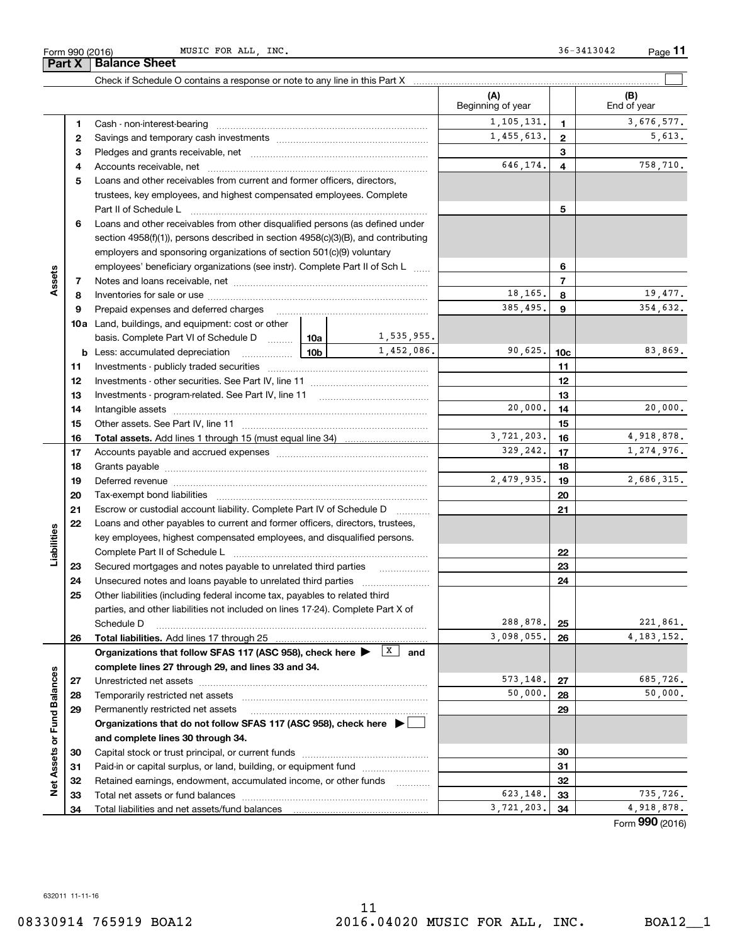|                             |    |                                                                                                                                                                                                                                |            |                   | (A)<br>Beginning of year |                 | (B)<br>End of year |
|-----------------------------|----|--------------------------------------------------------------------------------------------------------------------------------------------------------------------------------------------------------------------------------|------------|-------------------|--------------------------|-----------------|--------------------|
|                             | 1  |                                                                                                                                                                                                                                |            |                   | 1,105,131.               | 1               | 3,676,577.         |
|                             | 2  |                                                                                                                                                                                                                                |            |                   | 1,455,613.               | $\mathbf{2}$    | 5,613.             |
|                             | з  |                                                                                                                                                                                                                                |            |                   |                          | 3               |                    |
|                             | 4  |                                                                                                                                                                                                                                |            |                   | 646,174.                 | 4               | 758,710.           |
|                             | 5  | Loans and other receivables from current and former officers, directors,                                                                                                                                                       |            |                   |                          |                 |                    |
|                             |    | trustees, key employees, and highest compensated employees. Complete                                                                                                                                                           |            |                   |                          |                 |                    |
|                             |    | Part II of Schedule L                                                                                                                                                                                                          |            |                   |                          | 5               |                    |
|                             | 6  | Loans and other receivables from other disqualified persons (as defined under                                                                                                                                                  |            |                   |                          |                 |                    |
|                             |    | section $4958(f)(1)$ , persons described in section $4958(c)(3)(B)$ , and contributing                                                                                                                                         |            |                   |                          |                 |                    |
|                             |    | employers and sponsoring organizations of section 501(c)(9) voluntary                                                                                                                                                          |            |                   |                          |                 |                    |
|                             |    | employees' beneficiary organizations (see instr). Complete Part II of Sch L                                                                                                                                                    |            |                   |                          | 6               |                    |
| Assets                      | 7  |                                                                                                                                                                                                                                |            |                   |                          | $\overline{7}$  |                    |
|                             | 8  |                                                                                                                                                                                                                                |            |                   | 18,165.                  | 8               | 19,477.            |
|                             | 9  | Prepaid expenses and deferred charges                                                                                                                                                                                          |            |                   | 385,495.                 | 9               | 354,632.           |
|                             |    | <b>10a</b> Land, buildings, and equipment: cost or other                                                                                                                                                                       |            |                   |                          |                 |                    |
|                             |    | basis. Complete Part VI of Schedule D  10a                                                                                                                                                                                     |            | 1,535,955.        |                          |                 |                    |
|                             |    | $\frac{10b}{2}$<br><b>b</b> Less: accumulated depreciation                                                                                                                                                                     |            | 1,452,086.        | 90,625.                  | 10 <sub>c</sub> | 83,869.            |
|                             | 11 |                                                                                                                                                                                                                                |            |                   |                          | 11              |                    |
|                             | 12 |                                                                                                                                                                                                                                |            |                   |                          | 12              |                    |
|                             | 13 |                                                                                                                                                                                                                                |            |                   |                          | 13              |                    |
|                             | 14 |                                                                                                                                                                                                                                |            |                   | 20,000.                  | 14              | 20,000.            |
|                             | 15 |                                                                                                                                                                                                                                |            |                   |                          | 15              |                    |
|                             | 16 |                                                                                                                                                                                                                                |            |                   | 3,721,203.               | 16              | 4,918,878.         |
|                             | 17 |                                                                                                                                                                                                                                | 329,242.   | 17                | 1,274,976.               |                 |                    |
|                             | 18 |                                                                                                                                                                                                                                |            | 18                |                          |                 |                    |
|                             | 19 | Deferred revenue manual contracts and contracts are contracted and contract and contract are contracted and contract are contracted and contract are contracted and contract are contracted and contract are contracted and co |            | 2,479,935.        | 19                       | 2,686,315.      |                    |
|                             | 20 |                                                                                                                                                                                                                                |            |                   |                          | 20              |                    |
|                             | 21 | Escrow or custodial account liability. Complete Part IV of Schedule D                                                                                                                                                          |            |                   |                          | 21              |                    |
|                             | 22 | Loans and other payables to current and former officers, directors, trustees,                                                                                                                                                  |            |                   |                          |                 |                    |
| Liabilities                 |    | key employees, highest compensated employees, and disqualified persons.                                                                                                                                                        |            |                   |                          |                 |                    |
|                             |    |                                                                                                                                                                                                                                |            |                   |                          | 22              |                    |
|                             | 23 |                                                                                                                                                                                                                                |            |                   |                          | 23              |                    |
|                             | 24 | Unsecured notes and loans payable to unrelated third parties                                                                                                                                                                   |            |                   |                          | 24              |                    |
|                             | 25 | Other liabilities (including federal income tax, payables to related third                                                                                                                                                     |            |                   |                          |                 |                    |
|                             |    | parties, and other liabilities not included on lines 17-24). Complete Part X of                                                                                                                                                |            |                   | 288,878.                 |                 |                    |
|                             |    | Schedule D                                                                                                                                                                                                                     | 3,098,055. | 25                | 221,861,<br>4, 183, 152. |                 |                    |
|                             | 26 | <b>Total liabilities.</b> Add lines 17 through 25<br>Organizations that follow SFAS 117 (ASC 958), check here >                                                                                                                |            | X <br>and         |                          | 26              |                    |
|                             |    | complete lines 27 through 29, and lines 33 and 34.                                                                                                                                                                             |            |                   |                          |                 |                    |
|                             | 27 | Unrestricted net assets                                                                                                                                                                                                        |            |                   | 573,148.                 | 27              | 685,726.           |
|                             | 28 | Temporarily restricted net assets                                                                                                                                                                                              |            | 50,000.           | 28                       | 50,000,         |                    |
|                             | 29 | Permanently restricted net assets                                                                                                                                                                                              |            |                   |                          | 29              |                    |
|                             |    | Organizations that do not follow SFAS 117 (ASC 958), check here ▶ □                                                                                                                                                            |            |                   |                          |                 |                    |
| Net Assets or Fund Balances |    | and complete lines 30 through 34.                                                                                                                                                                                              |            |                   |                          |                 |                    |
|                             | 30 |                                                                                                                                                                                                                                |            |                   |                          | 30              |                    |
|                             | 31 | Paid-in or capital surplus, or land, building, or equipment fund                                                                                                                                                               |            |                   |                          | 31              |                    |
|                             | 32 | Retained earnings, endowment, accumulated income, or other funds                                                                                                                                                               |            | 1.1.1.1.1.1.1.1.1 |                          | 32              |                    |
|                             | 33 | Total net assets or fund balances                                                                                                                                                                                              |            |                   | 623,148.                 | 33              | 735,726.           |
|                             | 34 |                                                                                                                                                                                                                                |            |                   | 3,721,203.               | 34              | 4,918,878.         |

Form (2016) **990**

 $\mathcal{L}^{\text{max}}$ 

Check if Schedule O contains a response or note to any line in this Part X ..........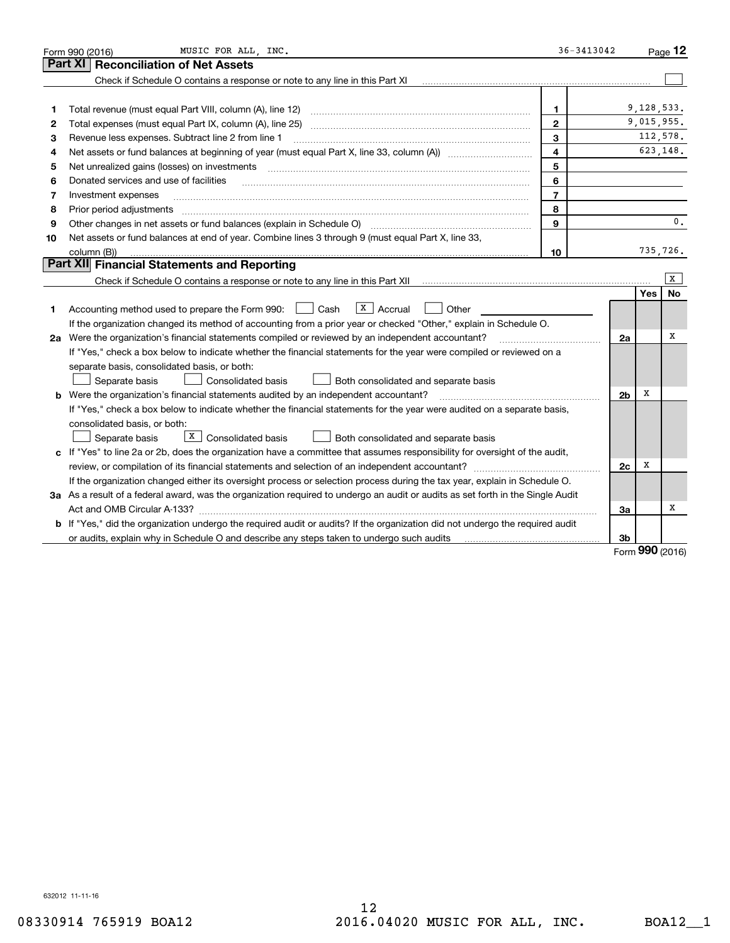|    | MUSIC FOR ALL INC.<br>Form 990 (2016)                                                                                                                       | $36 - 3413042$           |    |            | Page $12$       |
|----|-------------------------------------------------------------------------------------------------------------------------------------------------------------|--------------------------|----|------------|-----------------|
|    | <b>Reconciliation of Net Assets</b><br><b>Part XI</b>                                                                                                       |                          |    |            |                 |
|    | Check if Schedule O contains a response or note to any line in this Part XI                                                                                 |                          |    |            |                 |
|    |                                                                                                                                                             |                          |    |            |                 |
| 1  | Total revenue (must equal Part VIII, column (A), line 12)                                                                                                   | $\mathbf{1}$             |    | 9,128,533. |                 |
| 2  | Total expenses (must equal Part IX, column (A), line 25)                                                                                                    | $\mathbf{2}$             |    |            | 9,015,955.      |
| 3  | Revenue less expenses. Subtract line 2 from line 1                                                                                                          | 3                        |    |            | 112,578.        |
| 4  |                                                                                                                                                             | $\overline{\mathbf{4}}$  |    | 623,148.   |                 |
| 5  | Net unrealized gains (losses) on investments                                                                                                                | 5                        |    |            |                 |
| 6  | Donated services and use of facilities                                                                                                                      | 6                        |    |            |                 |
| 7  | Investment expenses                                                                                                                                         | $\overline{\phantom{a}}$ |    |            |                 |
| 8  | Prior period adjustments                                                                                                                                    | 8                        |    |            |                 |
| 9  | Other changes in net assets or fund balances (explain in Schedule O) manufactured controller changes in net assets or fund balances (explain in Schedule O) | $\mathbf{Q}$             |    |            | $\mathbf{0}$ .  |
| 10 | Net assets or fund balances at end of year. Combine lines 3 through 9 (must equal Part X, line 33,                                                          |                          |    |            |                 |
|    | column (B))                                                                                                                                                 | 10                       |    | 735,726.   |                 |
|    | Part XII Financial Statements and Reporting                                                                                                                 |                          |    |            |                 |
|    |                                                                                                                                                             |                          |    |            | X               |
|    |                                                                                                                                                             |                          |    | Yes        | <b>No</b>       |
| 1  | $\overline{X}$ Accrual<br>Accounting method used to prepare the Form 990: <u>II</u> Cash<br>Other                                                           |                          |    |            |                 |
|    | If the organization changed its method of accounting from a prior year or checked "Other," explain in Schedule O.                                           |                          |    |            |                 |
|    | 2a Were the organization's financial statements compiled or reviewed by an independent accountant?                                                          |                          | 2a |            | х               |
|    | If "Yes," check a box below to indicate whether the financial statements for the year were compiled or reviewed on a                                        |                          |    |            |                 |
|    | separate basis, consolidated basis, or both:                                                                                                                |                          |    |            |                 |
|    | Separate basis<br>Consolidated basis<br>Both consolidated and separate basis                                                                                |                          |    |            |                 |
|    | <b>b</b> Were the organization's financial statements audited by an independent accountant?                                                                 |                          | 2b | X          |                 |
|    | If "Yes," check a box below to indicate whether the financial statements for the year were audited on a separate basis,                                     |                          |    |            |                 |
|    | consolidated basis, or both:                                                                                                                                |                          |    |            |                 |
|    | X  <br>Consolidated basis<br>Separate basis<br>Both consolidated and separate basis                                                                         |                          |    |            |                 |
|    | c If "Yes" to line 2a or 2b, does the organization have a committee that assumes responsibility for oversight of the audit,                                 |                          |    |            |                 |
|    |                                                                                                                                                             |                          | 2c | X          |                 |
|    | If the organization changed either its oversight process or selection process during the tax year, explain in Schedule O.                                   |                          |    |            |                 |
|    | 3a As a result of a federal award, was the organization required to undergo an audit or audits as set forth in the Single Audit                             |                          |    |            |                 |
|    |                                                                                                                                                             |                          | 3a |            | х               |
|    | <b>b</b> If "Yes," did the organization undergo the required audit or audits? If the organization did not undergo the required audit                        |                          |    |            |                 |
|    |                                                                                                                                                             |                          | 3b |            | $990 \text{ m}$ |
|    |                                                                                                                                                             |                          |    |            |                 |

Form (2016) **990**

632012 11-11-16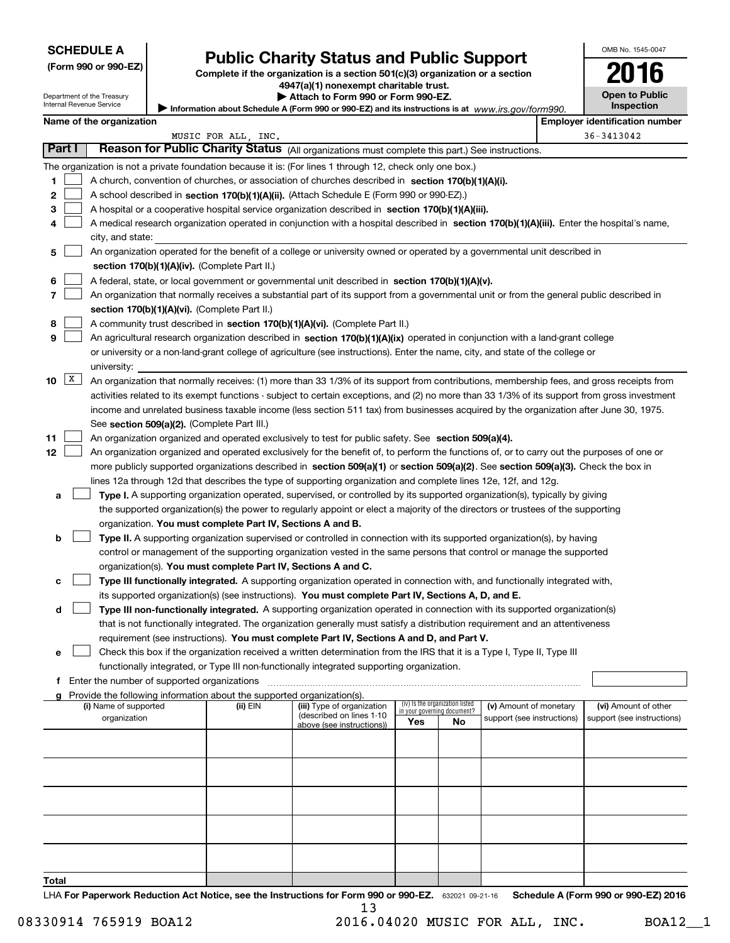| <b>SCHEDULE A</b> |  |
|-------------------|--|
|-------------------|--|

Department of the Treasury Internal Revenue Service

| (Form 990 or 990-EZ) |  |  |  |  |
|----------------------|--|--|--|--|
|----------------------|--|--|--|--|

# **Public Charity Status and Public Support**

**Complete if the organization is a section 501(c)(3) organization or a section 4947(a)(1) nonexempt charitable trust.**

| Attach to Form 990 or Form 990-EZ. |  |
|------------------------------------|--|
|------------------------------------|--|

Information about Schedule A (Form 990 or 990-EZ) and its instructions is at *www.irs.gov/form990.* 

| OMB No. 1545-0047                   |
|-------------------------------------|
| 116<br>U                            |
| <b>Open to Public</b><br>Inspection |
|                                     |

|                 | Name of the organization                                                                                  |                                                                                                                                                                |          |                            |     |                                 |                            | <b>Employer identification number</b> |                            |  |
|-----------------|-----------------------------------------------------------------------------------------------------------|----------------------------------------------------------------------------------------------------------------------------------------------------------------|----------|----------------------------|-----|---------------------------------|----------------------------|---------------------------------------|----------------------------|--|
|                 | MUSIC FOR ALL, INC.                                                                                       |                                                                                                                                                                |          |                            |     |                                 |                            | 36-3413042                            |                            |  |
| Part I          |                                                                                                           | Reason for Public Charity Status (All organizations must complete this part.) See instructions.                                                                |          |                            |     |                                 |                            |                                       |                            |  |
|                 | The organization is not a private foundation because it is: (For lines 1 through 12, check only one box.) |                                                                                                                                                                |          |                            |     |                                 |                            |                                       |                            |  |
| 1               |                                                                                                           | A church, convention of churches, or association of churches described in section 170(b)(1)(A)(i).                                                             |          |                            |     |                                 |                            |                                       |                            |  |
| 2               |                                                                                                           | A school described in section 170(b)(1)(A)(ii). (Attach Schedule E (Form 990 or 990-EZ).)                                                                      |          |                            |     |                                 |                            |                                       |                            |  |
| 3               |                                                                                                           | A hospital or a cooperative hospital service organization described in section 170(b)(1)(A)(iii).                                                              |          |                            |     |                                 |                            |                                       |                            |  |
| 4               |                                                                                                           |                                                                                                                                                                |          |                            |     |                                 |                            |                                       |                            |  |
|                 |                                                                                                           | A medical research organization operated in conjunction with a hospital described in section 170(b)(1)(A)(iii). Enter the hospital's name,<br>city, and state: |          |                            |     |                                 |                            |                                       |                            |  |
| 5               |                                                                                                           | An organization operated for the benefit of a college or university owned or operated by a governmental unit described in                                      |          |                            |     |                                 |                            |                                       |                            |  |
|                 |                                                                                                           | section 170(b)(1)(A)(iv). (Complete Part II.)                                                                                                                  |          |                            |     |                                 |                            |                                       |                            |  |
| 6               |                                                                                                           | A federal, state, or local government or governmental unit described in section 170(b)(1)(A)(v).                                                               |          |                            |     |                                 |                            |                                       |                            |  |
| 7               |                                                                                                           | An organization that normally receives a substantial part of its support from a governmental unit or from the general public described in                      |          |                            |     |                                 |                            |                                       |                            |  |
|                 |                                                                                                           | section 170(b)(1)(A)(vi). (Complete Part II.)                                                                                                                  |          |                            |     |                                 |                            |                                       |                            |  |
| 8               |                                                                                                           | A community trust described in section 170(b)(1)(A)(vi). (Complete Part II.)                                                                                   |          |                            |     |                                 |                            |                                       |                            |  |
| 9               |                                                                                                           | An agricultural research organization described in section 170(b)(1)(A)(ix) operated in conjunction with a land-grant college                                  |          |                            |     |                                 |                            |                                       |                            |  |
|                 |                                                                                                           | or university or a non-land-grant college of agriculture (see instructions). Enter the name, city, and state of the college or<br>university:                  |          |                            |     |                                 |                            |                                       |                            |  |
| 10              | $\mathbf{x}$                                                                                              | An organization that normally receives: (1) more than 33 1/3% of its support from contributions, membership fees, and gross receipts from                      |          |                            |     |                                 |                            |                                       |                            |  |
|                 |                                                                                                           | activities related to its exempt functions - subject to certain exceptions, and (2) no more than 33 1/3% of its support from gross investment                  |          |                            |     |                                 |                            |                                       |                            |  |
|                 |                                                                                                           | income and unrelated business taxable income (less section 511 tax) from businesses acquired by the organization after June 30, 1975.                          |          |                            |     |                                 |                            |                                       |                            |  |
|                 |                                                                                                           | See section 509(a)(2). (Complete Part III.)                                                                                                                    |          |                            |     |                                 |                            |                                       |                            |  |
| 11              |                                                                                                           | An organization organized and operated exclusively to test for public safety. See section 509(a)(4).                                                           |          |                            |     |                                 |                            |                                       |                            |  |
| 12 <sub>2</sub> |                                                                                                           | An organization organized and operated exclusively for the benefit of, to perform the functions of, or to carry out the purposes of one or                     |          |                            |     |                                 |                            |                                       |                            |  |
|                 |                                                                                                           | more publicly supported organizations described in section 509(a)(1) or section 509(a)(2). See section 509(a)(3). Check the box in                             |          |                            |     |                                 |                            |                                       |                            |  |
|                 |                                                                                                           | lines 12a through 12d that describes the type of supporting organization and complete lines 12e, 12f, and 12g.                                                 |          |                            |     |                                 |                            |                                       |                            |  |
| a               |                                                                                                           | Type I. A supporting organization operated, supervised, or controlled by its supported organization(s), typically by giving                                    |          |                            |     |                                 |                            |                                       |                            |  |
|                 |                                                                                                           |                                                                                                                                                                |          |                            |     |                                 |                            |                                       |                            |  |
|                 |                                                                                                           | the supported organization(s) the power to regularly appoint or elect a majority of the directors or trustees of the supporting                                |          |                            |     |                                 |                            |                                       |                            |  |
|                 |                                                                                                           | organization. You must complete Part IV, Sections A and B.                                                                                                     |          |                            |     |                                 |                            |                                       |                            |  |
| b               |                                                                                                           | Type II. A supporting organization supervised or controlled in connection with its supported organization(s), by having                                        |          |                            |     |                                 |                            |                                       |                            |  |
|                 |                                                                                                           | control or management of the supporting organization vested in the same persons that control or manage the supported                                           |          |                            |     |                                 |                            |                                       |                            |  |
|                 |                                                                                                           | organization(s). You must complete Part IV, Sections A and C.                                                                                                  |          |                            |     |                                 |                            |                                       |                            |  |
| с               |                                                                                                           | Type III functionally integrated. A supporting organization operated in connection with, and functionally integrated with,                                     |          |                            |     |                                 |                            |                                       |                            |  |
|                 |                                                                                                           | its supported organization(s) (see instructions). You must complete Part IV, Sections A, D, and E.                                                             |          |                            |     |                                 |                            |                                       |                            |  |
| d               |                                                                                                           | Type III non-functionally integrated. A supporting organization operated in connection with its supported organization(s)                                      |          |                            |     |                                 |                            |                                       |                            |  |
|                 |                                                                                                           | that is not functionally integrated. The organization generally must satisfy a distribution requirement and an attentiveness                                   |          |                            |     |                                 |                            |                                       |                            |  |
|                 |                                                                                                           | requirement (see instructions). You must complete Part IV, Sections A and D, and Part V.                                                                       |          |                            |     |                                 |                            |                                       |                            |  |
|                 |                                                                                                           | Check this box if the organization received a written determination from the IRS that it is a Type I, Type II, Type III                                        |          |                            |     |                                 |                            |                                       |                            |  |
|                 |                                                                                                           | functionally integrated, or Type III non-functionally integrated supporting organization.                                                                      |          |                            |     |                                 |                            |                                       |                            |  |
|                 |                                                                                                           | f Enter the number of supported organizations                                                                                                                  |          |                            |     |                                 |                            |                                       |                            |  |
|                 |                                                                                                           | g Provide the following information about the supported organization(s).<br>(i) Name of supported                                                              | (ii) EIN | (iii) Type of organization |     | (iv) Is the organization listed | (v) Amount of monetary     |                                       | (vi) Amount of other       |  |
|                 |                                                                                                           | organization                                                                                                                                                   |          | (described on lines 1-10   |     | in your governing document?     | support (see instructions) |                                       | support (see instructions) |  |
|                 |                                                                                                           |                                                                                                                                                                |          | above (see instructions))  | Yes | No                              |                            |                                       |                            |  |
|                 |                                                                                                           |                                                                                                                                                                |          |                            |     |                                 |                            |                                       |                            |  |
|                 |                                                                                                           |                                                                                                                                                                |          |                            |     |                                 |                            |                                       |                            |  |
|                 |                                                                                                           |                                                                                                                                                                |          |                            |     |                                 |                            |                                       |                            |  |
|                 |                                                                                                           |                                                                                                                                                                |          |                            |     |                                 |                            |                                       |                            |  |
|                 |                                                                                                           |                                                                                                                                                                |          |                            |     |                                 |                            |                                       |                            |  |
|                 |                                                                                                           |                                                                                                                                                                |          |                            |     |                                 |                            |                                       |                            |  |
|                 |                                                                                                           |                                                                                                                                                                |          |                            |     |                                 |                            |                                       |                            |  |
|                 |                                                                                                           |                                                                                                                                                                |          |                            |     |                                 |                            |                                       |                            |  |
| Total           |                                                                                                           |                                                                                                                                                                |          |                            |     |                                 |                            |                                       |                            |  |

LHA For Paperwork Reduction Act Notice, see the Instructions for Form 990 or 990-EZ. 632021 09-21-16 Schedule A (Form 990 or 990-EZ) 2016 13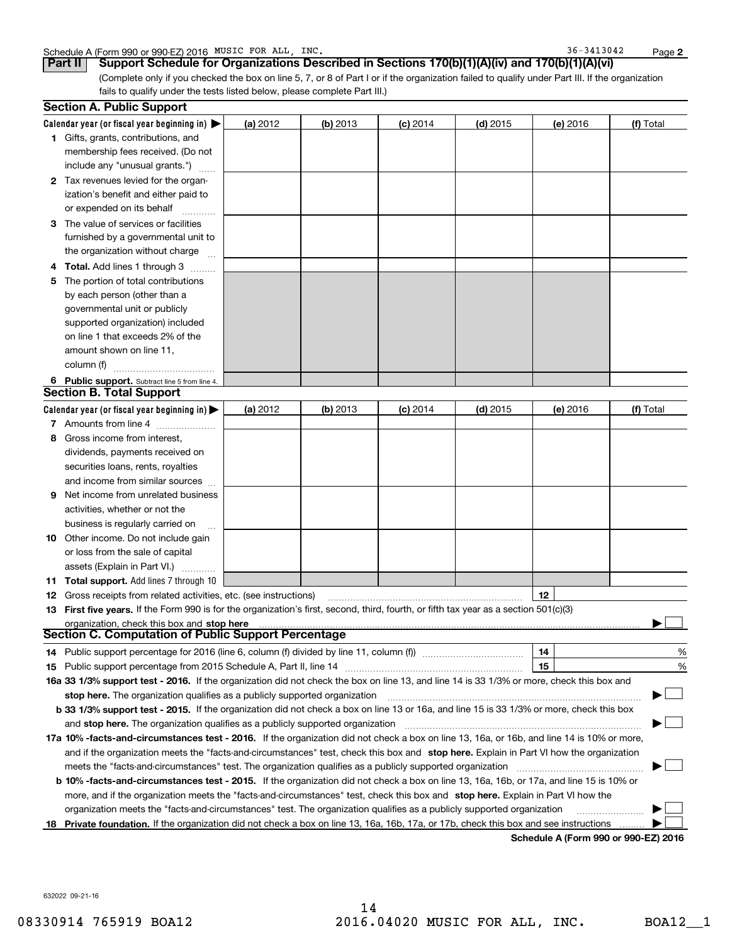|  | Schedule A (Form 990 or 990-EZ) 2016 MUSIC | FOR ALL | INC. | 3413042<br>36. | Page |  |
|--|--------------------------------------------|---------|------|----------------|------|--|
|--|--------------------------------------------|---------|------|----------------|------|--|

36-3413042

**2**

(Complete only if you checked the box on line 5, 7, or 8 of Part I or if the organization failed to qualify under Part III. If the organization fails to qualify under the tests listed below, please complete Part III.) **Part II Support Schedule for Organizations Described in Sections 170(b)(1)(A)(iv) and 170(b)(1)(A)(vi)**

|   | <b>Section A. Public Support</b>                                                                                                                                                                                   |          |          |            |            |          |           |
|---|--------------------------------------------------------------------------------------------------------------------------------------------------------------------------------------------------------------------|----------|----------|------------|------------|----------|-----------|
|   | Calendar year (or fiscal year beginning in) $\blacktriangleright$                                                                                                                                                  | (a) 2012 | (b) 2013 | $(c)$ 2014 | $(d)$ 2015 | (e) 2016 | (f) Total |
|   | <b>1</b> Gifts, grants, contributions, and                                                                                                                                                                         |          |          |            |            |          |           |
|   | membership fees received. (Do not                                                                                                                                                                                  |          |          |            |            |          |           |
|   | include any "unusual grants.")                                                                                                                                                                                     |          |          |            |            |          |           |
|   | 2 Tax revenues levied for the organ-                                                                                                                                                                               |          |          |            |            |          |           |
|   | ization's benefit and either paid to                                                                                                                                                                               |          |          |            |            |          |           |
|   | or expended on its behalf                                                                                                                                                                                          |          |          |            |            |          |           |
|   | 3 The value of services or facilities                                                                                                                                                                              |          |          |            |            |          |           |
|   | furnished by a governmental unit to                                                                                                                                                                                |          |          |            |            |          |           |
|   | the organization without charge                                                                                                                                                                                    |          |          |            |            |          |           |
| 4 | <b>Total.</b> Add lines 1 through 3                                                                                                                                                                                |          |          |            |            |          |           |
| 5 | The portion of total contributions                                                                                                                                                                                 |          |          |            |            |          |           |
|   | by each person (other than a                                                                                                                                                                                       |          |          |            |            |          |           |
|   | governmental unit or publicly                                                                                                                                                                                      |          |          |            |            |          |           |
|   | supported organization) included                                                                                                                                                                                   |          |          |            |            |          |           |
|   | on line 1 that exceeds 2% of the                                                                                                                                                                                   |          |          |            |            |          |           |
|   | amount shown on line 11,                                                                                                                                                                                           |          |          |            |            |          |           |
|   | column (f)                                                                                                                                                                                                         |          |          |            |            |          |           |
|   | 6 Public support. Subtract line 5 from line 4.                                                                                                                                                                     |          |          |            |            |          |           |
|   | <b>Section B. Total Support</b>                                                                                                                                                                                    |          |          |            |            |          |           |
|   | Calendar year (or fiscal year beginning in) $\blacktriangleright$                                                                                                                                                  | (a) 2012 | (b) 2013 | $(c)$ 2014 | $(d)$ 2015 | (e) 2016 | (f) Total |
|   | 7 Amounts from line 4                                                                                                                                                                                              |          |          |            |            |          |           |
| 8 | Gross income from interest,                                                                                                                                                                                        |          |          |            |            |          |           |
|   | dividends, payments received on                                                                                                                                                                                    |          |          |            |            |          |           |
|   | securities loans, rents, royalties                                                                                                                                                                                 |          |          |            |            |          |           |
|   | and income from similar sources                                                                                                                                                                                    |          |          |            |            |          |           |
| 9 | Net income from unrelated business                                                                                                                                                                                 |          |          |            |            |          |           |
|   | activities, whether or not the                                                                                                                                                                                     |          |          |            |            |          |           |
|   |                                                                                                                                                                                                                    |          |          |            |            |          |           |
|   | business is regularly carried on                                                                                                                                                                                   |          |          |            |            |          |           |
|   | <b>10</b> Other income. Do not include gain                                                                                                                                                                        |          |          |            |            |          |           |
|   | or loss from the sale of capital                                                                                                                                                                                   |          |          |            |            |          |           |
|   | assets (Explain in Part VI.)                                                                                                                                                                                       |          |          |            |            |          |           |
|   | <b>11 Total support.</b> Add lines 7 through 10                                                                                                                                                                    |          |          |            |            | 12       |           |
|   | <b>12</b> Gross receipts from related activities, etc. (see instructions)<br>13 First five years. If the Form 990 is for the organization's first, second, third, fourth, or fifth tax year as a section 501(c)(3) |          |          |            |            |          |           |
|   |                                                                                                                                                                                                                    |          |          |            |            |          |           |
|   | organization, check this box and stop here<br>Section C. Computation of Public Support Percentage                                                                                                                  |          |          |            |            |          |           |
|   | 14 Public support percentage for 2016 (line 6, column (f) divided by line 11, column (f) <i>mummeronom</i>                                                                                                         |          |          |            |            | 14       | %         |
|   |                                                                                                                                                                                                                    |          |          |            |            | 15       | %         |
|   | 16a 33 1/3% support test - 2016. If the organization did not check the box on line 13, and line 14 is 33 1/3% or more, check this box and                                                                          |          |          |            |            |          |           |
|   | stop here. The organization qualifies as a publicly supported organization                                                                                                                                         |          |          |            |            |          | $\sim$    |
|   | b 33 1/3% support test - 2015. If the organization did not check a box on line 13 or 16a, and line 15 is 33 1/3% or more, check this box                                                                           |          |          |            |            |          |           |
|   | and stop here. The organization qualifies as a publicly supported organization                                                                                                                                     |          |          |            |            |          |           |
|   | 17a 10% -facts-and-circumstances test - 2016. If the organization did not check a box on line 13, 16a, or 16b, and line 14 is 10% or more,                                                                         |          |          |            |            |          |           |
|   |                                                                                                                                                                                                                    |          |          |            |            |          |           |
|   | and if the organization meets the "facts-and-circumstances" test, check this box and stop here. Explain in Part VI how the organization                                                                            |          |          |            |            |          |           |
|   | meets the "facts-and-circumstances" test. The organization qualifies as a publicly supported organization <i>manumumumumum</i>                                                                                     |          |          |            |            |          |           |
|   | <b>b 10% -facts-and-circumstances test - 2015.</b> If the organization did not check a box on line 13, 16a, 16b, or 17a, and line 15 is 10% or                                                                     |          |          |            |            |          |           |
|   | more, and if the organization meets the "facts-and-circumstances" test, check this box and stop here. Explain in Part VI how the                                                                                   |          |          |            |            |          |           |
|   | organization meets the "facts-and-circumstances" test. The organization qualifies as a publicly supported organization                                                                                             |          |          |            |            |          |           |
|   | 18 Private foundation. If the organization did not check a box on line 13, 16a, 16b, 17a, or 17b, check this box and see instructions                                                                              |          |          |            |            |          |           |

**Schedule A (Form 990 or 990-EZ) 2016**

632022 09-21-16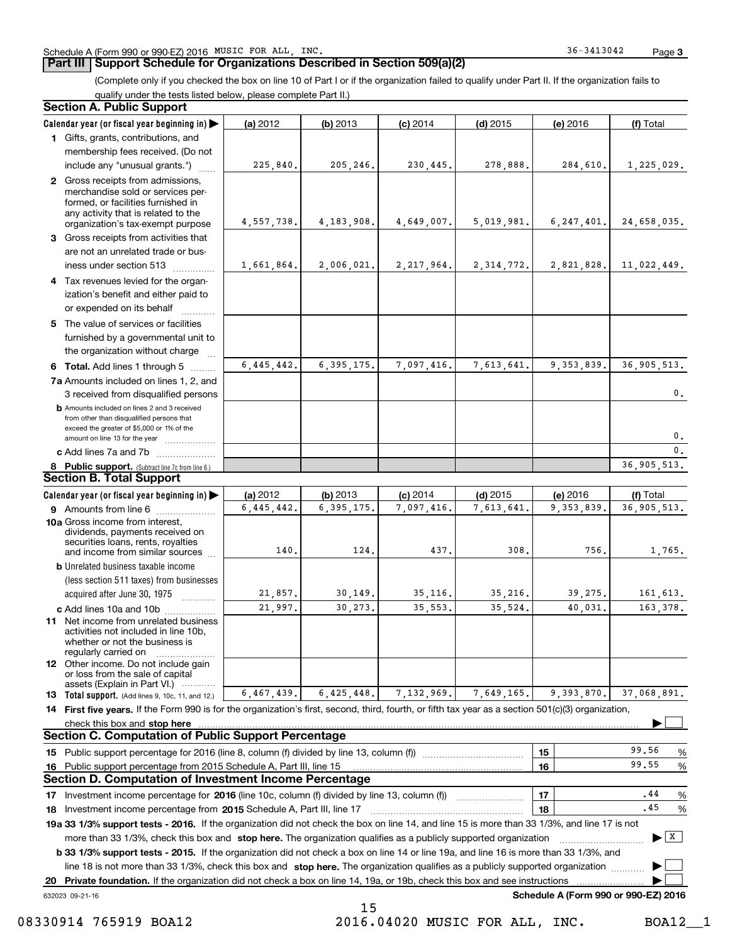#### **Part III Support Schedule for Organizations Described in Section 509(a)(2)**

(Complete only if you checked the box on line 10 of Part I or if the organization failed to qualify under Part II. If the organization fails to qualify under the tests listed below, please complete Part II.)

#### **8 Public support.** (Subtract line 7c from line 6.) **b** Amounts included on lines 2 and 3 received from other than disqualified persons that exceed the greater of \$5,000 or 1% of the amount on line 13 for the year  $\ldots$ ............... **13 Total support.** (Add lines 9, 10c, 11, and 12.) 632023 09-21-16 **Calendar year (or fiscal year beginning in) | Calendar year (or fiscal year beginning in) | (a)** 2012 **| (b)** 2013 **| (c)** 2014 **| (d)** 2015 **| (e)** 2016 **| (f) 1**Gifts, grants, contributions, and **2** Gross receipts from admissions, **3** Gross receipts from activities that **4**Tax revenues levied for the organ-**5** The value of services or facilities **6 Total.** Add lines 1 through 5  $\ldots$ ... **7a**Amounts included on lines 1, 2, and **c** Add lines 7a and 7b  $\ldots$   $\ldots$   $\ldots$  ... **(a)** 2012 **| (b)** 2013 **| (c)** 2014 **| (d)** 2015 **| (e)** 2016 **| (f) 9** Amounts from line 6  $^{10}$ **10a**Gross income from interest, **b** Unrelated business taxable income **c** Add lines 10a and 10b  $^{100}$ **11** Net income from unrelated business **12** Other income. Do not include gain **14 First five years.** If the Form 990 is for the organization's first, second, third, fourth, or fifth tax year as a section 501(c)(3) organization, **stop here** check this box and | **151615161718 2015** Investment income percentage from Schedule A, Part III, line 17 ~~~~~~~~~~~~~~~~~~**19a 33 1/3% support tests - 2016.** If the organization did not check the box on line 14, and line 15 is more than 33 1/3%, and line 17 is not **20Private foundation.**  If the organization did not check a box on line 14, 19a, or 19b, check this box and see instructions | Investment income percentage for 2016 (line 10c, column (f) divided by line 13, column (f)) **1718b33 1/3% support tests - 2015.**  If the organization did not check a box on line 14 or line 19a, and line 16 is more than 33 1/3%, and more than 33 1/3%, check this box and stop here. The organization qualifies as a publicly supported organization *www.www.www.* line 18 is not more than 33 1/3%, check this box and stop here. The organization qualifies as a publicly supported organization  $\Box$ **Schedule A (Form 990 or 990-EZ) 2016** (less section 511 taxes) from businesses acquired after June 30, 1975 (a) 2012 12 **| (b)** 2013 **| (c)** 2014 **| (d)** 2015 **| (e)** 2016 **| (f)** Total membership fees received. (Do not include any "unusual grants.") merchandise sold or services performed, or facilities furnished in any activity that is related to the organization's tax-exempt purpose are not an unrelated trade or business under section 513  $\quad$ ization's benefit and either paid to or expended on its behalf  $^{+}_{-}\,$   $^{+}\,$   $^{+}\,$ furnished by a governmental unit to the organization without charge 3 received from disqualified persons (a) 2012 12 **| (b)** 2013 **| (c)** 2014 **| (d)** 2015 **| (e)** 2016 **| (f)** Total dividends, payments received on securities loans, rents, royalties and income from similar sources activities not included in line 10b, whether or not the business is regularly carried on or loss from the sale of capital assets (Explain in Part VI.) ............ Public support percentage for 2016 (line 8, column (f) divided by line 13, column (f)) ~~~~~~~~~~~~Public support percentage from 2015 Schedule A, Part III, line 15 % 99.56 % %  $\ldots$  | 18 |  $\ldots$   $\ldots$  | 18 | **Section A. Public Support Section B. Total Support Section C. Computation of Public Support Percentage Section D. Computation of Investment Income Percentage**  $\mathcal{L}^{\text{max}}$  $\boxed{\mathbf{X}}$  $\mathcal{L}^{\text{max}}$  $\mathcal{L}^{\text{max}}$  $225,840.$  205,246. 230,445. 278,888. 284,610. 1,225,029. 4,557,738. 4,183,908. 4,649,007. 5,019,981. 6,247,401. 24,658,035. 1,661,864. 2,006,021. 2,217,964. 2,314,772. 2,821,828. 11,022,449. 6,445,442. 6,395,175. 7,097,416. 7,613,641. 9,353,839. 36,905,513. 6,445,442. 6,395,175. 7,097,416. 7,613,641. 9,353,839. 36,905,513. 0.0. $\overline{\mathbf{0}}$ . 36,905,513. 140.0.| 124.| 437.| 308.| 756.| 1,765. 21,857. 30,149. 35,116. 35,216. 39,275. 161,613. 21,997. 30,273. 35,553. 35,524. 40,031. 163,378. 37,068,891. 99.55.44.456,467,439. 6,425,448. 7,132,969. 7,649,165. 9,393,870. 15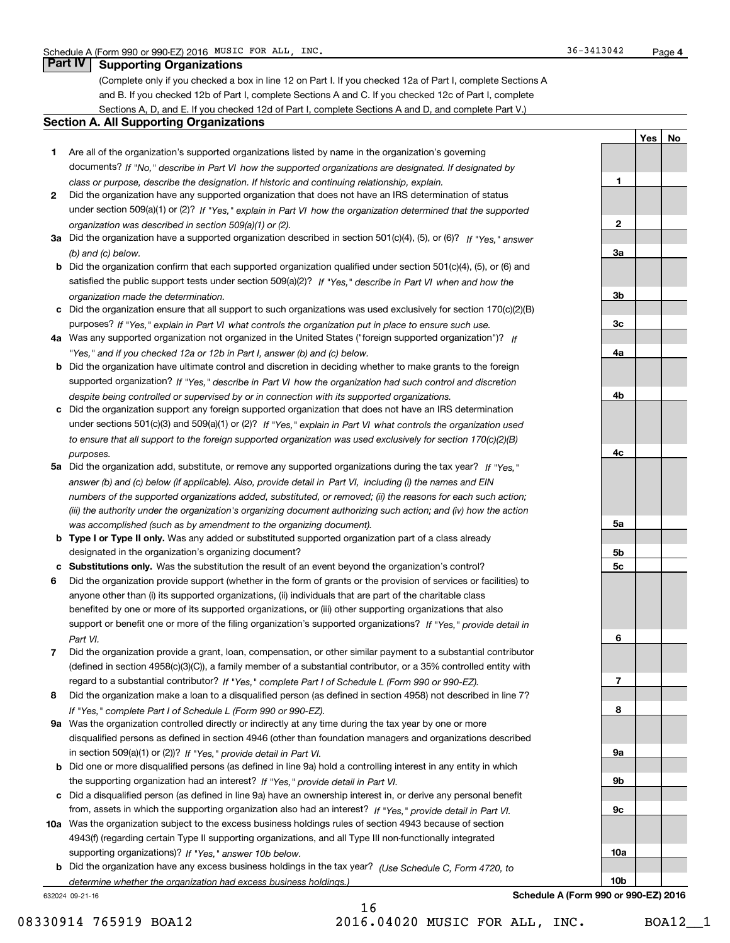# **Part IV Supporting Organizations**

(Complete only if you checked a box in line 12 on Part I. If you checked 12a of Part I, complete Sections A and B. If you checked 12b of Part I, complete Sections A and C. If you checked 12c of Part I, complete Sections A, D, and E. If you checked 12d of Part I, complete Sections A and D, and complete Part V.)

## **Section A. All Supporting Organizations**

- **1** Are all of the organization's supported organizations listed by name in the organization's governing documents? If "No," describe in Part VI how the supported organizations are designated. If designated by *class or purpose, describe the designation. If historic and continuing relationship, explain.*
- **2** Did the organization have any supported organization that does not have an IRS determination of status under section 509(a)(1) or (2)? If "Yes," explain in Part VI how the organization determined that the supported *organization was described in section 509(a)(1) or (2).*
- **3a** Did the organization have a supported organization described in section 501(c)(4), (5), or (6)? If "Yes," answer *(b) and (c) below.*
- **b** Did the organization confirm that each supported organization qualified under section 501(c)(4), (5), or (6) and satisfied the public support tests under section 509(a)(2)? If "Yes," describe in Part VI when and how the *organization made the determination.*
- **c**Did the organization ensure that all support to such organizations was used exclusively for section 170(c)(2)(B) purposes? If "Yes," explain in Part VI what controls the organization put in place to ensure such use.
- **4a** *If* Was any supported organization not organized in the United States ("foreign supported organization")? *"Yes," and if you checked 12a or 12b in Part I, answer (b) and (c) below.*
- **b** Did the organization have ultimate control and discretion in deciding whether to make grants to the foreign supported organization? If "Yes," describe in Part VI how the organization had such control and discretion *despite being controlled or supervised by or in connection with its supported organizations.*
- **c** Did the organization support any foreign supported organization that does not have an IRS determination under sections 501(c)(3) and 509(a)(1) or (2)? If "Yes," explain in Part VI what controls the organization used *to ensure that all support to the foreign supported organization was used exclusively for section 170(c)(2)(B) purposes.*
- **5a** Did the organization add, substitute, or remove any supported organizations during the tax year? If "Yes," answer (b) and (c) below (if applicable). Also, provide detail in Part VI, including (i) the names and EIN *numbers of the supported organizations added, substituted, or removed; (ii) the reasons for each such action; (iii) the authority under the organization's organizing document authorizing such action; and (iv) how the action was accomplished (such as by amendment to the organizing document).*
- **b** Type I or Type II only. Was any added or substituted supported organization part of a class already designated in the organization's organizing document?
- **cSubstitutions only.**  Was the substitution the result of an event beyond the organization's control?
- **6** Did the organization provide support (whether in the form of grants or the provision of services or facilities) to *If "Yes," provide detail in* support or benefit one or more of the filing organization's supported organizations? anyone other than (i) its supported organizations, (ii) individuals that are part of the charitable class benefited by one or more of its supported organizations, or (iii) other supporting organizations that also *Part VI.*
- **7**Did the organization provide a grant, loan, compensation, or other similar payment to a substantial contributor *If "Yes," complete Part I of Schedule L (Form 990 or 990-EZ).* regard to a substantial contributor? (defined in section 4958(c)(3)(C)), a family member of a substantial contributor, or a 35% controlled entity with
- **8** Did the organization make a loan to a disqualified person (as defined in section 4958) not described in line 7? *If "Yes," complete Part I of Schedule L (Form 990 or 990-EZ).*
- **9a** Was the organization controlled directly or indirectly at any time during the tax year by one or more in section 509(a)(1) or (2))? If "Yes," *provide detail in Part VI.* disqualified persons as defined in section 4946 (other than foundation managers and organizations described
- **b**the supporting organization had an interest? If "Yes," provide detail in Part VI. Did one or more disqualified persons (as defined in line 9a) hold a controlling interest in any entity in which
- **c**Did a disqualified person (as defined in line 9a) have an ownership interest in, or derive any personal benefit from, assets in which the supporting organization also had an interest? If "Yes," provide detail in Part VI.
- **10a** Was the organization subject to the excess business holdings rules of section 4943 because of section supporting organizations)? If "Yes," answer 10b below. 4943(f) (regarding certain Type II supporting organizations, and all Type III non-functionally integrated
- **b** Did the organization have any excess business holdings in the tax year? (Use Schedule C, Form 4720, to *determine whether the organization had excess business holdings.)*

632024 09-21-16

| 1              |  |
|----------------|--|
|                |  |
| $\overline{2}$ |  |
|                |  |
| <u>3a</u>      |  |
|                |  |
| $\frac{3b}{2}$ |  |
|                |  |
| $\frac{3c}{2}$ |  |
|                |  |
| <u>4a</u>      |  |
|                |  |
| 4 <sub>b</sub> |  |
|                |  |
| $rac{4c}{2}$   |  |
|                |  |
|                |  |
| <u>5a</u>      |  |
|                |  |
| $\frac{5b}{2}$ |  |
| $\frac{5c}{2}$ |  |
|                |  |
| 6              |  |
|                |  |
| $\overline{1}$ |  |
|                |  |
| 8              |  |
|                |  |
| <u>9a</u>      |  |
| <u>9b</u>      |  |
|                |  |
| $\frac{9c}{2}$ |  |
|                |  |
| 10a            |  |

**Yes**

**No**

**Schedule A (Form 990 or 990-EZ) 2016**

**10b**

16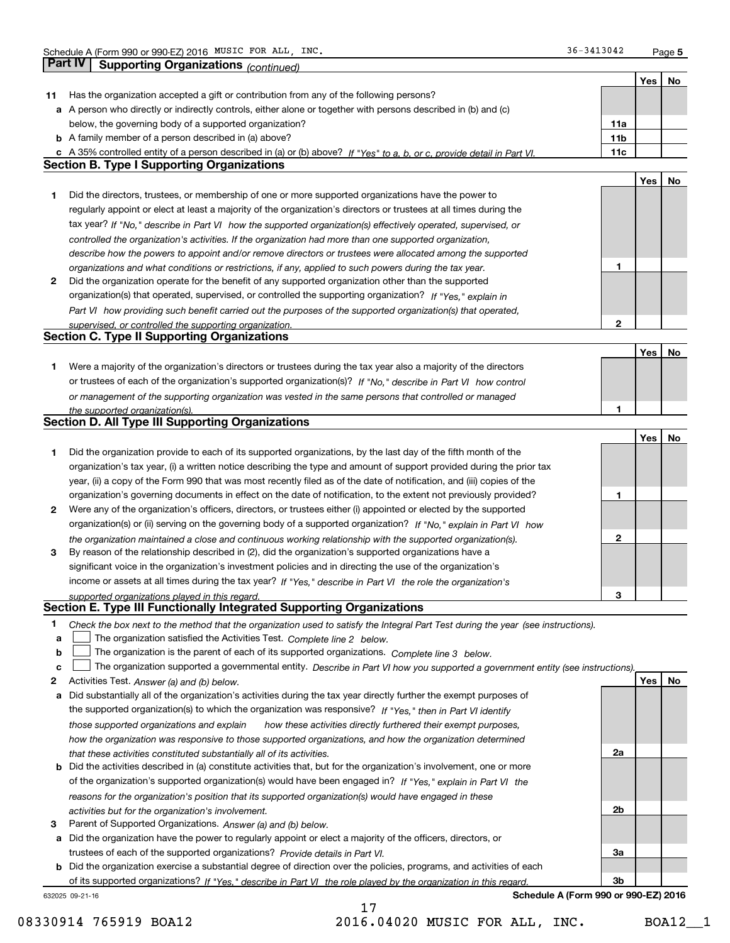**5**

|    |                                                                                                                                                              |                 | Yes | No |
|----|--------------------------------------------------------------------------------------------------------------------------------------------------------------|-----------------|-----|----|
| 11 | Has the organization accepted a gift or contribution from any of the following persons?                                                                      |                 |     |    |
|    | a A person who directly or indirectly controls, either alone or together with persons described in (b) and (c)                                               |                 |     |    |
|    | below, the governing body of a supported organization?                                                                                                       | 11a             |     |    |
|    | <b>b</b> A family member of a person described in (a) above?                                                                                                 | 11 <sub>b</sub> |     |    |
|    | c A 35% controlled entity of a person described in (a) or (b) above? If "Yes" to a, b, or c, provide detail in Part VI.                                      | 11c             |     |    |
|    | <b>Section B. Type I Supporting Organizations</b>                                                                                                            |                 |     |    |
|    |                                                                                                                                                              |                 | Yes | No |
| 1  | Did the directors, trustees, or membership of one or more supported organizations have the power to                                                          |                 |     |    |
|    | regularly appoint or elect at least a majority of the organization's directors or trustees at all times during the                                           |                 |     |    |
|    | tax year? If "No," describe in Part VI how the supported organization(s) effectively operated, supervised, or                                                |                 |     |    |
|    | controlled the organization's activities. If the organization had more than one supported organization,                                                      |                 |     |    |
|    | describe how the powers to appoint and/or remove directors or trustees were allocated among the supported                                                    |                 |     |    |
|    | organizations and what conditions or restrictions, if any, applied to such powers during the tax year.                                                       | 1               |     |    |
| 2  | Did the organization operate for the benefit of any supported organization other than the supported                                                          |                 |     |    |
|    | organization(s) that operated, supervised, or controlled the supporting organization? If "Yes," explain in                                                   |                 |     |    |
|    | Part VI how providing such benefit carried out the purposes of the supported organization(s) that operated,                                                  |                 |     |    |
|    | supervised, or controlled the supporting organization.<br><b>Section C. Type II Supporting Organizations</b>                                                 | $\mathbf{2}$    |     |    |
|    |                                                                                                                                                              |                 |     |    |
|    |                                                                                                                                                              |                 | Yes | No |
| 1. | Were a majority of the organization's directors or trustees during the tax year also a majority of the directors                                             |                 |     |    |
|    | or trustees of each of the organization's supported organization(s)? If "No," describe in Part VI how control                                                |                 |     |    |
|    | or management of the supporting organization was vested in the same persons that controlled or managed                                                       | 1               |     |    |
|    | the supported organization(s).<br><b>Section D. All Type III Supporting Organizations</b>                                                                    |                 |     |    |
|    |                                                                                                                                                              |                 | Yes | No |
| 1  | Did the organization provide to each of its supported organizations, by the last day of the fifth month of the                                               |                 |     |    |
|    | organization's tax year, (i) a written notice describing the type and amount of support provided during the prior tax                                        |                 |     |    |
|    | year, (ii) a copy of the Form 990 that was most recently filed as of the date of notification, and (iii) copies of the                                       |                 |     |    |
|    | organization's governing documents in effect on the date of notification, to the extent not previously provided?                                             | 1               |     |    |
| 2  | Were any of the organization's officers, directors, or trustees either (i) appointed or elected by the supported                                             |                 |     |    |
|    | organization(s) or (ii) serving on the governing body of a supported organization? If "No," explain in Part VI how                                           |                 |     |    |
|    | the organization maintained a close and continuous working relationship with the supported organization(s).                                                  | $\mathbf{2}$    |     |    |
| 3  | By reason of the relationship described in (2), did the organization's supported organizations have a                                                        |                 |     |    |
|    | significant voice in the organization's investment policies and in directing the use of the organization's                                                   |                 |     |    |
|    | income or assets at all times during the tax year? If "Yes," describe in Part VI the role the organization's                                                 |                 |     |    |
|    | supported organizations played in this regard.                                                                                                               | 3               |     |    |
|    | Section E. Type III Functionally Integrated Supporting Organizations                                                                                         |                 |     |    |
| 1  | Check the box next to the method that the organization used to satisfy the Integral Part Test during the year (see instructions).                            |                 |     |    |
| а  | The organization satisfied the Activities Test. Complete line 2 below.                                                                                       |                 |     |    |
| b  | The organization is the parent of each of its supported organizations. Complete line 3 below.                                                                |                 |     |    |
| c  | The organization supported a governmental entity. Describe in Part VI how you supported a government entity (see instructions).                              |                 |     |    |
| 2  | Activities Test. Answer (a) and (b) below.                                                                                                                   |                 | Yes | No |
| а  | Did substantially all of the organization's activities during the tax year directly further the exempt purposes of                                           |                 |     |    |
|    | the supported organization(s) to which the organization was responsive? If "Yes," then in Part VI identify                                                   |                 |     |    |
|    | those supported organizations and explain<br>how these activities directly furthered their exempt purposes,                                                  |                 |     |    |
|    | how the organization was responsive to those supported organizations, and how the organization determined                                                    |                 |     |    |
|    | that these activities constituted substantially all of its activities.                                                                                       | 2a              |     |    |
|    | <b>b</b> Did the activities described in (a) constitute activities that, but for the organization's involvement, one or more                                 |                 |     |    |
|    | of the organization's supported organization(s) would have been engaged in? If "Yes," explain in Part VI the                                                 |                 |     |    |
|    | reasons for the organization's position that its supported organization(s) would have engaged in these<br>activities but for the organization's involvement. | 2b              |     |    |
| З  | Parent of Supported Organizations. Answer (a) and (b) below.                                                                                                 |                 |     |    |
|    | a Did the organization have the power to regularly appoint or elect a majority of the officers, directors, or                                                |                 |     |    |
|    | trustees of each of the supported organizations? Provide details in Part VI.                                                                                 | За              |     |    |
|    | <b>b</b> Did the organization exercise a substantial degree of direction over the policies, programs, and activities of each                                 |                 |     |    |
|    | of its supported organizations? If "Yes." describe in Part VI the role played by the organization in this regard.                                            | 3b              |     |    |
|    | Schedule A (Form 990 or 990-EZ) 2016<br>632025 09-21-16                                                                                                      |                 |     |    |
|    | 17                                                                                                                                                           |                 |     |    |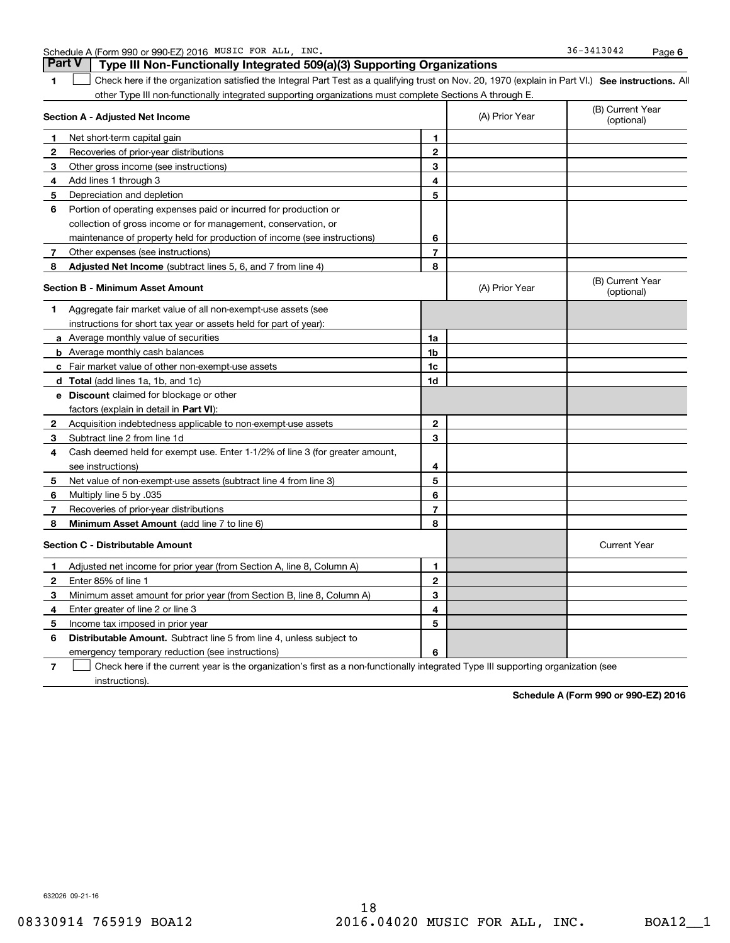|  | Schedule A (Form 990 or 990-EZ) 2016 | MUSIC FOR | ALL | INC. | $-3413042$<br>36- | Page |  |
|--|--------------------------------------|-----------|-----|------|-------------------|------|--|
|--|--------------------------------------|-----------|-----|------|-------------------|------|--|

#### **1SEP 10. See instructions.** All antegral Part Test as a qualifying trust on Nov. 20, 1970 (explain in Part VI.) See instructions. All **Section A - Adjusted Net Income** other Type III non-functionally integrated supporting organizations must complete Sections A through E. (B) Current Year (optional)(A) Prior Year **Part V Type III Non-Functionally Integrated 509(a)(3) Supporting Organizations**   $\mathcal{L}^{\text{max}}$

| 1            | Net short-term capital gain                                                                                  | 1              |                |                                |
|--------------|--------------------------------------------------------------------------------------------------------------|----------------|----------------|--------------------------------|
| 2            | Recoveries of prior-year distributions                                                                       | $\mathbf{2}$   |                |                                |
| 3            | Other gross income (see instructions)                                                                        | 3              |                |                                |
| 4            | Add lines 1 through 3                                                                                        | 4              |                |                                |
| 5            | Depreciation and depletion                                                                                   | 5              |                |                                |
| 6            | Portion of operating expenses paid or incurred for production or                                             |                |                |                                |
|              | collection of gross income or for management, conservation, or                                               |                |                |                                |
|              | maintenance of property held for production of income (see instructions)                                     | 6              |                |                                |
| 7            | Other expenses (see instructions)                                                                            | $\overline{7}$ |                |                                |
| 8            | Adjusted Net Income (subtract lines 5, 6, and 7 from line 4)                                                 | 8              |                |                                |
|              | <b>Section B - Minimum Asset Amount</b>                                                                      |                | (A) Prior Year | (B) Current Year<br>(optional) |
| 1            | Aggregate fair market value of all non-exempt-use assets (see                                                |                |                |                                |
|              | instructions for short tax year or assets held for part of year):                                            |                |                |                                |
|              | a Average monthly value of securities                                                                        | 1a             |                |                                |
|              | <b>b</b> Average monthly cash balances                                                                       | 1 <sub>b</sub> |                |                                |
|              | c Fair market value of other non-exempt-use assets                                                           | 1c             |                |                                |
|              | d Total (add lines 1a, 1b, and 1c)                                                                           | 1d             |                |                                |
|              | e Discount claimed for blockage or other                                                                     |                |                |                                |
|              | factors (explain in detail in Part VI):                                                                      |                |                |                                |
| $\mathbf{2}$ | Acquisition indebtedness applicable to non-exempt-use assets                                                 | $\mathbf{2}$   |                |                                |
| 3            | Subtract line 2 from line 1d                                                                                 | 3              |                |                                |
| 4            | Cash deemed held for exempt use. Enter 1-1/2% of line 3 (for greater amount,                                 |                |                |                                |
|              | see instructions)                                                                                            | 4              |                |                                |
| 5            | Net value of non-exempt-use assets (subtract line 4 from line 3)                                             | 5              |                |                                |
| 6            | Multiply line 5 by .035                                                                                      | 6              |                |                                |
| 7            | Recoveries of prior-year distributions                                                                       | $\overline{7}$ |                |                                |
| 8            | Minimum Asset Amount (add line 7 to line 6)                                                                  | 8              |                |                                |
|              | <b>Section C - Distributable Amount</b>                                                                      |                |                | <b>Current Year</b>            |
| 1            | Adjusted net income for prior year (from Section A, line 8, Column A)                                        | 1              |                |                                |
| 2            | Enter 85% of line 1                                                                                          | $\mathbf{2}$   |                |                                |
| 3            | Minimum asset amount for prior year (from Section B, line 8, Column A)                                       | 3              |                |                                |
| 4            | Enter greater of line 2 or line 3                                                                            | 4              |                |                                |
| 5            | Income tax imposed in prior year                                                                             | 5              |                |                                |
| 6            | <b>Distributable Amount.</b> Subtract line 5 from line 4, unless subject to                                  |                |                |                                |
|              | emergency temporary reduction (see instructions)                                                             | 6              |                |                                |
|              | Absolute the contribution of the contribution of the contribution of<br>and the second control of the second |                |                |                                |

**7**Check here if the current year is the organization's first as a non-functionally integrated Type III supporting organization (see instructions).

**Schedule A (Form 990 or 990-EZ) 2016**

632026 09-21-16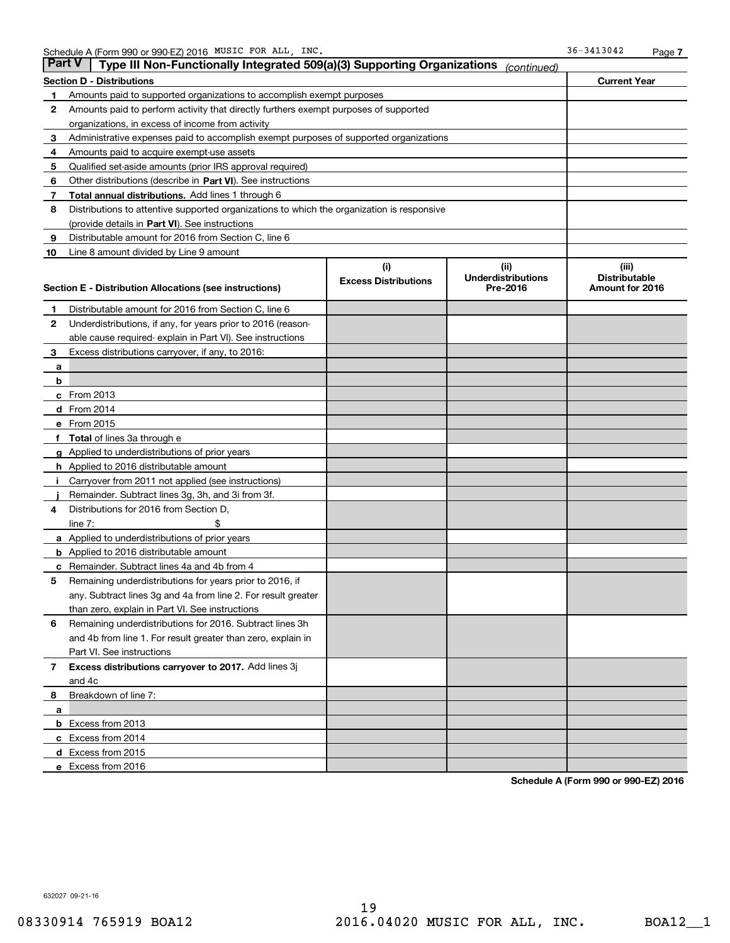| Part V | Type III Non-Functionally Integrated 509(a)(3) Supporting Organizations                    |                             | (continued)               |                      |
|--------|--------------------------------------------------------------------------------------------|-----------------------------|---------------------------|----------------------|
|        | <b>Section D - Distributions</b>                                                           |                             |                           | <b>Current Year</b>  |
| 1      | Amounts paid to supported organizations to accomplish exempt purposes                      |                             |                           |                      |
| 2      | Amounts paid to perform activity that directly furthers exempt purposes of supported       |                             |                           |                      |
|        | organizations, in excess of income from activity                                           |                             |                           |                      |
| з      | Administrative expenses paid to accomplish exempt purposes of supported organizations      |                             |                           |                      |
| 4      | Amounts paid to acquire exempt-use assets                                                  |                             |                           |                      |
| 5      | Qualified set-aside amounts (prior IRS approval required)                                  |                             |                           |                      |
| 6      | Other distributions (describe in Part VI). See instructions                                |                             |                           |                      |
| 7      | Total annual distributions. Add lines 1 through 6                                          |                             |                           |                      |
| 8      | Distributions to attentive supported organizations to which the organization is responsive |                             |                           |                      |
|        | (provide details in Part VI). See instructions                                             |                             |                           |                      |
| 9      | Distributable amount for 2016 from Section C, line 6                                       |                             |                           |                      |
| 10     | Line 8 amount divided by Line 9 amount                                                     |                             |                           |                      |
|        |                                                                                            | (i)                         | (ii)                      | (iii)                |
|        |                                                                                            | <b>Excess Distributions</b> | <b>Underdistributions</b> | <b>Distributable</b> |
|        | Section E - Distribution Allocations (see instructions)                                    |                             | Pre-2016                  | Amount for 2016      |
| 1      | Distributable amount for 2016 from Section C, line 6                                       |                             |                           |                      |
| 2      | Underdistributions, if any, for years prior to 2016 (reason-                               |                             |                           |                      |
|        | able cause required-explain in Part VI). See instructions                                  |                             |                           |                      |
| 3      | Excess distributions carryover, if any, to 2016:                                           |                             |                           |                      |
| а      |                                                                                            |                             |                           |                      |
| b      |                                                                                            |                             |                           |                      |
|        | <b>c</b> From 2013                                                                         |                             |                           |                      |
|        | d From 2014                                                                                |                             |                           |                      |
|        | e From 2015                                                                                |                             |                           |                      |
| f      | Total of lines 3a through e                                                                |                             |                           |                      |
|        | <b>g</b> Applied to underdistributions of prior years                                      |                             |                           |                      |
|        | <b>h</b> Applied to 2016 distributable amount                                              |                             |                           |                      |
|        | Carryover from 2011 not applied (see instructions)                                         |                             |                           |                      |
|        | Remainder. Subtract lines 3g, 3h, and 3i from 3f.                                          |                             |                           |                      |
| 4      | Distributions for 2016 from Section D,                                                     |                             |                           |                      |
|        | line $7:$                                                                                  |                             |                           |                      |
|        | <b>a</b> Applied to underdistributions of prior years                                      |                             |                           |                      |
|        | <b>b</b> Applied to 2016 distributable amount                                              |                             |                           |                      |
| c      | Remainder. Subtract lines 4a and 4b from 4                                                 |                             |                           |                      |
| 5      | Remaining underdistributions for years prior to 2016, if                                   |                             |                           |                      |
|        | any. Subtract lines 3g and 4a from line 2. For result greater                              |                             |                           |                      |
|        | than zero, explain in Part VI. See instructions                                            |                             |                           |                      |
| 6      | Remaining underdistributions for 2016. Subtract lines 3h                                   |                             |                           |                      |
|        | and 4b from line 1. For result greater than zero, explain in                               |                             |                           |                      |
|        | Part VI. See instructions                                                                  |                             |                           |                      |
| 7      | Excess distributions carryover to 2017. Add lines 3j                                       |                             |                           |                      |
|        | and 4c                                                                                     |                             |                           |                      |
| 8      | Breakdown of line 7:                                                                       |                             |                           |                      |
| a      |                                                                                            |                             |                           |                      |
|        | b Excess from 2013                                                                         |                             |                           |                      |
|        | c Excess from 2014                                                                         |                             |                           |                      |
|        | d Excess from 2015                                                                         |                             |                           |                      |
|        | e Excess from 2016                                                                         |                             |                           |                      |

**Schedule A (Form 990 or 990-EZ) 2016**

632027 09-21-16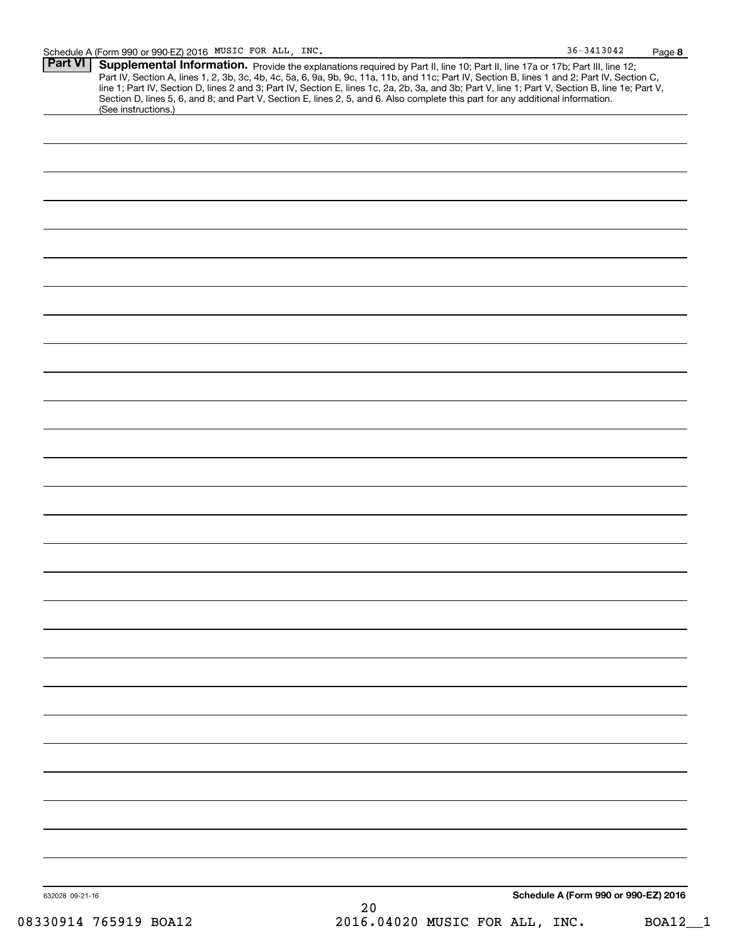| <b>Part VI   Supplemental Information.</b> Provide the explanations required by Part II, line 10; Part II, line 17a or 17b; Part III, line 12;   |
|--------------------------------------------------------------------------------------------------------------------------------------------------|
| Part IV, Section A, lines 1, 2, 3b, 3c, 4b, 4c, 5a, 6, 9a, 9b, 9c, 11a, 11b, and 11c; Part IV, Section B, lines 1 and 2; Part IV, Section C,     |
| line 1; Part IV, Section D, lines 2 and 3; Part IV, Section E, lines 1c, 2a, 2b, 3a, and 3b; Part V, line 1; Part V, Section B, line 1e; Part V, |
| Section D, lines 5, 6, and 8; and Part V, Section E, lines 2, 5, and 6. Also complete this part for any additional information.                  |
| (See instructions.)                                                                                                                              |
|                                                                                                                                                  |

| 632028 09-21-16 | $2\,0$ | Schedule A (Form 990 or 990-EZ) 2016 |
|-----------------|--------|--------------------------------------|
|                 |        |                                      |
|                 |        |                                      |
|                 |        |                                      |
|                 |        |                                      |
|                 |        |                                      |
|                 |        |                                      |
|                 |        |                                      |
|                 |        |                                      |
|                 |        |                                      |
|                 |        |                                      |
|                 |        |                                      |
|                 |        |                                      |
|                 |        |                                      |
|                 |        |                                      |
|                 |        |                                      |
|                 |        |                                      |
|                 |        |                                      |
|                 |        |                                      |
|                 |        |                                      |
|                 |        |                                      |
|                 |        |                                      |
|                 |        |                                      |
|                 |        |                                      |
|                 |        |                                      |
|                 |        |                                      |
|                 |        |                                      |
|                 |        |                                      |
|                 |        |                                      |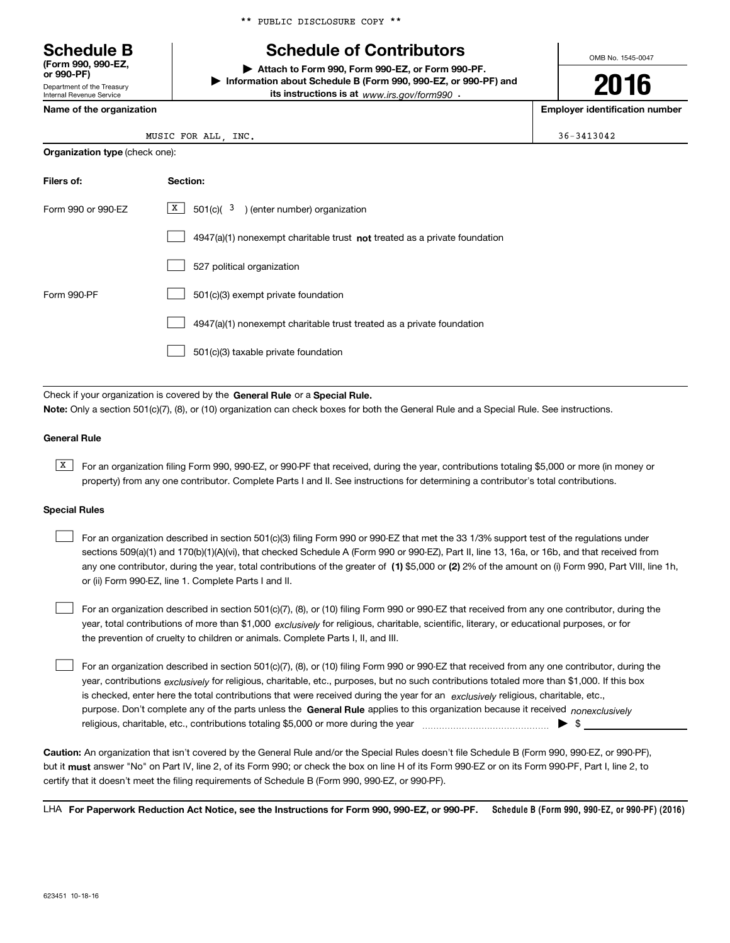\*\* PUBLIC DISCLOSURE COPY \*\*

# **Schedule B Schedule of Contributors**

OMB No. 1545-0047

**2016**

**| Attach to Form 990, Form 990-EZ, or Form 990-PF. | Information about Schedule B (Form 990, 990-EZ, or 990-PF) and its instructions is at** www.irs.gov/form990  $\cdot$ 

**Name of the organization Employer identification number**

**Organization type** (check one):

Department of the Treasury Internal Revenue Service

**(Form 990, 990-EZ, or 990-PF)**

| MUSIC FOR<br>ALL<br>INC.<br>_______ | 36-3413042 |
|-------------------------------------|------------|
|-------------------------------------|------------|

| Filers of:         | Section:                                                                    |
|--------------------|-----------------------------------------------------------------------------|
| Form 990 or 990-EZ | X  <br>$501(c)$ $3$ ) (enter number) organization                           |
|                    | $4947(a)(1)$ nonexempt charitable trust not treated as a private foundation |
|                    | 527 political organization                                                  |
| Form 990-PF        | 501(c)(3) exempt private foundation                                         |
|                    | 4947(a)(1) nonexempt charitable trust treated as a private foundation       |
|                    | 501(c)(3) taxable private foundation                                        |

Check if your organization is covered by the **General Rule** or a **Special Rule. Note:**  Only a section 501(c)(7), (8), or (10) organization can check boxes for both the General Rule and a Special Rule. See instructions.

### **General Rule**

 $\overline{X}$  For an organization filing Form 990, 990-EZ, or 990-PF that received, during the year, contributions totaling \$5,000 or more (in money or property) from any one contributor. Complete Parts I and II. See instructions for determining a contributor's total contributions.

#### **Special Rules**

 $\mathcal{L}^{\text{max}}$ 

|  | For an organization described in section 501(c)(3) filing Form 990 or 990-EZ that met the 33 1/3% support test of the regulations under              |
|--|------------------------------------------------------------------------------------------------------------------------------------------------------|
|  | sections 509(a)(1) and 170(b)(1)(A)(vi), that checked Schedule A (Form 990 or 990-EZ), Part II, line 13, 16a, or 16b, and that received from         |
|  | any one contributor, during the year, total contributions of the greater of (1) \$5,000 or (2) 2% of the amount on (i) Form 990, Part VIII, line 1h, |
|  | or (ii) Form 990-EZ, line 1. Complete Parts I and II.                                                                                                |

year, total contributions of more than \$1,000 *exclusively* for religious, charitable, scientific, literary, or educational purposes, or for For an organization described in section 501(c)(7), (8), or (10) filing Form 990 or 990-EZ that received from any one contributor, during the the prevention of cruelty to children or animals. Complete Parts I, II, and III.  $\mathcal{L}^{\text{max}}$ 

purpose. Don't complete any of the parts unless the **General Rule** applies to this organization because it received *nonexclusively* year, contributions <sub>exclusively</sub> for religious, charitable, etc., purposes, but no such contributions totaled more than \$1,000. If this box is checked, enter here the total contributions that were received during the year for an  $\;$ exclusively religious, charitable, etc., For an organization described in section 501(c)(7), (8), or (10) filing Form 990 or 990-EZ that received from any one contributor, during the religious, charitable, etc., contributions totaling \$5,000 or more during the year  $\ldots$  $\ldots$  $\ldots$  $\ldots$  $\ldots$  $\ldots$ 

**Caution:**  An organization that isn't covered by the General Rule and/or the Special Rules doesn't file Schedule B (Form 990, 990-EZ, or 990-PF),  **must** but it answer "No" on Part IV, line 2, of its Form 990; or check the box on line H of its Form 990-EZ or on its Form 990-PF, Part I, line 2, to certify that it doesn't meet the filing requirements of Schedule B (Form 990, 990-EZ, or 990-PF).

**Schedule B (Form 990, 990-EZ, or 990-PF) (2016) For Paperwork Reduction Act Notice, see the Instructions for Form 990, 990-EZ, or 990-PF.** LHA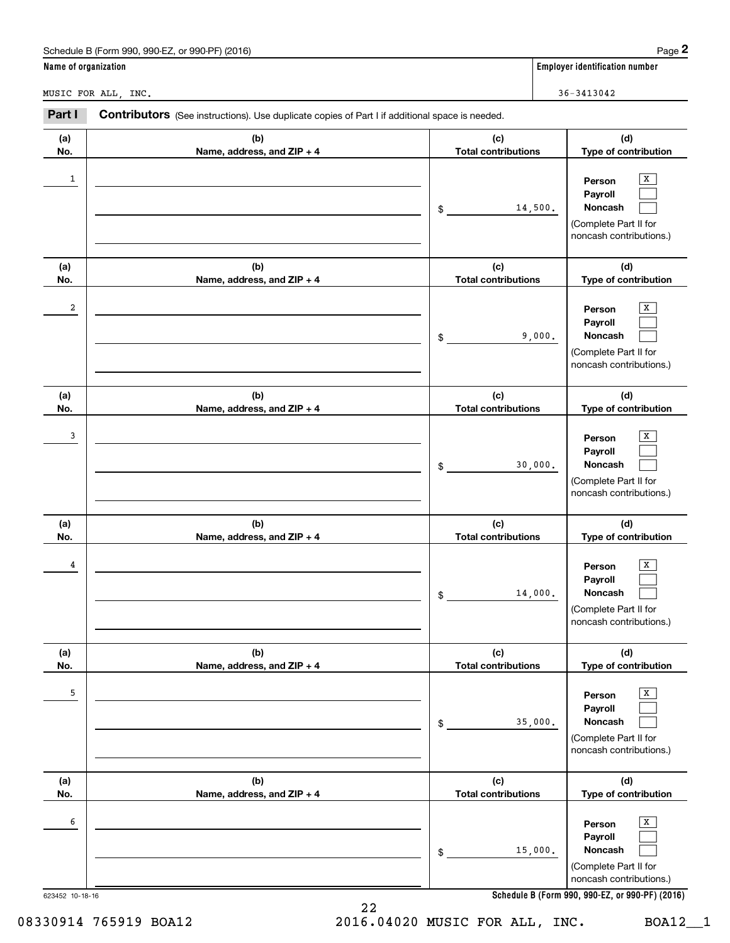|                      | Schedule B (Form 990, 990-EZ, or 990-PF) (2016)                                                |                                   | Page 2                                                                                |
|----------------------|------------------------------------------------------------------------------------------------|-----------------------------------|---------------------------------------------------------------------------------------|
| Name of organization |                                                                                                |                                   | <b>Employer identification number</b>                                                 |
|                      | MUSIC FOR ALL, INC.                                                                            |                                   | 36-3413042                                                                            |
| Part I               | Contributors (See instructions). Use duplicate copies of Part I if additional space is needed. |                                   |                                                                                       |
| (a)<br>No.           | (b)<br>Name, address, and ZIP + 4                                                              | (c)<br><b>Total contributions</b> | (d)<br>Type of contribution                                                           |
| 1                    |                                                                                                | \$<br>14,500.                     | х<br>Person<br>Payroll<br>Noncash<br>(Complete Part II for<br>noncash contributions.) |
| (a)<br>No.           | (b)<br>Name, address, and ZIP + 4                                                              | (c)<br><b>Total contributions</b> | (d)<br>Type of contribution                                                           |
| 2                    |                                                                                                | \$<br>9,000.                      | x<br>Person<br>Payroll<br>Noncash<br>(Complete Part II for<br>noncash contributions.) |
| (a)<br>No.           | (b)<br>Name, address, and ZIP + 4                                                              | (c)<br><b>Total contributions</b> | (d)<br>Type of contribution                                                           |
| 3                    |                                                                                                | \$<br>30,000.                     | х<br>Person<br>Payroll<br>Noncash<br>(Complete Part II for<br>noncash contributions.) |
| (a)<br>No.           | (b)<br>Name, address, and ZIP + 4                                                              | (c)<br><b>Total contributions</b> | (d)<br>Type of contribution                                                           |
| 4                    |                                                                                                | \$<br>14,000.                     | x<br>Person<br>Payroll<br>Noncash<br>(Complete Part II for<br>noncash contributions.) |
| (a)<br>No.           | (b)<br>Name, address, and ZIP + 4                                                              | (c)<br><b>Total contributions</b> | (d)<br>Type of contribution                                                           |
| 5                    |                                                                                                | \$<br>35,000.                     | X<br>Person<br>Payroll<br>Noncash<br>(Complete Part II for<br>noncash contributions.) |
| (a)<br>No.           | (b)<br>Name, address, and ZIP + 4                                                              | (c)<br><b>Total contributions</b> | (d)<br>Type of contribution                                                           |
| 6                    |                                                                                                | \$<br>15,000.                     | X<br>Person<br>Payroll<br>Noncash<br>(Complete Part II for<br>noncash contributions.) |
| 623452 10-18-16      |                                                                                                |                                   | Schedule B (Form 990, 990-EZ, or 990-PF) (2016)                                       |

**Schedule B (Form 990, 990-EZ, or 990-PF) (2016)**

22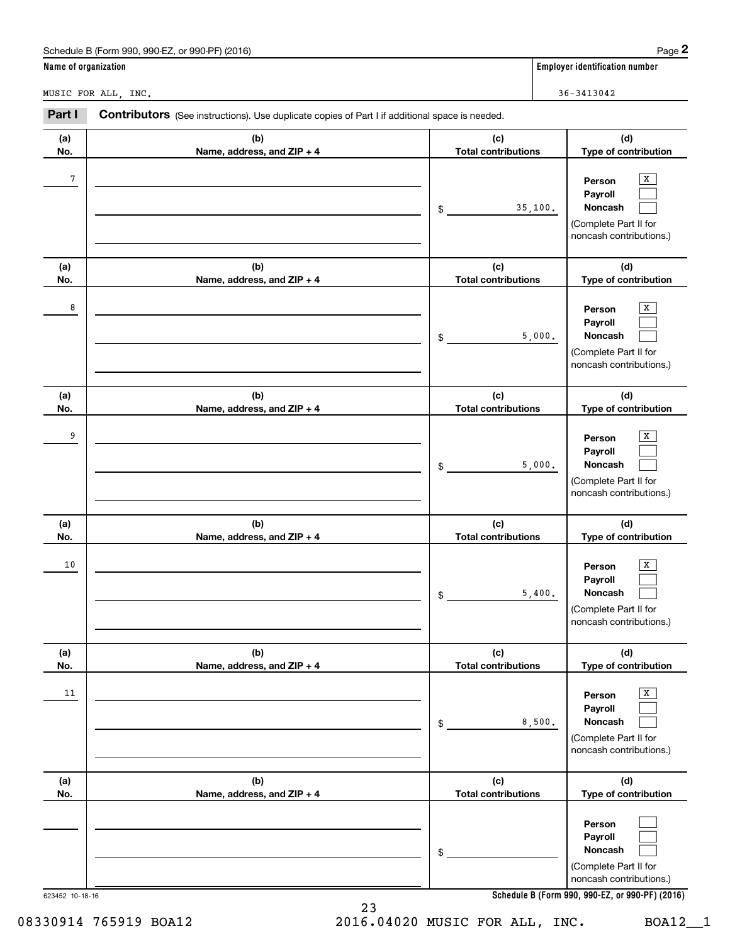|                      | Schedule B (Form 990, 990-EZ, or 990-PF) (2016)                                                |                                   |         | Page 2                                                                                                             |
|----------------------|------------------------------------------------------------------------------------------------|-----------------------------------|---------|--------------------------------------------------------------------------------------------------------------------|
| Name of organization |                                                                                                |                                   |         | <b>Employer identification number</b>                                                                              |
|                      | MUSIC FOR ALL, INC.                                                                            |                                   |         | $36 - 3413042$                                                                                                     |
| Part I               | Contributors (See instructions). Use duplicate copies of Part I if additional space is needed. |                                   |         |                                                                                                                    |
| (a)<br>No.           | (b)<br>Name, address, and ZIP + 4                                                              | (c)<br><b>Total contributions</b> |         | (d)<br>Type of contribution                                                                                        |
| 7                    |                                                                                                | \$                                | 35,100. | x<br>Person<br>Payroll<br>Noncash<br>(Complete Part II for<br>noncash contributions.)                              |
| (a)<br>No.           | (b)<br>Name, address, and ZIP + 4                                                              | (c)<br><b>Total contributions</b> |         | (d)<br>Type of contribution                                                                                        |
| 8                    |                                                                                                | \$                                | 5,000.  | x<br>Person<br>Payroll<br>Noncash<br>(Complete Part II for<br>noncash contributions.)                              |
| (a)<br>No.           | (b)<br>Name, address, and ZIP + 4                                                              | (c)<br><b>Total contributions</b> |         | (d)<br>Type of contribution                                                                                        |
| 9                    |                                                                                                | \$                                | 5,000.  | x<br>Person<br>Payroll<br>Noncash<br>(Complete Part II for<br>noncash contributions.)                              |
| (a)<br>No.           | (b)<br>Name, address, and ZIP + 4                                                              | (c)<br><b>Total contributions</b> |         | (d)<br>Type of contribution                                                                                        |
| 10                   |                                                                                                | \$                                | 5,400.  | x<br>Person<br>Payroll<br>Noncash<br>(Complete Part II for<br>noncash contributions.)                              |
| (a)<br>No.           | (b)<br>Name, address, and ZIP + 4                                                              | (c)<br><b>Total contributions</b> |         | (d)<br>Type of contribution                                                                                        |
| 11                   |                                                                                                | \$                                | 8,500.  | $\overline{\mathbf{x}}$<br>Person<br>Payroll<br><b>Noncash</b><br>(Complete Part II for<br>noncash contributions.) |
| (a)<br>No.           | (b)<br>Name, address, and ZIP + 4                                                              | (c)<br><b>Total contributions</b> |         | (d)<br>Type of contribution                                                                                        |
|                      |                                                                                                | \$                                |         | Person<br>Payroll<br>Noncash<br>(Complete Part II for<br>noncash contributions.)                                   |

**Schedule B (Form 990, 990-EZ, or 990-PF) (2016)**

23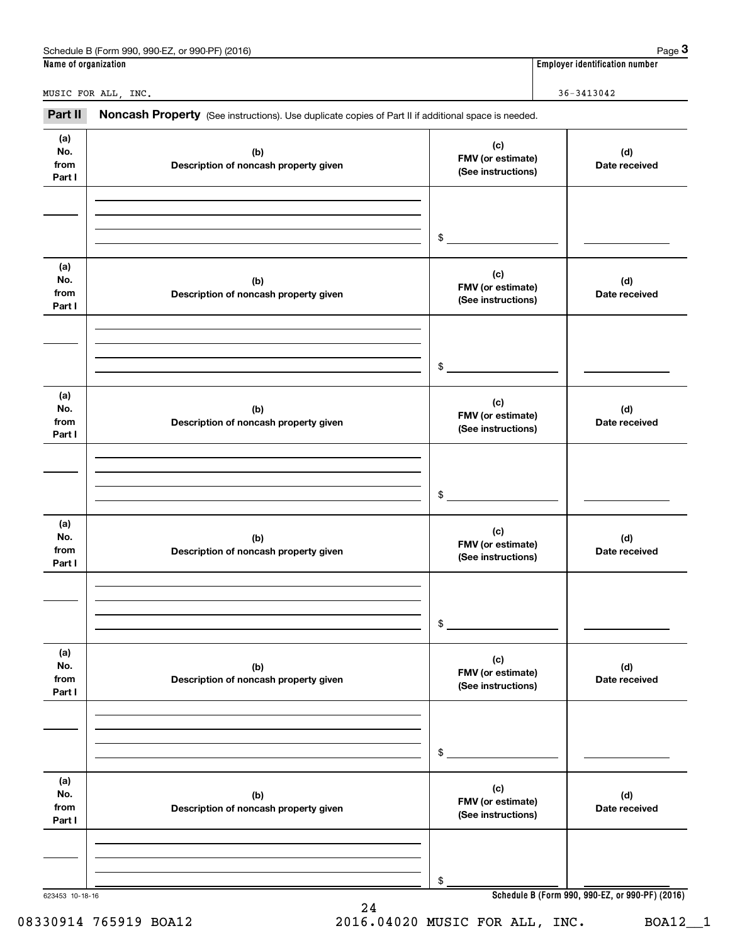| Name of organization         | Schedule B (Form 990, 990-EZ, or 990-PF) (2016)                                                     |                                                | Page $3$<br><b>Employer identification number</b> |
|------------------------------|-----------------------------------------------------------------------------------------------------|------------------------------------------------|---------------------------------------------------|
|                              |                                                                                                     |                                                |                                                   |
|                              | MUSIC FOR ALL, INC.                                                                                 |                                                | $36 - 3413042$                                    |
| Part II                      | Noncash Property (See instructions). Use duplicate copies of Part II if additional space is needed. |                                                |                                                   |
| (a)<br>No.<br>from<br>Part I | (b)<br>Description of noncash property given                                                        | (c)<br>FMV (or estimate)<br>(See instructions) | (d)<br>Date received                              |
|                              |                                                                                                     | \$                                             |                                                   |
| (a)<br>No.<br>from<br>Part I | (b)<br>Description of noncash property given                                                        | (c)<br>FMV (or estimate)<br>(See instructions) | (d)<br>Date received                              |
|                              |                                                                                                     | \$                                             |                                                   |
| (a)<br>No.<br>from<br>Part I | (b)<br>Description of noncash property given                                                        | (c)<br>FMV (or estimate)<br>(See instructions) | (d)<br>Date received                              |
|                              |                                                                                                     | \$                                             |                                                   |
| (a)<br>No.<br>from<br>Part I | (b)<br>Description of noncash property given                                                        | (c)<br>FMV (or estimate)<br>(See instructions) | (d)<br>Date received                              |
|                              |                                                                                                     | \$                                             |                                                   |
| (a)<br>No.<br>from<br>Part I | (b)<br>Description of noncash property given                                                        | (c)<br>FMV (or estimate)<br>(See instructions) | (d)<br>Date received                              |
|                              |                                                                                                     | \$                                             |                                                   |
| (a)<br>No.<br>from<br>Part I | (b)<br>Description of noncash property given                                                        | (c)<br>FMV (or estimate)<br>(See instructions) | (d)<br>Date received                              |
|                              |                                                                                                     | \$                                             |                                                   |
| 623453 10-18-16              |                                                                                                     |                                                | Schedule B (Form 990, 990-EZ, or 990-PF) (2016)   |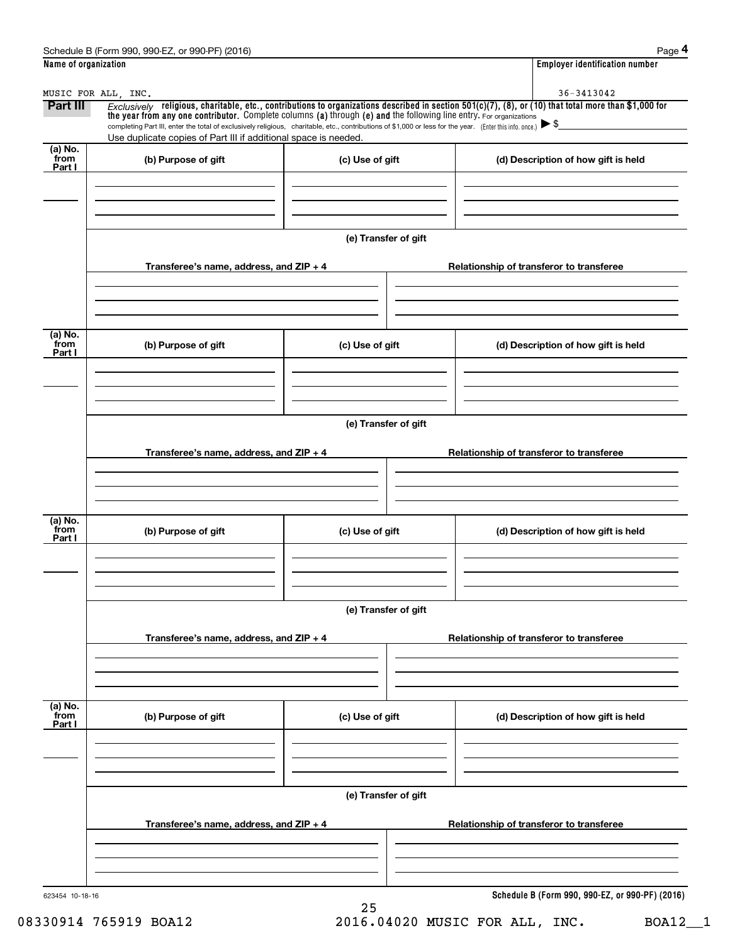| Name of organization<br><b>Employer identification number</b><br>36-3413042<br>MUSIC FOR ALL, INC.<br>$Exclusively$ religious, charitable, etc., contributions to organizations described in section 501(c)(7), (8), or (10) that total more than \$1,000 for<br>Part III<br>the year from any one contributor. Complete columns (a) through (e) and the following line entry. For organizations<br>completing Part III, enter the total of exclusively religious, charitable, etc., contributions of \$1,000 or less for the year. (Enter this info. once.)<br>Use duplicate copies of Part III if additional space is needed.<br>(a) No.<br>from<br>(b) Purpose of gift<br>(c) Use of gift<br>(d) Description of how gift is held<br>Part I<br>(e) Transfer of gift<br>Transferee's name, address, and ZIP + 4<br>Relationship of transferor to transferee<br>(a) No.<br>from<br>(b) Purpose of gift<br>(c) Use of gift<br>(d) Description of how gift is held<br>Part I<br>(e) Transfer of gift<br>Transferee's name, address, and $ZIP + 4$<br>Relationship of transferor to transferee<br>(a) No.<br>from<br>(b) Purpose of gift<br>(c) Use of gift<br>(d) Description of how gift is held<br>Part I<br>(e) Transfer of gift<br>Transferee's name, address, and $ZIP + 4$<br>Relationship of transferor to transferee<br>(a) No.<br>from<br>(b) Purpose of gift<br>(c) Use of gift<br>(d) Description of how gift is held<br>Part I<br>(e) Transfer of gift<br>Transferee's name, address, and ZIP + 4<br>Relationship of transferor to transferee<br>623454 10-18-16<br>25 | Schedule B (Form 990, 990-EZ, or 990-PF) (2016) | Page 4                                          |
|----------------------------------------------------------------------------------------------------------------------------------------------------------------------------------------------------------------------------------------------------------------------------------------------------------------------------------------------------------------------------------------------------------------------------------------------------------------------------------------------------------------------------------------------------------------------------------------------------------------------------------------------------------------------------------------------------------------------------------------------------------------------------------------------------------------------------------------------------------------------------------------------------------------------------------------------------------------------------------------------------------------------------------------------------------------------------------------------------------------------------------------------------------------------------------------------------------------------------------------------------------------------------------------------------------------------------------------------------------------------------------------------------------------------------------------------------------------------------------------------------------------------------------------------------------------------------------|-------------------------------------------------|-------------------------------------------------|
|                                                                                                                                                                                                                                                                                                                                                                                                                                                                                                                                                                                                                                                                                                                                                                                                                                                                                                                                                                                                                                                                                                                                                                                                                                                                                                                                                                                                                                                                                                                                                                                  |                                                 |                                                 |
|                                                                                                                                                                                                                                                                                                                                                                                                                                                                                                                                                                                                                                                                                                                                                                                                                                                                                                                                                                                                                                                                                                                                                                                                                                                                                                                                                                                                                                                                                                                                                                                  |                                                 |                                                 |
|                                                                                                                                                                                                                                                                                                                                                                                                                                                                                                                                                                                                                                                                                                                                                                                                                                                                                                                                                                                                                                                                                                                                                                                                                                                                                                                                                                                                                                                                                                                                                                                  |                                                 |                                                 |
|                                                                                                                                                                                                                                                                                                                                                                                                                                                                                                                                                                                                                                                                                                                                                                                                                                                                                                                                                                                                                                                                                                                                                                                                                                                                                                                                                                                                                                                                                                                                                                                  |                                                 |                                                 |
|                                                                                                                                                                                                                                                                                                                                                                                                                                                                                                                                                                                                                                                                                                                                                                                                                                                                                                                                                                                                                                                                                                                                                                                                                                                                                                                                                                                                                                                                                                                                                                                  |                                                 |                                                 |
|                                                                                                                                                                                                                                                                                                                                                                                                                                                                                                                                                                                                                                                                                                                                                                                                                                                                                                                                                                                                                                                                                                                                                                                                                                                                                                                                                                                                                                                                                                                                                                                  |                                                 |                                                 |
|                                                                                                                                                                                                                                                                                                                                                                                                                                                                                                                                                                                                                                                                                                                                                                                                                                                                                                                                                                                                                                                                                                                                                                                                                                                                                                                                                                                                                                                                                                                                                                                  |                                                 |                                                 |
|                                                                                                                                                                                                                                                                                                                                                                                                                                                                                                                                                                                                                                                                                                                                                                                                                                                                                                                                                                                                                                                                                                                                                                                                                                                                                                                                                                                                                                                                                                                                                                                  |                                                 |                                                 |
|                                                                                                                                                                                                                                                                                                                                                                                                                                                                                                                                                                                                                                                                                                                                                                                                                                                                                                                                                                                                                                                                                                                                                                                                                                                                                                                                                                                                                                                                                                                                                                                  |                                                 |                                                 |
|                                                                                                                                                                                                                                                                                                                                                                                                                                                                                                                                                                                                                                                                                                                                                                                                                                                                                                                                                                                                                                                                                                                                                                                                                                                                                                                                                                                                                                                                                                                                                                                  |                                                 |                                                 |
|                                                                                                                                                                                                                                                                                                                                                                                                                                                                                                                                                                                                                                                                                                                                                                                                                                                                                                                                                                                                                                                                                                                                                                                                                                                                                                                                                                                                                                                                                                                                                                                  |                                                 |                                                 |
|                                                                                                                                                                                                                                                                                                                                                                                                                                                                                                                                                                                                                                                                                                                                                                                                                                                                                                                                                                                                                                                                                                                                                                                                                                                                                                                                                                                                                                                                                                                                                                                  |                                                 |                                                 |
|                                                                                                                                                                                                                                                                                                                                                                                                                                                                                                                                                                                                                                                                                                                                                                                                                                                                                                                                                                                                                                                                                                                                                                                                                                                                                                                                                                                                                                                                                                                                                                                  |                                                 |                                                 |
|                                                                                                                                                                                                                                                                                                                                                                                                                                                                                                                                                                                                                                                                                                                                                                                                                                                                                                                                                                                                                                                                                                                                                                                                                                                                                                                                                                                                                                                                                                                                                                                  |                                                 |                                                 |
|                                                                                                                                                                                                                                                                                                                                                                                                                                                                                                                                                                                                                                                                                                                                                                                                                                                                                                                                                                                                                                                                                                                                                                                                                                                                                                                                                                                                                                                                                                                                                                                  |                                                 |                                                 |
|                                                                                                                                                                                                                                                                                                                                                                                                                                                                                                                                                                                                                                                                                                                                                                                                                                                                                                                                                                                                                                                                                                                                                                                                                                                                                                                                                                                                                                                                                                                                                                                  |                                                 |                                                 |
|                                                                                                                                                                                                                                                                                                                                                                                                                                                                                                                                                                                                                                                                                                                                                                                                                                                                                                                                                                                                                                                                                                                                                                                                                                                                                                                                                                                                                                                                                                                                                                                  |                                                 |                                                 |
|                                                                                                                                                                                                                                                                                                                                                                                                                                                                                                                                                                                                                                                                                                                                                                                                                                                                                                                                                                                                                                                                                                                                                                                                                                                                                                                                                                                                                                                                                                                                                                                  |                                                 | Schedule B (Form 990, 990-EZ, or 990-PF) (2016) |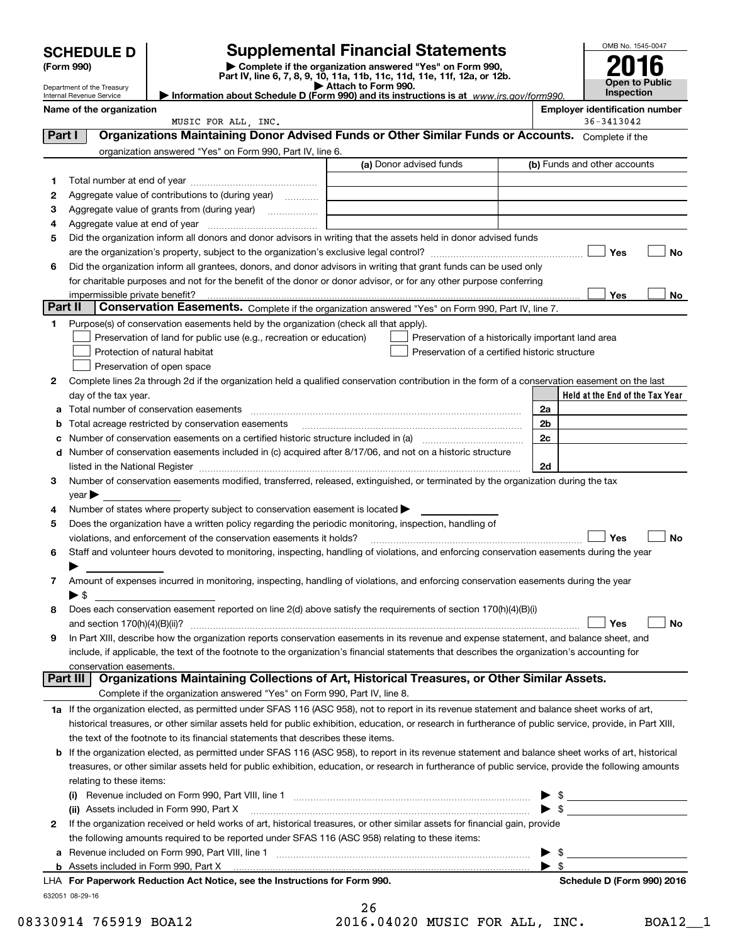| <b>SCHEDULE D</b> |                                                        |                                                                                                        | <b>Supplemental Financial Statements</b>                                                                                                                                                                                                                                                                                                                          |                          | OMB No. 1545-0047                     |
|-------------------|--------------------------------------------------------|--------------------------------------------------------------------------------------------------------|-------------------------------------------------------------------------------------------------------------------------------------------------------------------------------------------------------------------------------------------------------------------------------------------------------------------------------------------------------------------|--------------------------|---------------------------------------|
|                   | (Form 990)                                             |                                                                                                        | Complete if the organization answered "Yes" on Form 990,                                                                                                                                                                                                                                                                                                          |                          |                                       |
|                   |                                                        |                                                                                                        | Part IV, line 6, 7, 8, 9, 10, 11a, 11b, 11c, 11d, 11e, 11f, 12a, or 12b.                                                                                                                                                                                                                                                                                          |                          | Open to Public                        |
|                   | Department of the Treasury<br>Internal Revenue Service |                                                                                                        | Attach to Form 990.<br>Information about Schedule D (Form 990) and its instructions is at www.irs.gov/form990.                                                                                                                                                                                                                                                    |                          | <b>Inspection</b>                     |
|                   | Name of the organization                               |                                                                                                        |                                                                                                                                                                                                                                                                                                                                                                   |                          | <b>Employer identification number</b> |
|                   |                                                        | MUSIC FOR ALL, INC.                                                                                    |                                                                                                                                                                                                                                                                                                                                                                   |                          | $36 - 3413042$                        |
| Part I            |                                                        |                                                                                                        | Organizations Maintaining Donor Advised Funds or Other Similar Funds or Accounts. Complete if the                                                                                                                                                                                                                                                                 |                          |                                       |
|                   |                                                        | organization answered "Yes" on Form 990, Part IV, line 6.                                              |                                                                                                                                                                                                                                                                                                                                                                   |                          |                                       |
|                   |                                                        |                                                                                                        | (a) Donor advised funds                                                                                                                                                                                                                                                                                                                                           |                          | (b) Funds and other accounts          |
| 1                 |                                                        |                                                                                                        |                                                                                                                                                                                                                                                                                                                                                                   |                          |                                       |
| 2                 |                                                        | Aggregate value of contributions to (during year)                                                      |                                                                                                                                                                                                                                                                                                                                                                   |                          |                                       |
| 3                 |                                                        |                                                                                                        | <u> 1980 - Johann Barbara, martin amerikan basal dan berasal dalam basal dalam basal dalam basal dalam basal dala</u>                                                                                                                                                                                                                                             |                          |                                       |
| 4<br>5            |                                                        |                                                                                                        | Did the organization inform all donors and donor advisors in writing that the assets held in donor advised funds                                                                                                                                                                                                                                                  |                          |                                       |
|                   |                                                        |                                                                                                        |                                                                                                                                                                                                                                                                                                                                                                   |                          | Yes<br>No                             |
| 6                 |                                                        |                                                                                                        | Did the organization inform all grantees, donors, and donor advisors in writing that grant funds can be used only                                                                                                                                                                                                                                                 |                          |                                       |
|                   |                                                        |                                                                                                        | for charitable purposes and not for the benefit of the donor or donor advisor, or for any other purpose conferring                                                                                                                                                                                                                                                |                          |                                       |
|                   | impermissible private benefit?                         |                                                                                                        |                                                                                                                                                                                                                                                                                                                                                                   |                          | Yes<br>No.                            |
| Part II           |                                                        |                                                                                                        | Conservation Easements. Complete if the organization answered "Yes" on Form 990, Part IV, line 7.                                                                                                                                                                                                                                                                 |                          |                                       |
| 1                 |                                                        | Purpose(s) of conservation easements held by the organization (check all that apply).                  |                                                                                                                                                                                                                                                                                                                                                                   |                          |                                       |
|                   |                                                        | Preservation of land for public use (e.g., recreation or education)                                    | Preservation of a historically important land area                                                                                                                                                                                                                                                                                                                |                          |                                       |
|                   |                                                        | Protection of natural habitat                                                                          | Preservation of a certified historic structure                                                                                                                                                                                                                                                                                                                    |                          |                                       |
|                   |                                                        | Preservation of open space                                                                             |                                                                                                                                                                                                                                                                                                                                                                   |                          |                                       |
| 2                 |                                                        |                                                                                                        | Complete lines 2a through 2d if the organization held a qualified conservation contribution in the form of a conservation easement on the last                                                                                                                                                                                                                    |                          |                                       |
|                   | day of the tax year.                                   |                                                                                                        |                                                                                                                                                                                                                                                                                                                                                                   |                          | Held at the End of the Tax Year       |
| a                 |                                                        |                                                                                                        |                                                                                                                                                                                                                                                                                                                                                                   | 2a                       |                                       |
| b                 |                                                        | Total acreage restricted by conservation easements                                                     |                                                                                                                                                                                                                                                                                                                                                                   | 2b                       |                                       |
| с                 |                                                        |                                                                                                        |                                                                                                                                                                                                                                                                                                                                                                   | 2c                       |                                       |
| d                 |                                                        |                                                                                                        | Number of conservation easements included in (c) acquired after 8/17/06, and not on a historic structure                                                                                                                                                                                                                                                          | 2d                       |                                       |
| 3                 |                                                        |                                                                                                        | listed in the National Register [111] Marshall Register [11] Marshall Register [11] Marshall Register [11] Marshall Register [11] Marshall Register [11] Marshall Register [11] Marshall Register [11] Marshall Register [11]<br>Number of conservation easements modified, transferred, released, extinguished, or terminated by the organization during the tax |                          |                                       |
|                   | $\mathsf{year}$                                        |                                                                                                        |                                                                                                                                                                                                                                                                                                                                                                   |                          |                                       |
| 4                 |                                                        | Number of states where property subject to conservation easement is located                            |                                                                                                                                                                                                                                                                                                                                                                   |                          |                                       |
| 5                 |                                                        | Does the organization have a written policy regarding the periodic monitoring, inspection, handling of |                                                                                                                                                                                                                                                                                                                                                                   |                          |                                       |
|                   |                                                        | violations, and enforcement of the conservation easements it holds?                                    |                                                                                                                                                                                                                                                                                                                                                                   |                          | <b>No</b><br>Yes                      |
| 6                 |                                                        |                                                                                                        | Staff and volunteer hours devoted to monitoring, inspecting, handling of violations, and enforcing conservation easements during the year                                                                                                                                                                                                                         |                          |                                       |
|                   |                                                        |                                                                                                        |                                                                                                                                                                                                                                                                                                                                                                   |                          |                                       |
| 7                 |                                                        |                                                                                                        | Amount of expenses incurred in monitoring, inspecting, handling of violations, and enforcing conservation easements during the year                                                                                                                                                                                                                               |                          |                                       |
|                   | ► \$                                                   |                                                                                                        |                                                                                                                                                                                                                                                                                                                                                                   |                          |                                       |
| 8                 |                                                        |                                                                                                        | Does each conservation easement reported on line $2(d)$ above satisfy the requirements of section 170(h)(4)(B)(i)                                                                                                                                                                                                                                                 |                          |                                       |
|                   |                                                        |                                                                                                        |                                                                                                                                                                                                                                                                                                                                                                   |                          | Yes<br>No                             |
| 9                 |                                                        |                                                                                                        | In Part XIII, describe how the organization reports conservation easements in its revenue and expense statement, and balance sheet, and                                                                                                                                                                                                                           |                          |                                       |
|                   | conservation easements.                                |                                                                                                        | include, if applicable, the text of the footnote to the organization's financial statements that describes the organization's accounting for                                                                                                                                                                                                                      |                          |                                       |
|                   | Part III                                               |                                                                                                        | Organizations Maintaining Collections of Art, Historical Treasures, or Other Similar Assets.                                                                                                                                                                                                                                                                      |                          |                                       |
|                   |                                                        | Complete if the organization answered "Yes" on Form 990, Part IV, line 8.                              |                                                                                                                                                                                                                                                                                                                                                                   |                          |                                       |
|                   |                                                        |                                                                                                        | 1a If the organization elected, as permitted under SFAS 116 (ASC 958), not to report in its revenue statement and balance sheet works of art,                                                                                                                                                                                                                     |                          |                                       |
|                   |                                                        |                                                                                                        | historical treasures, or other similar assets held for public exhibition, education, or research in furtherance of public service, provide, in Part XIII,                                                                                                                                                                                                         |                          |                                       |
|                   |                                                        | the text of the footnote to its financial statements that describes these items.                       |                                                                                                                                                                                                                                                                                                                                                                   |                          |                                       |
| b                 |                                                        |                                                                                                        | If the organization elected, as permitted under SFAS 116 (ASC 958), to report in its revenue statement and balance sheet works of art, historical                                                                                                                                                                                                                 |                          |                                       |
|                   |                                                        |                                                                                                        | treasures, or other similar assets held for public exhibition, education, or research in furtherance of public service, provide the following amounts                                                                                                                                                                                                             |                          |                                       |
|                   | relating to these items:                               |                                                                                                        |                                                                                                                                                                                                                                                                                                                                                                   |                          |                                       |
|                   |                                                        |                                                                                                        |                                                                                                                                                                                                                                                                                                                                                                   |                          | $\frac{1}{2}$                         |
|                   |                                                        | (ii) Assets included in Form 990, Part X                                                               |                                                                                                                                                                                                                                                                                                                                                                   |                          |                                       |
| 2                 |                                                        |                                                                                                        | If the organization received or held works of art, historical treasures, or other similar assets for financial gain, provide                                                                                                                                                                                                                                      |                          |                                       |
|                   |                                                        | the following amounts required to be reported under SFAS 116 (ASC 958) relating to these items:        |                                                                                                                                                                                                                                                                                                                                                                   |                          |                                       |
| а                 |                                                        |                                                                                                        |                                                                                                                                                                                                                                                                                                                                                                   | - \$                     |                                       |
|                   |                                                        |                                                                                                        |                                                                                                                                                                                                                                                                                                                                                                   | $\blacktriangleright$ \$ |                                       |

632051 08-29-16 **For Paperwork Reduction Act Notice, see the Instructions for Form 990. Schedule D (Form 990) 2016** LHA

|   | 26         |      |
|---|------------|------|
| 1 | $\epsilon$ | ៱៱៱៰ |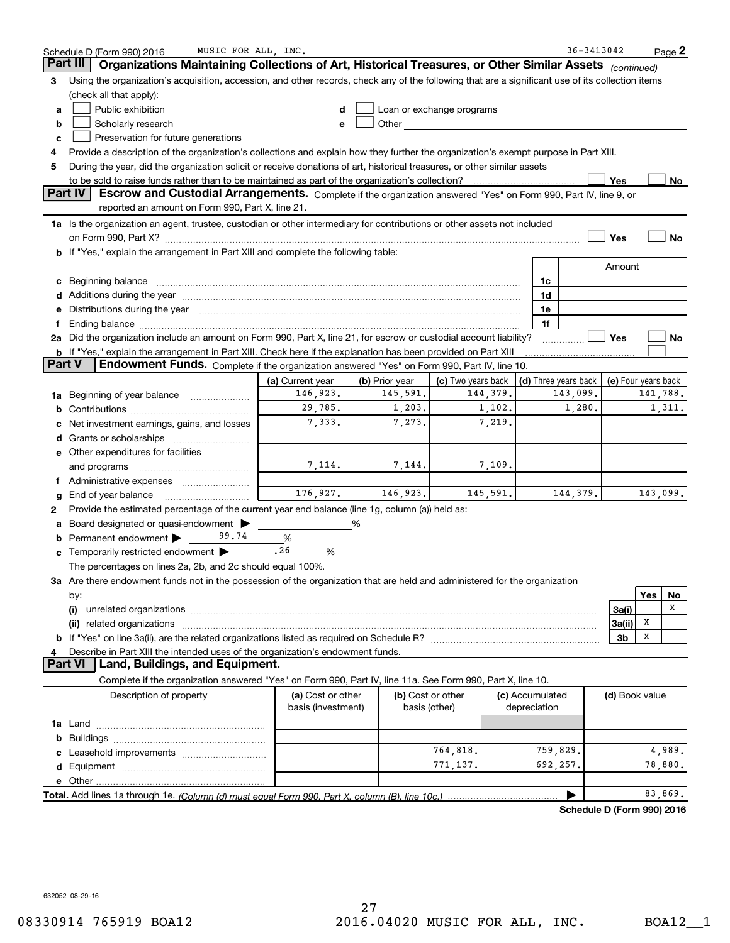|        | MUSIC FOR ALL, INC.<br>Schedule D (Form 990) 2016                                                                                                                                                                              |                                         |                    |                                                                                                                                                                                                                               |                                 | 36-3413042                                       |                |     | Page 2             |
|--------|--------------------------------------------------------------------------------------------------------------------------------------------------------------------------------------------------------------------------------|-----------------------------------------|--------------------|-------------------------------------------------------------------------------------------------------------------------------------------------------------------------------------------------------------------------------|---------------------------------|--------------------------------------------------|----------------|-----|--------------------|
|        | Part III<br>Organizations Maintaining Collections of Art, Historical Treasures, or Other Similar Assets (continued)                                                                                                            |                                         |                    |                                                                                                                                                                                                                               |                                 |                                                  |                |     |                    |
| 3      | Using the organization's acquisition, accession, and other records, check any of the following that are a significant use of its collection items                                                                              |                                         |                    |                                                                                                                                                                                                                               |                                 |                                                  |                |     |                    |
|        | (check all that apply):                                                                                                                                                                                                        |                                         |                    |                                                                                                                                                                                                                               |                                 |                                                  |                |     |                    |
| a      | Public exhibition                                                                                                                                                                                                              |                                         |                    | Loan or exchange programs                                                                                                                                                                                                     |                                 |                                                  |                |     |                    |
| b      | Scholarly research                                                                                                                                                                                                             |                                         |                    | Other and the contract of the contract of the contract of the contract of the contract of the contract of the contract of the contract of the contract of the contract of the contract of the contract of the contract of the |                                 |                                                  |                |     |                    |
| c      | Preservation for future generations                                                                                                                                                                                            |                                         |                    |                                                                                                                                                                                                                               |                                 |                                                  |                |     |                    |
| 4      | Provide a description of the organization's collections and explain how they further the organization's exempt purpose in Part XIII.                                                                                           |                                         |                    |                                                                                                                                                                                                                               |                                 |                                                  |                |     |                    |
| 5      | During the year, did the organization solicit or receive donations of art, historical treasures, or other similar assets                                                                                                       |                                         |                    |                                                                                                                                                                                                                               |                                 |                                                  |                |     |                    |
|        | to be sold to raise funds rather than to be maintained as part of the organization's collection?                                                                                                                               |                                         |                    |                                                                                                                                                                                                                               |                                 |                                                  | Yes            |     | No                 |
|        | <b>Part IV</b><br>Escrow and Custodial Arrangements. Complete if the organization answered "Yes" on Form 990, Part IV, line 9, or<br>reported an amount on Form 990, Part X, line 21.                                          |                                         |                    |                                                                                                                                                                                                                               |                                 |                                                  |                |     |                    |
|        | 1a Is the organization an agent, trustee, custodian or other intermediary for contributions or other assets not included                                                                                                       |                                         |                    |                                                                                                                                                                                                                               |                                 |                                                  |                |     |                    |
|        | on Form 990, Part X? [11] matter contracts and contracts and contracts are contracted and contracts are contracted and contract and contract of the set of the set of the set of the set of the set of the set of the set of t |                                         |                    |                                                                                                                                                                                                                               |                                 |                                                  | Yes            |     | No                 |
|        | b If "Yes," explain the arrangement in Part XIII and complete the following table:                                                                                                                                             |                                         |                    |                                                                                                                                                                                                                               |                                 |                                                  |                |     |                    |
|        |                                                                                                                                                                                                                                |                                         |                    |                                                                                                                                                                                                                               |                                 |                                                  | Amount         |     |                    |
| c      | Beginning balance material content contracts and all the content of the content of the content of the content of the content of the content of the content of the content of the content of the content of the content of the  |                                         |                    |                                                                                                                                                                                                                               | 1c                              |                                                  |                |     |                    |
|        | Additions during the year manufactured and an annual contract of the year manufactured and all the year manufactured and all the year manufactured and all the year manufactured and all the year manufactured and all the yea |                                         |                    |                                                                                                                                                                                                                               | 1d                              |                                                  |                |     |                    |
| е      | Distributions during the year manufactured and continuum and continuum and continuum and continuum and continuum                                                                                                               |                                         |                    |                                                                                                                                                                                                                               | 1e                              |                                                  |                |     |                    |
| f      |                                                                                                                                                                                                                                |                                         |                    |                                                                                                                                                                                                                               | 1f                              |                                                  |                |     |                    |
|        | 2a Did the organization include an amount on Form 990, Part X, line 21, for escrow or custodial account liability?                                                                                                             |                                         |                    |                                                                                                                                                                                                                               |                                 |                                                  | Yes            |     | No                 |
| Part V | <b>b</b> If "Yes," explain the arrangement in Part XIII. Check here if the explanation has been provided on Part XIII                                                                                                          |                                         |                    |                                                                                                                                                                                                                               |                                 |                                                  |                |     |                    |
|        | Endowment Funds. Complete if the organization answered "Yes" on Form 990, Part IV, line 10.                                                                                                                                    |                                         |                    |                                                                                                                                                                                                                               |                                 |                                                  |                |     |                    |
|        |                                                                                                                                                                                                                                | (a) Current year                        | (b) Prior year     | (c) Two years back                                                                                                                                                                                                            |                                 | (d) Three years back $\vert$ (e) Four years back |                |     |                    |
| 1a     | Beginning of year balance                                                                                                                                                                                                      | 146,923.<br>29,785.                     | 145,591.<br>1,203. | 144,379.<br>1,102.                                                                                                                                                                                                            |                                 | 143,099.<br>1,280.                               |                |     | 141,788.<br>1,311. |
| b      |                                                                                                                                                                                                                                | 7,333.                                  | 7,273.             | 7,219.                                                                                                                                                                                                                        |                                 |                                                  |                |     |                    |
|        | Net investment earnings, gains, and losses                                                                                                                                                                                     |                                         |                    |                                                                                                                                                                                                                               |                                 |                                                  |                |     |                    |
| d      |                                                                                                                                                                                                                                |                                         |                    |                                                                                                                                                                                                                               |                                 |                                                  |                |     |                    |
|        | e Other expenditures for facilities                                                                                                                                                                                            | 7,114.                                  | 7,144.             | 7,109.                                                                                                                                                                                                                        |                                 |                                                  |                |     |                    |
|        | and programs                                                                                                                                                                                                                   |                                         |                    |                                                                                                                                                                                                                               |                                 |                                                  |                |     |                    |
|        | End of year balance                                                                                                                                                                                                            | 176, 927.                               | 146,923.           | 145,591.                                                                                                                                                                                                                      |                                 | 144,379.                                         |                |     | 143,099.           |
| g<br>2 | Provide the estimated percentage of the current year end balance (line 1g, column (a)) held as:                                                                                                                                |                                         |                    |                                                                                                                                                                                                                               |                                 |                                                  |                |     |                    |
| а      | Board designated or quasi-endowment                                                                                                                                                                                            |                                         | %                  |                                                                                                                                                                                                                               |                                 |                                                  |                |     |                    |
|        | Permanent endowment<br>99.74                                                                                                                                                                                                   | %                                       |                    |                                                                                                                                                                                                                               |                                 |                                                  |                |     |                    |
|        | <b>c</b> Temporarily restricted endowment $\blacktriangleright$                                                                                                                                                                | .26<br>%                                |                    |                                                                                                                                                                                                                               |                                 |                                                  |                |     |                    |
|        | The percentages on lines 2a, 2b, and 2c should equal 100%.                                                                                                                                                                     |                                         |                    |                                                                                                                                                                                                                               |                                 |                                                  |                |     |                    |
|        | 3a Are there endowment funds not in the possession of the organization that are held and administered for the organization                                                                                                     |                                         |                    |                                                                                                                                                                                                                               |                                 |                                                  |                |     |                    |
|        | by:                                                                                                                                                                                                                            |                                         |                    |                                                                                                                                                                                                                               |                                 |                                                  |                | Yes | No                 |
|        | (i)                                                                                                                                                                                                                            |                                         |                    |                                                                                                                                                                                                                               |                                 |                                                  | 3a(i)          |     | х                  |
|        |                                                                                                                                                                                                                                |                                         |                    |                                                                                                                                                                                                                               |                                 |                                                  | 3a(ii)         | x   |                    |
|        |                                                                                                                                                                                                                                |                                         |                    |                                                                                                                                                                                                                               |                                 |                                                  | 3b             | X   |                    |
| 4      | Describe in Part XIII the intended uses of the organization's endowment funds.                                                                                                                                                 |                                         |                    |                                                                                                                                                                                                                               |                                 |                                                  |                |     |                    |
|        | Land, Buildings, and Equipment.<br>Part VI                                                                                                                                                                                     |                                         |                    |                                                                                                                                                                                                                               |                                 |                                                  |                |     |                    |
|        | Complete if the organization answered "Yes" on Form 990, Part IV, line 11a. See Form 990, Part X, line 10.                                                                                                                     |                                         |                    |                                                                                                                                                                                                                               |                                 |                                                  |                |     |                    |
|        | Description of property                                                                                                                                                                                                        | (a) Cost or other<br>basis (investment) |                    | (b) Cost or other<br>basis (other)                                                                                                                                                                                            | (c) Accumulated<br>depreciation |                                                  | (d) Book value |     |                    |
|        |                                                                                                                                                                                                                                |                                         |                    |                                                                                                                                                                                                                               |                                 |                                                  |                |     |                    |
| b      |                                                                                                                                                                                                                                |                                         |                    |                                                                                                                                                                                                                               |                                 |                                                  |                |     |                    |
|        |                                                                                                                                                                                                                                |                                         |                    | 764,818.                                                                                                                                                                                                                      |                                 | 759,829.                                         |                |     | 4,989.             |
| d      |                                                                                                                                                                                                                                |                                         |                    | 771,137.                                                                                                                                                                                                                      |                                 | 692,257.                                         |                |     | 78,880.            |
|        | <b>e</b> Other                                                                                                                                                                                                                 |                                         |                    |                                                                                                                                                                                                                               |                                 |                                                  |                |     |                    |
|        |                                                                                                                                                                                                                                |                                         |                    |                                                                                                                                                                                                                               |                                 |                                                  |                |     | 83,869.            |
|        |                                                                                                                                                                                                                                |                                         |                    |                                                                                                                                                                                                                               |                                 | Schedule D (Form 990) 2016                       |                |     |                    |

632052 08-29-16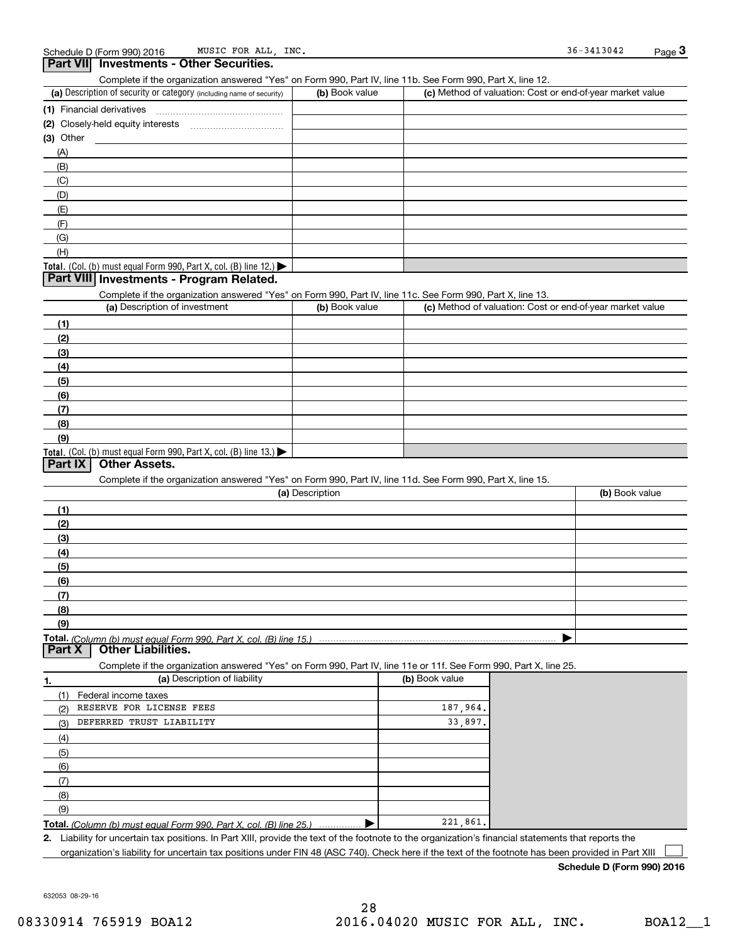| $     -$<br>Complete if the organization answered "Yes" on Form 990, Part IV, line 11b. See Form 990, Part X, line 12. |                 |                |                                                           |
|------------------------------------------------------------------------------------------------------------------------|-----------------|----------------|-----------------------------------------------------------|
| (a) Description of security or category (including name of security)                                                   | (b) Book value  |                | (c) Method of valuation: Cost or end-of-year market value |
|                                                                                                                        |                 |                |                                                           |
| (2) Closely-held equity interests                                                                                      |                 |                |                                                           |
| $(3)$ Other                                                                                                            |                 |                |                                                           |
| (A)                                                                                                                    |                 |                |                                                           |
| (B)                                                                                                                    |                 |                |                                                           |
| (C)                                                                                                                    |                 |                |                                                           |
| (D)                                                                                                                    |                 |                |                                                           |
| (E)                                                                                                                    |                 |                |                                                           |
| (F)                                                                                                                    |                 |                |                                                           |
| (G)                                                                                                                    |                 |                |                                                           |
| (H)                                                                                                                    |                 |                |                                                           |
| Total. (Col. (b) must equal Form 990, Part X, col. (B) line 12.) $\blacktriangleright$                                 |                 |                |                                                           |
| Part VIII Investments - Program Related.                                                                               |                 |                |                                                           |
| Complete if the organization answered "Yes" on Form 990, Part IV, line 11c. See Form 990, Part X, line 13.             |                 |                |                                                           |
| (a) Description of investment                                                                                          | (b) Book value  |                | (c) Method of valuation: Cost or end-of-year market value |
| (1)                                                                                                                    |                 |                |                                                           |
| (2)                                                                                                                    |                 |                |                                                           |
| (3)                                                                                                                    |                 |                |                                                           |
| (4)                                                                                                                    |                 |                |                                                           |
| (5)                                                                                                                    |                 |                |                                                           |
| (6)                                                                                                                    |                 |                |                                                           |
| (7)                                                                                                                    |                 |                |                                                           |
| (8)                                                                                                                    |                 |                |                                                           |
| (9)                                                                                                                    |                 |                |                                                           |
| Total. (Col. (b) must equal Form 990, Part X, col. (B) line 13.)                                                       |                 |                |                                                           |
| Part IX<br><b>Other Assets.</b>                                                                                        |                 |                |                                                           |
| Complete if the organization answered "Yes" on Form 990, Part IV, line 11d. See Form 990, Part X, line 15.             |                 |                |                                                           |
|                                                                                                                        | (a) Description |                | (b) Book value                                            |
|                                                                                                                        |                 |                |                                                           |
| (1)                                                                                                                    |                 |                |                                                           |
| (2)                                                                                                                    |                 |                |                                                           |
| (3)                                                                                                                    |                 |                |                                                           |
| (4)                                                                                                                    |                 |                |                                                           |
| (5)                                                                                                                    |                 |                |                                                           |
| (6)                                                                                                                    |                 |                |                                                           |
| (7)                                                                                                                    |                 |                |                                                           |
| (8)                                                                                                                    |                 |                |                                                           |
| (9)                                                                                                                    |                 |                |                                                           |
| <b>Other Liabilities.</b><br>Part X                                                                                    |                 |                |                                                           |
| Complete if the organization answered "Yes" on Form 990, Part IV, line 11e or 11f. See Form 990, Part X, line 25.      |                 |                |                                                           |
| (a) Description of liability<br>1.                                                                                     |                 | (b) Book value |                                                           |
| (1)<br>Federal income taxes                                                                                            |                 |                |                                                           |
| RESERVE FOR LICENSE FEES<br>(2)                                                                                        |                 | 187,964        |                                                           |
| DEFERRED TRUST LIABILITY<br>(3)                                                                                        |                 | 33,897         |                                                           |
| (4)                                                                                                                    |                 |                |                                                           |
|                                                                                                                        |                 |                |                                                           |
| (5)                                                                                                                    |                 |                |                                                           |
| (6)                                                                                                                    |                 |                |                                                           |
|                                                                                                                        |                 |                |                                                           |
| (7)                                                                                                                    |                 |                |                                                           |
| (8)<br>(9)                                                                                                             |                 |                |                                                           |

**2.** Liability for uncertain tax positions. In Part XIII, provide the text of the footnote to the organization's financial statements that reports the organization's liability for uncertain tax positions under FIN 48 (ASC 740). Check here if the text of the footnote has been provided in Part XIII

**Schedule D (Form 990) 2016**

632053 08-29-16

 $\mathcal{L}^{\text{max}}$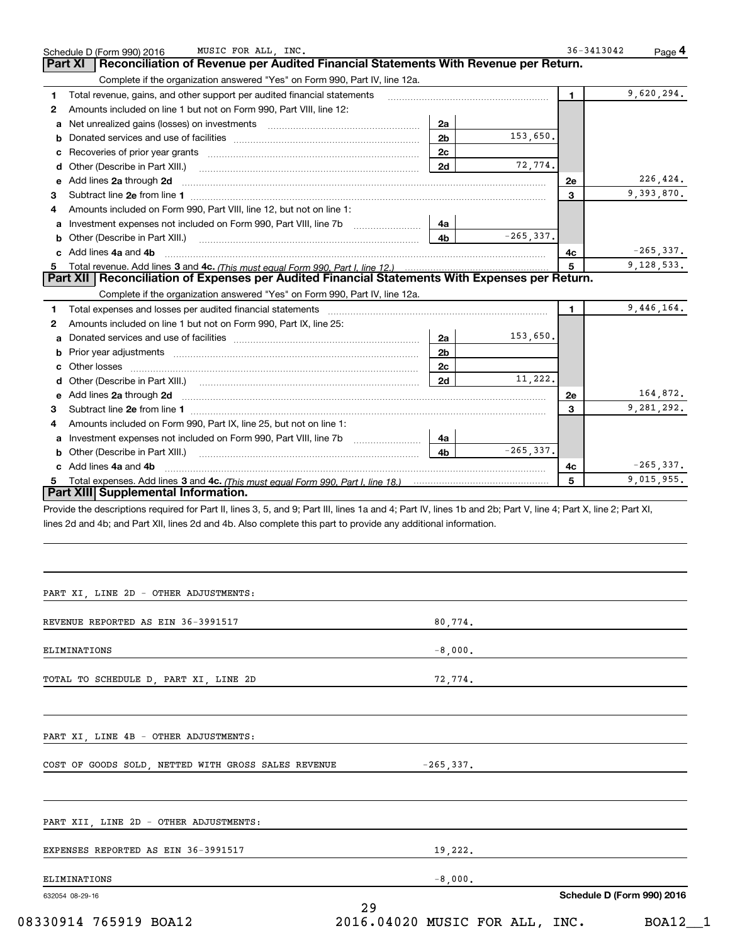|              | MUSIC FOR ALL, INC.<br>Schedule D (Form 990) 2016                                                                                                                                                                             |                |              | 36-3413042 | Page 4       |
|--------------|-------------------------------------------------------------------------------------------------------------------------------------------------------------------------------------------------------------------------------|----------------|--------------|------------|--------------|
| Part XI      | Reconciliation of Revenue per Audited Financial Statements With Revenue per Return.                                                                                                                                           |                |              |            |              |
|              | Complete if the organization answered "Yes" on Form 990, Part IV, line 12a.                                                                                                                                                   |                |              |            |              |
| 1            | Total revenue, gains, and other support per audited financial statements                                                                                                                                                      |                |              | 1.         | 9,620,294.   |
| $\mathbf{2}$ | Amounts included on line 1 but not on Form 990, Part VIII, line 12:                                                                                                                                                           |                |              |            |              |
| a            | Net unrealized gains (losses) on investments [11] matter contracts and the unrealized gains (losses) on investments                                                                                                           | 2a             |              |            |              |
| b            |                                                                                                                                                                                                                               | 2 <sub>b</sub> | 153,650.     |            |              |
| с            |                                                                                                                                                                                                                               | 2c             |              |            |              |
| d            | Other (Describe in Part XIII.)                                                                                                                                                                                                | 2d             | 72,774.      |            |              |
| е            | Add lines 2a through 2d                                                                                                                                                                                                       |                |              | <b>2e</b>  | 226,424.     |
| 3            |                                                                                                                                                                                                                               |                |              | 3          | 9,393,870.   |
| 4            | Amounts included on Form 990, Part VIII, line 12, but not on line 1:                                                                                                                                                          |                |              |            |              |
| a            | Investment expenses not included on Form 990, Part VIII, line 7b                                                                                                                                                              | 4a             |              |            |              |
| b            | Other (Describe in Part XIII.)                                                                                                                                                                                                | 4b             | $-265, 337.$ |            |              |
| c            | Add lines 4a and 4b                                                                                                                                                                                                           |                |              | 4c         | $-265, 337.$ |
| 5            | Part XII   Reconciliation of Expenses per Audited Financial Statements With Expenses per Return.                                                                                                                              |                |              | 5          | 9,128,533.   |
|              |                                                                                                                                                                                                                               |                |              |            |              |
|              | Complete if the organization answered "Yes" on Form 990, Part IV, line 12a.                                                                                                                                                   |                |              |            |              |
| 1            | Total expenses and losses per audited financial statements [111] [12] contain an interview and losses per audited financial statements [11] [12] contain an interview and the state of the state of the state of the state of |                |              | 1.         | 9,446,164.   |
| 2            | Amounts included on line 1 but not on Form 990, Part IX, line 25:                                                                                                                                                             |                |              |            |              |
| а            |                                                                                                                                                                                                                               | 2a             | 153,650.     |            |              |
| b            | Prior year adjustments <i>www.www.www.www.www.www.www.www.www.</i> ww.                                                                                                                                                        | 2 <sub>b</sub> |              |            |              |
| с            |                                                                                                                                                                                                                               | 2c             |              |            |              |
| d            |                                                                                                                                                                                                                               | 2d             | 11,222.      |            |              |
| е            | Add lines 2a through 2d                                                                                                                                                                                                       |                |              | <b>2e</b>  | 164,872.     |
| 3            |                                                                                                                                                                                                                               |                |              | 3          | 9,281,292.   |
| 4            | Amounts included on Form 990, Part IX, line 25, but not on line 1:                                                                                                                                                            |                |              |            |              |
| a            | Investment expenses not included on Form 990, Part VIII, line 7b                                                                                                                                                              | 4a             |              |            |              |
| b            | Other (Describe in Part XIII.)                                                                                                                                                                                                | 4b             | $-265, 337.$ |            |              |
|              | c Add lines 4a and 4b                                                                                                                                                                                                         |                |              | 4c         | $-265, 337.$ |
| 5.           | Part XIII Supplemental Information.                                                                                                                                                                                           |                |              | 5          | 9,015,955.   |
|              | Provide the descriptions required for Part II, lines 3, 5, and 9; Part III, lines 1a and 4; Part IV, lines 1b and 2b; Part V, line 4; Part X, line 2; Part XI,                                                                |                |              |            |              |
|              | lines 2d and 4b; and Part XII, lines 2d and 4b. Also complete this part to provide any additional information.                                                                                                                |                |              |            |              |
|              |                                                                                                                                                                                                                               |                |              |            |              |
|              |                                                                                                                                                                                                                               |                |              |            |              |
|              |                                                                                                                                                                                                                               |                |              |            |              |
|              |                                                                                                                                                                                                                               |                |              |            |              |
|              | PART XI, LINE 2D - OTHER ADJUSTMENTS:                                                                                                                                                                                         |                |              |            |              |
|              |                                                                                                                                                                                                                               |                |              |            |              |
|              | REVENUE REPORTED AS EIN 36-3991517                                                                                                                                                                                            | 80,774.        |              |            |              |
|              |                                                                                                                                                                                                                               |                |              |            |              |
|              | ELIMINATIONS                                                                                                                                                                                                                  | $-8,000.$      |              |            |              |
|              |                                                                                                                                                                                                                               |                |              |            |              |
|              | TOTAL TO SCHEDULE D, PART XI, LINE 2D                                                                                                                                                                                         | 72,774.        |              |            |              |
|              |                                                                                                                                                                                                                               |                |              |            |              |
|              |                                                                                                                                                                                                                               |                |              |            |              |
|              |                                                                                                                                                                                                                               |                |              |            |              |
|              | PART XI, LINE 4B - OTHER ADJUSTMENTS:                                                                                                                                                                                         |                |              |            |              |
|              |                                                                                                                                                                                                                               |                |              |            |              |
|              | COST OF GOODS SOLD, NETTED WITH GROSS SALES REVENUE                                                                                                                                                                           | $-265, 337.$   |              |            |              |

| PART XII, LINE 2D - OTHER ADJUSTMENTS: |            |                            |
|----------------------------------------|------------|----------------------------|
| EXPENSES REPORTED AS EIN 36-3991517    | 19,222.    |                            |
| ELIMINATIONS                           | $-8.000$ . |                            |
| 632054 08-29-16                        | 29         | Schedule D (Form 990) 2016 |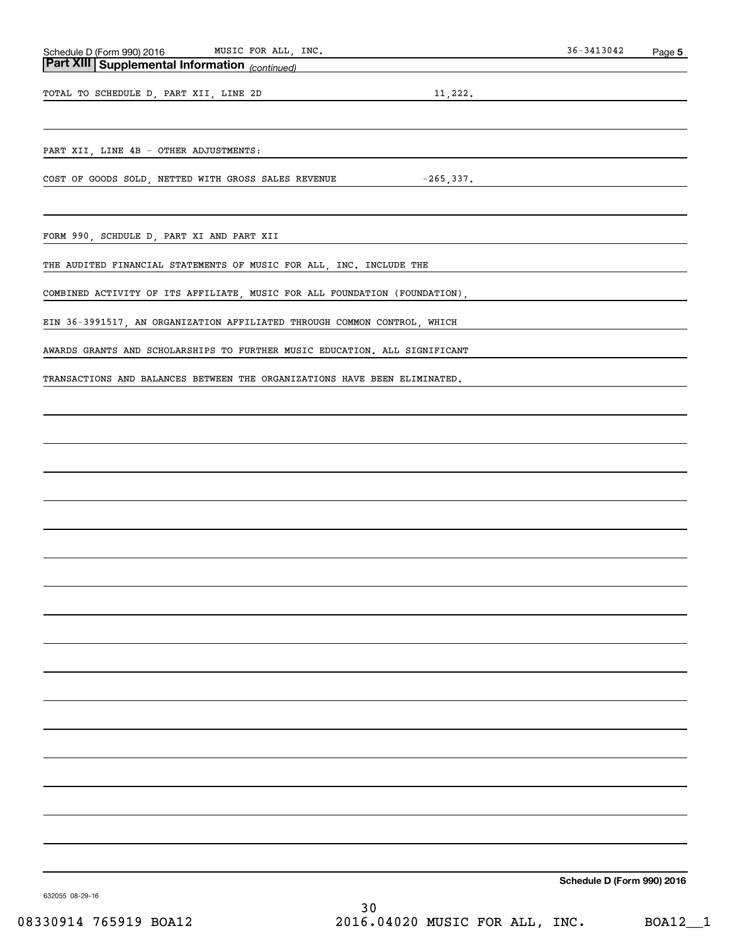| Schedule<br>2016 ۱<br>. 990)<br>$ \sim$ $\sim$<br>. | ---<br>FOR<br>- - -<br><b>MTTO</b><br>ALL<br>MUS<br>∸ | INC. | 3042<br>، 2<br>.3 h | Page |
|-----------------------------------------------------|-------------------------------------------------------|------|---------------------|------|
| -----<br>$-$                                        |                                                       |      |                     |      |

# *(continued)* **Part XIII Supplemental Information**

TOTAL TO SCHEDULE D, PART XII, LINE 2D 11,222.

PART XII, LINE 4B - OTHER ADJUSTMENTS:

COST OF GOODS SOLD, NETTED WITH GROSS SALES REVENUE  $-265,337$ .

FORM 990, SCHDULE D, PART XI AND PART XII

THE AUDITED FINANCIAL STATEMENTS OF MUSIC FOR ALL, INC. INCLUDE THE

COMBINED ACTIVITY OF ITS AFFILIATE, MUSIC FOR ALL FOUNDATION (FOUNDATION),

EIN 36-3991517, AN ORGANIZATION AFFILIATED THROUGH COMMON CONTROL, WHICH

AWARDS GRANTS AND SCHOLARSHIPS TO FURTHER MUSIC EDUCATION. ALL SIGNIFICANT

TRANSACTIONS AND BALANCES BETWEEN THE ORGANIZATIONS HAVE BEEN ELIMINATED.

**Schedule D (Form 990) 2016**

632055 08-29-16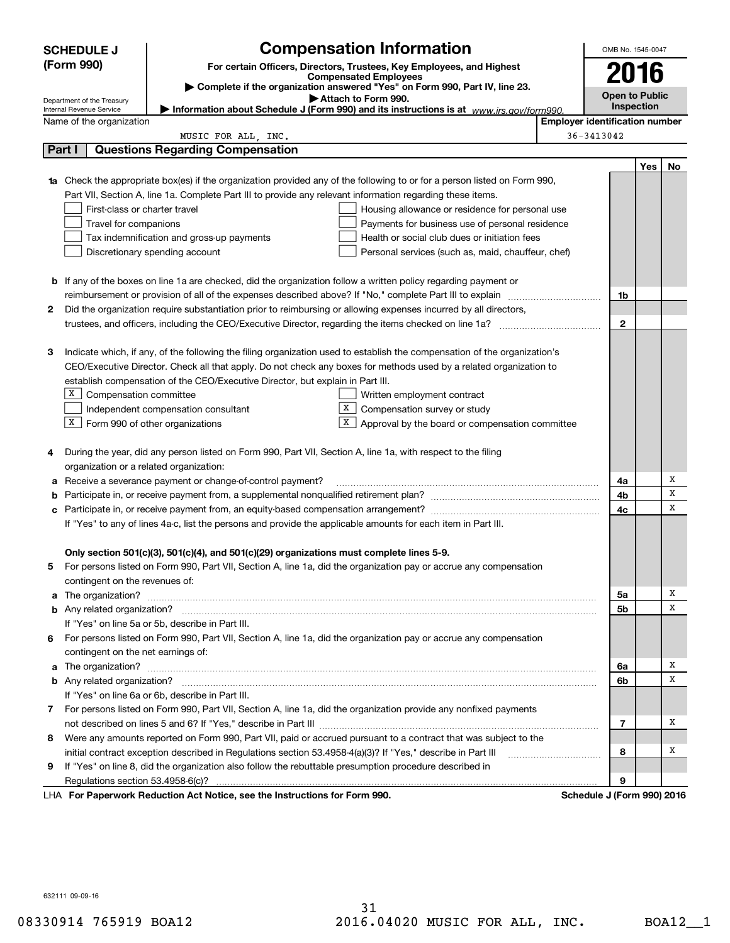| (Form 990)<br>For certain Officers, Directors, Trustees, Key Employees, and Highest<br>2016<br><b>Compensated Employees</b><br>Complete if the organization answered "Yes" on Form 990, Part IV, line 23.<br><b>Open to Public</b><br>Attach to Form 990.<br>Department of the Treasury<br>Inspection<br>Information about Schedule J (Form 990) and its instructions is at $www.irs.gov/form990$ .<br>Internal Revenue Service<br><b>Employer identification number</b><br>Name of the organization<br>36-3413042<br>MUSIC FOR ALL, INC.<br>Part I<br><b>Questions Regarding Compensation</b><br><b>Yes</b><br>No<br><b>1a</b> Check the appropriate box(es) if the organization provided any of the following to or for a person listed on Form 990,<br>Part VII, Section A, line 1a. Complete Part III to provide any relevant information regarding these items.<br>First-class or charter travel<br>Housing allowance or residence for personal use<br>Travel for companions<br>Payments for business use of personal residence<br>Tax indemnification and gross-up payments<br>Health or social club dues or initiation fees<br>Discretionary spending account<br>Personal services (such as, maid, chauffeur, chef)<br><b>b</b> If any of the boxes on line 1a are checked, did the organization follow a written policy regarding payment or<br>1b<br>Did the organization require substantiation prior to reimbursing or allowing expenses incurred by all directors,<br>2<br>$\mathbf{2}$<br>Indicate which, if any, of the following the filing organization used to establish the compensation of the organization's<br>З<br>CEO/Executive Director. Check all that apply. Do not check any boxes for methods used by a related organization to<br>establish compensation of the CEO/Executive Director, but explain in Part III.<br>X Compensation committee<br>Written employment contract<br>X  <br>Independent compensation consultant<br>Compensation survey or study<br>$X$ Form 990 of other organizations<br>$X$ Approval by the board or compensation committee<br>During the year, did any person listed on Form 990, Part VII, Section A, line 1a, with respect to the filing<br>4<br>organization or a related organization:<br>Х<br>Receive a severance payment or change-of-control payment?<br>4a<br>а<br>х<br>4b<br>b<br>х<br>4с<br>If "Yes" to any of lines 4a-c, list the persons and provide the applicable amounts for each item in Part III.<br>Only section 501(c)(3), 501(c)(4), and 501(c)(29) organizations must complete lines 5-9.<br>For persons listed on Form 990, Part VII, Section A, line 1a, did the organization pay or accrue any compensation<br>contingent on the revenues of:<br>х<br>5a<br>х<br>5b<br>If "Yes" on line 5a or 5b, describe in Part III.<br>6 For persons listed on Form 990, Part VII, Section A, line 1a, did the organization pay or accrue any compensation<br>contingent on the net earnings of:<br>х<br>6a<br>х<br>6b<br>If "Yes" on line 6a or 6b, describe in Part III.<br>7 For persons listed on Form 990, Part VII, Section A, line 1a, did the organization provide any nonfixed payments<br>х<br>7<br>8 Were any amounts reported on Form 990, Part VII, paid or accrued pursuant to a contract that was subject to the<br>x<br>initial contract exception described in Regulations section 53.4958-4(a)(3)? If "Yes," describe in Part III<br>8<br>If "Yes" on line 8, did the organization also follow the rebuttable presumption procedure described in<br>9<br>9<br>LHA For Paperwork Reduction Act Notice, see the Instructions for Form 990.<br>Schedule J (Form 990) 2016 | <b>SCHEDULE J</b> | <b>Compensation Information</b> |  | OMB No. 1545-0047 |  |
|-----------------------------------------------------------------------------------------------------------------------------------------------------------------------------------------------------------------------------------------------------------------------------------------------------------------------------------------------------------------------------------------------------------------------------------------------------------------------------------------------------------------------------------------------------------------------------------------------------------------------------------------------------------------------------------------------------------------------------------------------------------------------------------------------------------------------------------------------------------------------------------------------------------------------------------------------------------------------------------------------------------------------------------------------------------------------------------------------------------------------------------------------------------------------------------------------------------------------------------------------------------------------------------------------------------------------------------------------------------------------------------------------------------------------------------------------------------------------------------------------------------------------------------------------------------------------------------------------------------------------------------------------------------------------------------------------------------------------------------------------------------------------------------------------------------------------------------------------------------------------------------------------------------------------------------------------------------------------------------------------------------------------------------------------------------------------------------------------------------------------------------------------------------------------------------------------------------------------------------------------------------------------------------------------------------------------------------------------------------------------------------------------------------------------------------------------------------------------------------------------------------------------------------------------------------------------------------------------------------------------------------------------------------------------------------------------------------------------------------------------------------------------------------------------------------------------------------------------------------------------------------------------------------------------------------------------------------------------------------------------------------------------------------------------------------------------------------------------------------------------------------------------------------------------------------------------------------------------------------------------------------------------------------------------------------------------------------------------------------------------------------------------------------------------------------------------------------------------------------------------------------------------------------------------------------------------------------------------------------------------------------------------------------------|-------------------|---------------------------------|--|-------------------|--|
|                                                                                                                                                                                                                                                                                                                                                                                                                                                                                                                                                                                                                                                                                                                                                                                                                                                                                                                                                                                                                                                                                                                                                                                                                                                                                                                                                                                                                                                                                                                                                                                                                                                                                                                                                                                                                                                                                                                                                                                                                                                                                                                                                                                                                                                                                                                                                                                                                                                                                                                                                                                                                                                                                                                                                                                                                                                                                                                                                                                                                                                                                                                                                                                                                                                                                                                                                                                                                                                                                                                                                                                                                                                                 |                   |                                 |  |                   |  |
|                                                                                                                                                                                                                                                                                                                                                                                                                                                                                                                                                                                                                                                                                                                                                                                                                                                                                                                                                                                                                                                                                                                                                                                                                                                                                                                                                                                                                                                                                                                                                                                                                                                                                                                                                                                                                                                                                                                                                                                                                                                                                                                                                                                                                                                                                                                                                                                                                                                                                                                                                                                                                                                                                                                                                                                                                                                                                                                                                                                                                                                                                                                                                                                                                                                                                                                                                                                                                                                                                                                                                                                                                                                                 |                   |                                 |  |                   |  |
|                                                                                                                                                                                                                                                                                                                                                                                                                                                                                                                                                                                                                                                                                                                                                                                                                                                                                                                                                                                                                                                                                                                                                                                                                                                                                                                                                                                                                                                                                                                                                                                                                                                                                                                                                                                                                                                                                                                                                                                                                                                                                                                                                                                                                                                                                                                                                                                                                                                                                                                                                                                                                                                                                                                                                                                                                                                                                                                                                                                                                                                                                                                                                                                                                                                                                                                                                                                                                                                                                                                                                                                                                                                                 |                   |                                 |  |                   |  |
|                                                                                                                                                                                                                                                                                                                                                                                                                                                                                                                                                                                                                                                                                                                                                                                                                                                                                                                                                                                                                                                                                                                                                                                                                                                                                                                                                                                                                                                                                                                                                                                                                                                                                                                                                                                                                                                                                                                                                                                                                                                                                                                                                                                                                                                                                                                                                                                                                                                                                                                                                                                                                                                                                                                                                                                                                                                                                                                                                                                                                                                                                                                                                                                                                                                                                                                                                                                                                                                                                                                                                                                                                                                                 |                   |                                 |  |                   |  |
|                                                                                                                                                                                                                                                                                                                                                                                                                                                                                                                                                                                                                                                                                                                                                                                                                                                                                                                                                                                                                                                                                                                                                                                                                                                                                                                                                                                                                                                                                                                                                                                                                                                                                                                                                                                                                                                                                                                                                                                                                                                                                                                                                                                                                                                                                                                                                                                                                                                                                                                                                                                                                                                                                                                                                                                                                                                                                                                                                                                                                                                                                                                                                                                                                                                                                                                                                                                                                                                                                                                                                                                                                                                                 |                   |                                 |  |                   |  |
|                                                                                                                                                                                                                                                                                                                                                                                                                                                                                                                                                                                                                                                                                                                                                                                                                                                                                                                                                                                                                                                                                                                                                                                                                                                                                                                                                                                                                                                                                                                                                                                                                                                                                                                                                                                                                                                                                                                                                                                                                                                                                                                                                                                                                                                                                                                                                                                                                                                                                                                                                                                                                                                                                                                                                                                                                                                                                                                                                                                                                                                                                                                                                                                                                                                                                                                                                                                                                                                                                                                                                                                                                                                                 |                   |                                 |  |                   |  |
|                                                                                                                                                                                                                                                                                                                                                                                                                                                                                                                                                                                                                                                                                                                                                                                                                                                                                                                                                                                                                                                                                                                                                                                                                                                                                                                                                                                                                                                                                                                                                                                                                                                                                                                                                                                                                                                                                                                                                                                                                                                                                                                                                                                                                                                                                                                                                                                                                                                                                                                                                                                                                                                                                                                                                                                                                                                                                                                                                                                                                                                                                                                                                                                                                                                                                                                                                                                                                                                                                                                                                                                                                                                                 |                   |                                 |  |                   |  |
|                                                                                                                                                                                                                                                                                                                                                                                                                                                                                                                                                                                                                                                                                                                                                                                                                                                                                                                                                                                                                                                                                                                                                                                                                                                                                                                                                                                                                                                                                                                                                                                                                                                                                                                                                                                                                                                                                                                                                                                                                                                                                                                                                                                                                                                                                                                                                                                                                                                                                                                                                                                                                                                                                                                                                                                                                                                                                                                                                                                                                                                                                                                                                                                                                                                                                                                                                                                                                                                                                                                                                                                                                                                                 |                   |                                 |  |                   |  |
|                                                                                                                                                                                                                                                                                                                                                                                                                                                                                                                                                                                                                                                                                                                                                                                                                                                                                                                                                                                                                                                                                                                                                                                                                                                                                                                                                                                                                                                                                                                                                                                                                                                                                                                                                                                                                                                                                                                                                                                                                                                                                                                                                                                                                                                                                                                                                                                                                                                                                                                                                                                                                                                                                                                                                                                                                                                                                                                                                                                                                                                                                                                                                                                                                                                                                                                                                                                                                                                                                                                                                                                                                                                                 |                   |                                 |  |                   |  |
|                                                                                                                                                                                                                                                                                                                                                                                                                                                                                                                                                                                                                                                                                                                                                                                                                                                                                                                                                                                                                                                                                                                                                                                                                                                                                                                                                                                                                                                                                                                                                                                                                                                                                                                                                                                                                                                                                                                                                                                                                                                                                                                                                                                                                                                                                                                                                                                                                                                                                                                                                                                                                                                                                                                                                                                                                                                                                                                                                                                                                                                                                                                                                                                                                                                                                                                                                                                                                                                                                                                                                                                                                                                                 |                   |                                 |  |                   |  |
|                                                                                                                                                                                                                                                                                                                                                                                                                                                                                                                                                                                                                                                                                                                                                                                                                                                                                                                                                                                                                                                                                                                                                                                                                                                                                                                                                                                                                                                                                                                                                                                                                                                                                                                                                                                                                                                                                                                                                                                                                                                                                                                                                                                                                                                                                                                                                                                                                                                                                                                                                                                                                                                                                                                                                                                                                                                                                                                                                                                                                                                                                                                                                                                                                                                                                                                                                                                                                                                                                                                                                                                                                                                                 |                   |                                 |  |                   |  |
|                                                                                                                                                                                                                                                                                                                                                                                                                                                                                                                                                                                                                                                                                                                                                                                                                                                                                                                                                                                                                                                                                                                                                                                                                                                                                                                                                                                                                                                                                                                                                                                                                                                                                                                                                                                                                                                                                                                                                                                                                                                                                                                                                                                                                                                                                                                                                                                                                                                                                                                                                                                                                                                                                                                                                                                                                                                                                                                                                                                                                                                                                                                                                                                                                                                                                                                                                                                                                                                                                                                                                                                                                                                                 |                   |                                 |  |                   |  |
|                                                                                                                                                                                                                                                                                                                                                                                                                                                                                                                                                                                                                                                                                                                                                                                                                                                                                                                                                                                                                                                                                                                                                                                                                                                                                                                                                                                                                                                                                                                                                                                                                                                                                                                                                                                                                                                                                                                                                                                                                                                                                                                                                                                                                                                                                                                                                                                                                                                                                                                                                                                                                                                                                                                                                                                                                                                                                                                                                                                                                                                                                                                                                                                                                                                                                                                                                                                                                                                                                                                                                                                                                                                                 |                   |                                 |  |                   |  |
|                                                                                                                                                                                                                                                                                                                                                                                                                                                                                                                                                                                                                                                                                                                                                                                                                                                                                                                                                                                                                                                                                                                                                                                                                                                                                                                                                                                                                                                                                                                                                                                                                                                                                                                                                                                                                                                                                                                                                                                                                                                                                                                                                                                                                                                                                                                                                                                                                                                                                                                                                                                                                                                                                                                                                                                                                                                                                                                                                                                                                                                                                                                                                                                                                                                                                                                                                                                                                                                                                                                                                                                                                                                                 |                   |                                 |  |                   |  |
|                                                                                                                                                                                                                                                                                                                                                                                                                                                                                                                                                                                                                                                                                                                                                                                                                                                                                                                                                                                                                                                                                                                                                                                                                                                                                                                                                                                                                                                                                                                                                                                                                                                                                                                                                                                                                                                                                                                                                                                                                                                                                                                                                                                                                                                                                                                                                                                                                                                                                                                                                                                                                                                                                                                                                                                                                                                                                                                                                                                                                                                                                                                                                                                                                                                                                                                                                                                                                                                                                                                                                                                                                                                                 |                   |                                 |  |                   |  |
|                                                                                                                                                                                                                                                                                                                                                                                                                                                                                                                                                                                                                                                                                                                                                                                                                                                                                                                                                                                                                                                                                                                                                                                                                                                                                                                                                                                                                                                                                                                                                                                                                                                                                                                                                                                                                                                                                                                                                                                                                                                                                                                                                                                                                                                                                                                                                                                                                                                                                                                                                                                                                                                                                                                                                                                                                                                                                                                                                                                                                                                                                                                                                                                                                                                                                                                                                                                                                                                                                                                                                                                                                                                                 |                   |                                 |  |                   |  |
|                                                                                                                                                                                                                                                                                                                                                                                                                                                                                                                                                                                                                                                                                                                                                                                                                                                                                                                                                                                                                                                                                                                                                                                                                                                                                                                                                                                                                                                                                                                                                                                                                                                                                                                                                                                                                                                                                                                                                                                                                                                                                                                                                                                                                                                                                                                                                                                                                                                                                                                                                                                                                                                                                                                                                                                                                                                                                                                                                                                                                                                                                                                                                                                                                                                                                                                                                                                                                                                                                                                                                                                                                                                                 |                   |                                 |  |                   |  |
|                                                                                                                                                                                                                                                                                                                                                                                                                                                                                                                                                                                                                                                                                                                                                                                                                                                                                                                                                                                                                                                                                                                                                                                                                                                                                                                                                                                                                                                                                                                                                                                                                                                                                                                                                                                                                                                                                                                                                                                                                                                                                                                                                                                                                                                                                                                                                                                                                                                                                                                                                                                                                                                                                                                                                                                                                                                                                                                                                                                                                                                                                                                                                                                                                                                                                                                                                                                                                                                                                                                                                                                                                                                                 |                   |                                 |  |                   |  |
|                                                                                                                                                                                                                                                                                                                                                                                                                                                                                                                                                                                                                                                                                                                                                                                                                                                                                                                                                                                                                                                                                                                                                                                                                                                                                                                                                                                                                                                                                                                                                                                                                                                                                                                                                                                                                                                                                                                                                                                                                                                                                                                                                                                                                                                                                                                                                                                                                                                                                                                                                                                                                                                                                                                                                                                                                                                                                                                                                                                                                                                                                                                                                                                                                                                                                                                                                                                                                                                                                                                                                                                                                                                                 |                   |                                 |  |                   |  |
|                                                                                                                                                                                                                                                                                                                                                                                                                                                                                                                                                                                                                                                                                                                                                                                                                                                                                                                                                                                                                                                                                                                                                                                                                                                                                                                                                                                                                                                                                                                                                                                                                                                                                                                                                                                                                                                                                                                                                                                                                                                                                                                                                                                                                                                                                                                                                                                                                                                                                                                                                                                                                                                                                                                                                                                                                                                                                                                                                                                                                                                                                                                                                                                                                                                                                                                                                                                                                                                                                                                                                                                                                                                                 |                   |                                 |  |                   |  |
|                                                                                                                                                                                                                                                                                                                                                                                                                                                                                                                                                                                                                                                                                                                                                                                                                                                                                                                                                                                                                                                                                                                                                                                                                                                                                                                                                                                                                                                                                                                                                                                                                                                                                                                                                                                                                                                                                                                                                                                                                                                                                                                                                                                                                                                                                                                                                                                                                                                                                                                                                                                                                                                                                                                                                                                                                                                                                                                                                                                                                                                                                                                                                                                                                                                                                                                                                                                                                                                                                                                                                                                                                                                                 |                   |                                 |  |                   |  |
|                                                                                                                                                                                                                                                                                                                                                                                                                                                                                                                                                                                                                                                                                                                                                                                                                                                                                                                                                                                                                                                                                                                                                                                                                                                                                                                                                                                                                                                                                                                                                                                                                                                                                                                                                                                                                                                                                                                                                                                                                                                                                                                                                                                                                                                                                                                                                                                                                                                                                                                                                                                                                                                                                                                                                                                                                                                                                                                                                                                                                                                                                                                                                                                                                                                                                                                                                                                                                                                                                                                                                                                                                                                                 |                   |                                 |  |                   |  |
|                                                                                                                                                                                                                                                                                                                                                                                                                                                                                                                                                                                                                                                                                                                                                                                                                                                                                                                                                                                                                                                                                                                                                                                                                                                                                                                                                                                                                                                                                                                                                                                                                                                                                                                                                                                                                                                                                                                                                                                                                                                                                                                                                                                                                                                                                                                                                                                                                                                                                                                                                                                                                                                                                                                                                                                                                                                                                                                                                                                                                                                                                                                                                                                                                                                                                                                                                                                                                                                                                                                                                                                                                                                                 |                   |                                 |  |                   |  |
|                                                                                                                                                                                                                                                                                                                                                                                                                                                                                                                                                                                                                                                                                                                                                                                                                                                                                                                                                                                                                                                                                                                                                                                                                                                                                                                                                                                                                                                                                                                                                                                                                                                                                                                                                                                                                                                                                                                                                                                                                                                                                                                                                                                                                                                                                                                                                                                                                                                                                                                                                                                                                                                                                                                                                                                                                                                                                                                                                                                                                                                                                                                                                                                                                                                                                                                                                                                                                                                                                                                                                                                                                                                                 |                   |                                 |  |                   |  |
|                                                                                                                                                                                                                                                                                                                                                                                                                                                                                                                                                                                                                                                                                                                                                                                                                                                                                                                                                                                                                                                                                                                                                                                                                                                                                                                                                                                                                                                                                                                                                                                                                                                                                                                                                                                                                                                                                                                                                                                                                                                                                                                                                                                                                                                                                                                                                                                                                                                                                                                                                                                                                                                                                                                                                                                                                                                                                                                                                                                                                                                                                                                                                                                                                                                                                                                                                                                                                                                                                                                                                                                                                                                                 |                   |                                 |  |                   |  |
|                                                                                                                                                                                                                                                                                                                                                                                                                                                                                                                                                                                                                                                                                                                                                                                                                                                                                                                                                                                                                                                                                                                                                                                                                                                                                                                                                                                                                                                                                                                                                                                                                                                                                                                                                                                                                                                                                                                                                                                                                                                                                                                                                                                                                                                                                                                                                                                                                                                                                                                                                                                                                                                                                                                                                                                                                                                                                                                                                                                                                                                                                                                                                                                                                                                                                                                                                                                                                                                                                                                                                                                                                                                                 |                   |                                 |  |                   |  |
|                                                                                                                                                                                                                                                                                                                                                                                                                                                                                                                                                                                                                                                                                                                                                                                                                                                                                                                                                                                                                                                                                                                                                                                                                                                                                                                                                                                                                                                                                                                                                                                                                                                                                                                                                                                                                                                                                                                                                                                                                                                                                                                                                                                                                                                                                                                                                                                                                                                                                                                                                                                                                                                                                                                                                                                                                                                                                                                                                                                                                                                                                                                                                                                                                                                                                                                                                                                                                                                                                                                                                                                                                                                                 |                   |                                 |  |                   |  |
|                                                                                                                                                                                                                                                                                                                                                                                                                                                                                                                                                                                                                                                                                                                                                                                                                                                                                                                                                                                                                                                                                                                                                                                                                                                                                                                                                                                                                                                                                                                                                                                                                                                                                                                                                                                                                                                                                                                                                                                                                                                                                                                                                                                                                                                                                                                                                                                                                                                                                                                                                                                                                                                                                                                                                                                                                                                                                                                                                                                                                                                                                                                                                                                                                                                                                                                                                                                                                                                                                                                                                                                                                                                                 |                   |                                 |  |                   |  |
|                                                                                                                                                                                                                                                                                                                                                                                                                                                                                                                                                                                                                                                                                                                                                                                                                                                                                                                                                                                                                                                                                                                                                                                                                                                                                                                                                                                                                                                                                                                                                                                                                                                                                                                                                                                                                                                                                                                                                                                                                                                                                                                                                                                                                                                                                                                                                                                                                                                                                                                                                                                                                                                                                                                                                                                                                                                                                                                                                                                                                                                                                                                                                                                                                                                                                                                                                                                                                                                                                                                                                                                                                                                                 |                   |                                 |  |                   |  |
|                                                                                                                                                                                                                                                                                                                                                                                                                                                                                                                                                                                                                                                                                                                                                                                                                                                                                                                                                                                                                                                                                                                                                                                                                                                                                                                                                                                                                                                                                                                                                                                                                                                                                                                                                                                                                                                                                                                                                                                                                                                                                                                                                                                                                                                                                                                                                                                                                                                                                                                                                                                                                                                                                                                                                                                                                                                                                                                                                                                                                                                                                                                                                                                                                                                                                                                                                                                                                                                                                                                                                                                                                                                                 |                   |                                 |  |                   |  |
|                                                                                                                                                                                                                                                                                                                                                                                                                                                                                                                                                                                                                                                                                                                                                                                                                                                                                                                                                                                                                                                                                                                                                                                                                                                                                                                                                                                                                                                                                                                                                                                                                                                                                                                                                                                                                                                                                                                                                                                                                                                                                                                                                                                                                                                                                                                                                                                                                                                                                                                                                                                                                                                                                                                                                                                                                                                                                                                                                                                                                                                                                                                                                                                                                                                                                                                                                                                                                                                                                                                                                                                                                                                                 |                   |                                 |  |                   |  |
|                                                                                                                                                                                                                                                                                                                                                                                                                                                                                                                                                                                                                                                                                                                                                                                                                                                                                                                                                                                                                                                                                                                                                                                                                                                                                                                                                                                                                                                                                                                                                                                                                                                                                                                                                                                                                                                                                                                                                                                                                                                                                                                                                                                                                                                                                                                                                                                                                                                                                                                                                                                                                                                                                                                                                                                                                                                                                                                                                                                                                                                                                                                                                                                                                                                                                                                                                                                                                                                                                                                                                                                                                                                                 |                   |                                 |  |                   |  |
|                                                                                                                                                                                                                                                                                                                                                                                                                                                                                                                                                                                                                                                                                                                                                                                                                                                                                                                                                                                                                                                                                                                                                                                                                                                                                                                                                                                                                                                                                                                                                                                                                                                                                                                                                                                                                                                                                                                                                                                                                                                                                                                                                                                                                                                                                                                                                                                                                                                                                                                                                                                                                                                                                                                                                                                                                                                                                                                                                                                                                                                                                                                                                                                                                                                                                                                                                                                                                                                                                                                                                                                                                                                                 |                   |                                 |  |                   |  |
|                                                                                                                                                                                                                                                                                                                                                                                                                                                                                                                                                                                                                                                                                                                                                                                                                                                                                                                                                                                                                                                                                                                                                                                                                                                                                                                                                                                                                                                                                                                                                                                                                                                                                                                                                                                                                                                                                                                                                                                                                                                                                                                                                                                                                                                                                                                                                                                                                                                                                                                                                                                                                                                                                                                                                                                                                                                                                                                                                                                                                                                                                                                                                                                                                                                                                                                                                                                                                                                                                                                                                                                                                                                                 |                   |                                 |  |                   |  |
|                                                                                                                                                                                                                                                                                                                                                                                                                                                                                                                                                                                                                                                                                                                                                                                                                                                                                                                                                                                                                                                                                                                                                                                                                                                                                                                                                                                                                                                                                                                                                                                                                                                                                                                                                                                                                                                                                                                                                                                                                                                                                                                                                                                                                                                                                                                                                                                                                                                                                                                                                                                                                                                                                                                                                                                                                                                                                                                                                                                                                                                                                                                                                                                                                                                                                                                                                                                                                                                                                                                                                                                                                                                                 |                   |                                 |  |                   |  |
|                                                                                                                                                                                                                                                                                                                                                                                                                                                                                                                                                                                                                                                                                                                                                                                                                                                                                                                                                                                                                                                                                                                                                                                                                                                                                                                                                                                                                                                                                                                                                                                                                                                                                                                                                                                                                                                                                                                                                                                                                                                                                                                                                                                                                                                                                                                                                                                                                                                                                                                                                                                                                                                                                                                                                                                                                                                                                                                                                                                                                                                                                                                                                                                                                                                                                                                                                                                                                                                                                                                                                                                                                                                                 |                   |                                 |  |                   |  |
|                                                                                                                                                                                                                                                                                                                                                                                                                                                                                                                                                                                                                                                                                                                                                                                                                                                                                                                                                                                                                                                                                                                                                                                                                                                                                                                                                                                                                                                                                                                                                                                                                                                                                                                                                                                                                                                                                                                                                                                                                                                                                                                                                                                                                                                                                                                                                                                                                                                                                                                                                                                                                                                                                                                                                                                                                                                                                                                                                                                                                                                                                                                                                                                                                                                                                                                                                                                                                                                                                                                                                                                                                                                                 |                   |                                 |  |                   |  |
|                                                                                                                                                                                                                                                                                                                                                                                                                                                                                                                                                                                                                                                                                                                                                                                                                                                                                                                                                                                                                                                                                                                                                                                                                                                                                                                                                                                                                                                                                                                                                                                                                                                                                                                                                                                                                                                                                                                                                                                                                                                                                                                                                                                                                                                                                                                                                                                                                                                                                                                                                                                                                                                                                                                                                                                                                                                                                                                                                                                                                                                                                                                                                                                                                                                                                                                                                                                                                                                                                                                                                                                                                                                                 |                   |                                 |  |                   |  |
|                                                                                                                                                                                                                                                                                                                                                                                                                                                                                                                                                                                                                                                                                                                                                                                                                                                                                                                                                                                                                                                                                                                                                                                                                                                                                                                                                                                                                                                                                                                                                                                                                                                                                                                                                                                                                                                                                                                                                                                                                                                                                                                                                                                                                                                                                                                                                                                                                                                                                                                                                                                                                                                                                                                                                                                                                                                                                                                                                                                                                                                                                                                                                                                                                                                                                                                                                                                                                                                                                                                                                                                                                                                                 |                   |                                 |  |                   |  |
|                                                                                                                                                                                                                                                                                                                                                                                                                                                                                                                                                                                                                                                                                                                                                                                                                                                                                                                                                                                                                                                                                                                                                                                                                                                                                                                                                                                                                                                                                                                                                                                                                                                                                                                                                                                                                                                                                                                                                                                                                                                                                                                                                                                                                                                                                                                                                                                                                                                                                                                                                                                                                                                                                                                                                                                                                                                                                                                                                                                                                                                                                                                                                                                                                                                                                                                                                                                                                                                                                                                                                                                                                                                                 |                   |                                 |  |                   |  |
|                                                                                                                                                                                                                                                                                                                                                                                                                                                                                                                                                                                                                                                                                                                                                                                                                                                                                                                                                                                                                                                                                                                                                                                                                                                                                                                                                                                                                                                                                                                                                                                                                                                                                                                                                                                                                                                                                                                                                                                                                                                                                                                                                                                                                                                                                                                                                                                                                                                                                                                                                                                                                                                                                                                                                                                                                                                                                                                                                                                                                                                                                                                                                                                                                                                                                                                                                                                                                                                                                                                                                                                                                                                                 |                   |                                 |  |                   |  |
|                                                                                                                                                                                                                                                                                                                                                                                                                                                                                                                                                                                                                                                                                                                                                                                                                                                                                                                                                                                                                                                                                                                                                                                                                                                                                                                                                                                                                                                                                                                                                                                                                                                                                                                                                                                                                                                                                                                                                                                                                                                                                                                                                                                                                                                                                                                                                                                                                                                                                                                                                                                                                                                                                                                                                                                                                                                                                                                                                                                                                                                                                                                                                                                                                                                                                                                                                                                                                                                                                                                                                                                                                                                                 |                   |                                 |  |                   |  |
|                                                                                                                                                                                                                                                                                                                                                                                                                                                                                                                                                                                                                                                                                                                                                                                                                                                                                                                                                                                                                                                                                                                                                                                                                                                                                                                                                                                                                                                                                                                                                                                                                                                                                                                                                                                                                                                                                                                                                                                                                                                                                                                                                                                                                                                                                                                                                                                                                                                                                                                                                                                                                                                                                                                                                                                                                                                                                                                                                                                                                                                                                                                                                                                                                                                                                                                                                                                                                                                                                                                                                                                                                                                                 |                   |                                 |  |                   |  |
|                                                                                                                                                                                                                                                                                                                                                                                                                                                                                                                                                                                                                                                                                                                                                                                                                                                                                                                                                                                                                                                                                                                                                                                                                                                                                                                                                                                                                                                                                                                                                                                                                                                                                                                                                                                                                                                                                                                                                                                                                                                                                                                                                                                                                                                                                                                                                                                                                                                                                                                                                                                                                                                                                                                                                                                                                                                                                                                                                                                                                                                                                                                                                                                                                                                                                                                                                                                                                                                                                                                                                                                                                                                                 |                   |                                 |  |                   |  |
|                                                                                                                                                                                                                                                                                                                                                                                                                                                                                                                                                                                                                                                                                                                                                                                                                                                                                                                                                                                                                                                                                                                                                                                                                                                                                                                                                                                                                                                                                                                                                                                                                                                                                                                                                                                                                                                                                                                                                                                                                                                                                                                                                                                                                                                                                                                                                                                                                                                                                                                                                                                                                                                                                                                                                                                                                                                                                                                                                                                                                                                                                                                                                                                                                                                                                                                                                                                                                                                                                                                                                                                                                                                                 |                   |                                 |  |                   |  |
|                                                                                                                                                                                                                                                                                                                                                                                                                                                                                                                                                                                                                                                                                                                                                                                                                                                                                                                                                                                                                                                                                                                                                                                                                                                                                                                                                                                                                                                                                                                                                                                                                                                                                                                                                                                                                                                                                                                                                                                                                                                                                                                                                                                                                                                                                                                                                                                                                                                                                                                                                                                                                                                                                                                                                                                                                                                                                                                                                                                                                                                                                                                                                                                                                                                                                                                                                                                                                                                                                                                                                                                                                                                                 |                   |                                 |  |                   |  |
|                                                                                                                                                                                                                                                                                                                                                                                                                                                                                                                                                                                                                                                                                                                                                                                                                                                                                                                                                                                                                                                                                                                                                                                                                                                                                                                                                                                                                                                                                                                                                                                                                                                                                                                                                                                                                                                                                                                                                                                                                                                                                                                                                                                                                                                                                                                                                                                                                                                                                                                                                                                                                                                                                                                                                                                                                                                                                                                                                                                                                                                                                                                                                                                                                                                                                                                                                                                                                                                                                                                                                                                                                                                                 |                   |                                 |  |                   |  |
|                                                                                                                                                                                                                                                                                                                                                                                                                                                                                                                                                                                                                                                                                                                                                                                                                                                                                                                                                                                                                                                                                                                                                                                                                                                                                                                                                                                                                                                                                                                                                                                                                                                                                                                                                                                                                                                                                                                                                                                                                                                                                                                                                                                                                                                                                                                                                                                                                                                                                                                                                                                                                                                                                                                                                                                                                                                                                                                                                                                                                                                                                                                                                                                                                                                                                                                                                                                                                                                                                                                                                                                                                                                                 |                   |                                 |  |                   |  |
|                                                                                                                                                                                                                                                                                                                                                                                                                                                                                                                                                                                                                                                                                                                                                                                                                                                                                                                                                                                                                                                                                                                                                                                                                                                                                                                                                                                                                                                                                                                                                                                                                                                                                                                                                                                                                                                                                                                                                                                                                                                                                                                                                                                                                                                                                                                                                                                                                                                                                                                                                                                                                                                                                                                                                                                                                                                                                                                                                                                                                                                                                                                                                                                                                                                                                                                                                                                                                                                                                                                                                                                                                                                                 |                   |                                 |  |                   |  |
|                                                                                                                                                                                                                                                                                                                                                                                                                                                                                                                                                                                                                                                                                                                                                                                                                                                                                                                                                                                                                                                                                                                                                                                                                                                                                                                                                                                                                                                                                                                                                                                                                                                                                                                                                                                                                                                                                                                                                                                                                                                                                                                                                                                                                                                                                                                                                                                                                                                                                                                                                                                                                                                                                                                                                                                                                                                                                                                                                                                                                                                                                                                                                                                                                                                                                                                                                                                                                                                                                                                                                                                                                                                                 |                   |                                 |  |                   |  |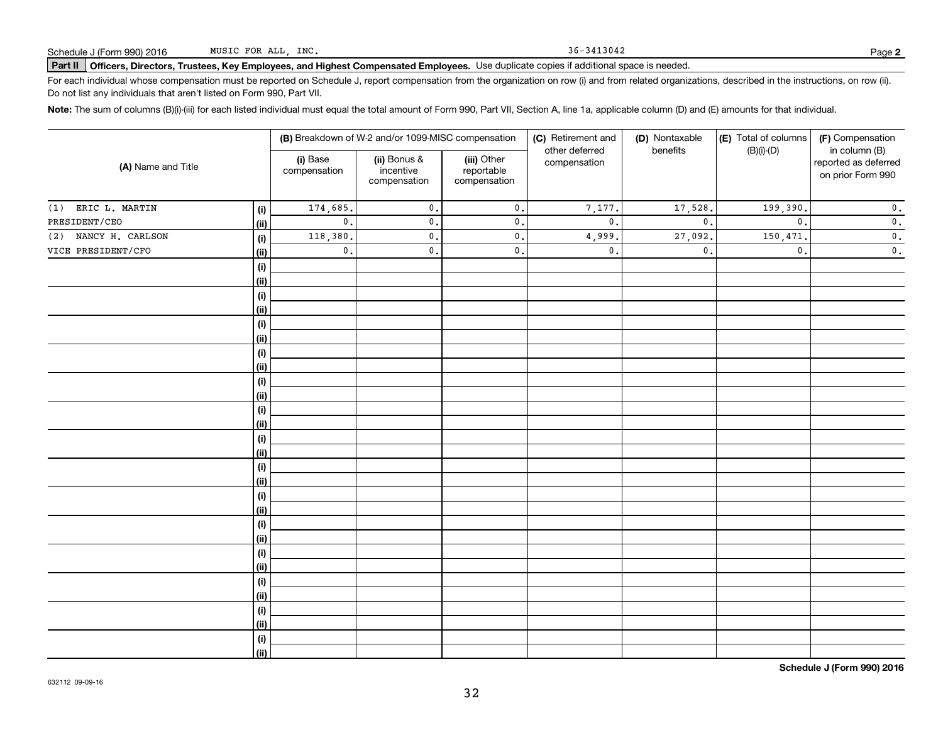36-3413042

# **Part II Officers, Directors, Trustees, Key Employees, and Highest Compensated Employees.**  Schedule J (Form 990) 2016 Page Use duplicate copies if additional space is needed.

For each individual whose compensation must be reported on Schedule J, report compensation from the organization on row (i) and from related organizations, described in the instructions, on row (ii). Do not list any individuals that aren't listed on Form 990, Part VII.

**Note:**  The sum of columns (B)(i)-(iii) for each listed individual must equal the total amount of Form 990, Part VII, Section A, line 1a, applicable column (D) and (E) amounts for that individual.

| (A) Name and Title      |      | (B) Breakdown of W-2 and/or 1099-MISC compensation |                                           |                                           | (C) Retirement and             | (D) Nontaxable | (E) Total of columns | (F) Compensation                                           |
|-------------------------|------|----------------------------------------------------|-------------------------------------------|-------------------------------------------|--------------------------------|----------------|----------------------|------------------------------------------------------------|
|                         |      | (i) Base<br>compensation                           | (ii) Bonus &<br>incentive<br>compensation | (iii) Other<br>reportable<br>compensation | other deferred<br>compensation | benefits       | $(B)(i)-(D)$         | in column (B)<br>reported as deferred<br>on prior Form 990 |
| ERIC L. MARTIN<br>(1)   | (i)  | 174,685.                                           | $\mathfrak o$ .                           | $\mathfrak o$ .                           | 7,177.                         | 17,528.        | 199,390.             | $\mathbf 0$ .                                              |
| PRESIDENT/CEO           | (ii) | $\mathbf{0}$ .                                     | $\mathbf{0}$ .                            | $\mathsf{0}$ .                            | $\mathfrak o$ .                | $\mathbf{0}$ . | $\mathbf{0}$ .       | $\mathbf 0$ .                                              |
| NANCY H. CARLSON<br>(2) | (i)  | 118,380.                                           | $\mathbf{0}$ .                            | $\mathsf{0}$ .                            | 4,999.                         | 27,092.        | 150,471.             | $\mathbf 0$ .                                              |
| VICE PRESIDENT/CFO      | (ii) | $\mathsf{0}$ .                                     | 0.                                        | $\mathsf{0}$ .                            | $\mathbf{0}$ .                 | $\mathbf{0}$ . | $\mathbf{0}$ .       | $\mathbf 0$ .                                              |
|                         | (i)  |                                                    |                                           |                                           |                                |                |                      |                                                            |
|                         | (ii) |                                                    |                                           |                                           |                                |                |                      |                                                            |
|                         | (i)  |                                                    |                                           |                                           |                                |                |                      |                                                            |
|                         | (ii) |                                                    |                                           |                                           |                                |                |                      |                                                            |
|                         | (i)  |                                                    |                                           |                                           |                                |                |                      |                                                            |
|                         | (ii) |                                                    |                                           |                                           |                                |                |                      |                                                            |
|                         | (i)  |                                                    |                                           |                                           |                                |                |                      |                                                            |
|                         | (ii) |                                                    |                                           |                                           |                                |                |                      |                                                            |
|                         | (i)  |                                                    |                                           |                                           |                                |                |                      |                                                            |
|                         | (ii) |                                                    |                                           |                                           |                                |                |                      |                                                            |
|                         | (i)  |                                                    |                                           |                                           |                                |                |                      |                                                            |
|                         | (ii) |                                                    |                                           |                                           |                                |                |                      |                                                            |
|                         | (i)  |                                                    |                                           |                                           |                                |                |                      |                                                            |
|                         | (ii) |                                                    |                                           |                                           |                                |                |                      |                                                            |
|                         | (i)  |                                                    |                                           |                                           |                                |                |                      |                                                            |
|                         | (ii) |                                                    |                                           |                                           |                                |                |                      |                                                            |
|                         | (i)  |                                                    |                                           |                                           |                                |                |                      |                                                            |
|                         | (ii) |                                                    |                                           |                                           |                                |                |                      |                                                            |
|                         | (i)  |                                                    |                                           |                                           |                                |                |                      |                                                            |
|                         | (ii) |                                                    |                                           |                                           |                                |                |                      |                                                            |
|                         | (i)  |                                                    |                                           |                                           |                                |                |                      |                                                            |
|                         | (ii) |                                                    |                                           |                                           |                                |                |                      |                                                            |
|                         | (i)  |                                                    |                                           |                                           |                                |                |                      |                                                            |
|                         | (ii) |                                                    |                                           |                                           |                                |                |                      |                                                            |
|                         | (i)  |                                                    |                                           |                                           |                                |                |                      |                                                            |
|                         | (ii) |                                                    |                                           |                                           |                                |                |                      |                                                            |
|                         | (i)  |                                                    |                                           |                                           |                                |                |                      |                                                            |
|                         | (ii) |                                                    |                                           |                                           |                                |                |                      |                                                            |

**Schedule J (Form 990) 2016**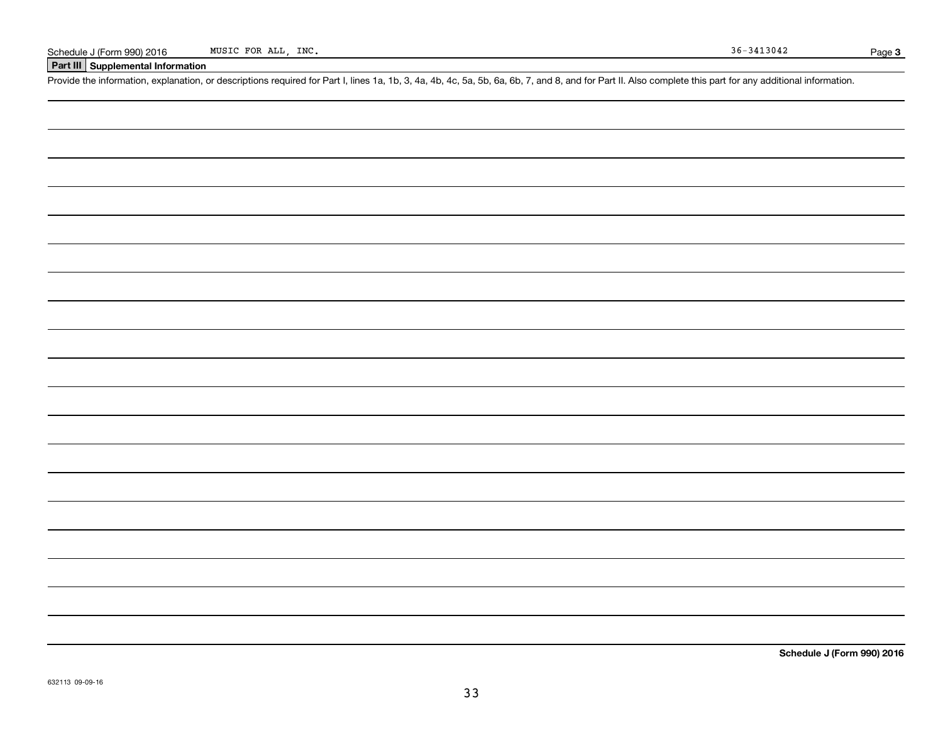## **Part III Supplemental Information**

Schedule J (Form 990) 2016 MUSIC FOR ALL, INC.<br>
Part III Supplemental Information<br>
Provide the information, explanation, or descriptions required for Part I, lines 1a, 1b, 3, 4a, 4b, 4c, 5a, 5b, 6a, 6b, 7, and 8, and for P

**Schedule J (Form 990) 2016**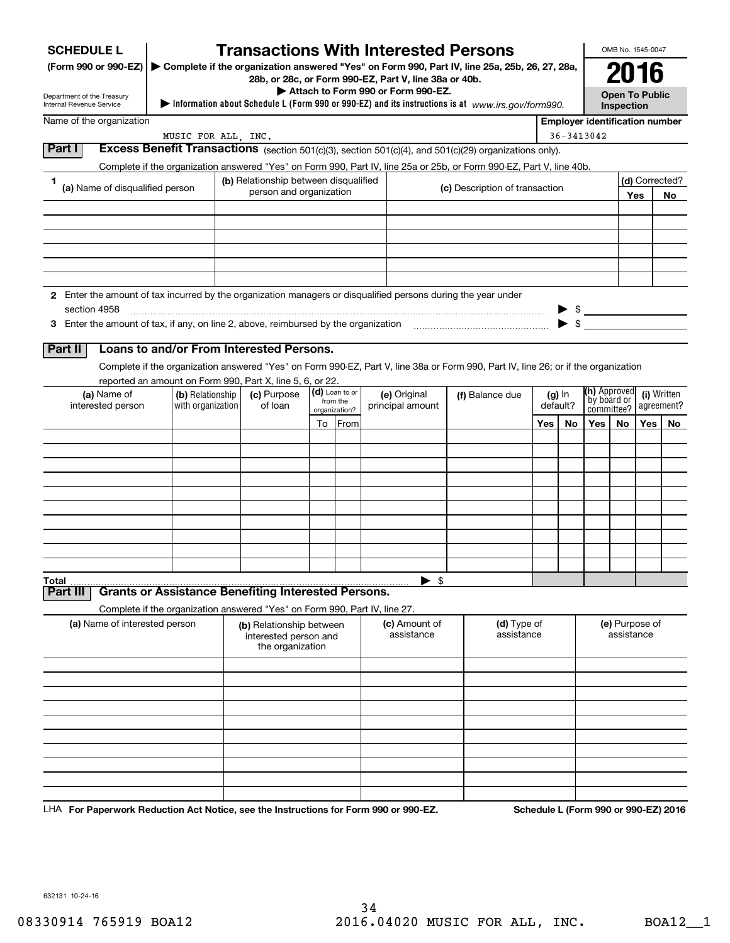| <b>SCHEDULE L</b><br>(Form 990 or 990-EZ)                                                                     |                                                                            |                                                                       |                           | <b>Transactions With Interested Persons</b>           | Complete if the organization answered "Yes" on Form 990, Part IV, line 25a, 25b, 26, 27, 28a,                                      |                                       |               | OMB No. 1545-0047                   |                           |     |
|---------------------------------------------------------------------------------------------------------------|----------------------------------------------------------------------------|-----------------------------------------------------------------------|---------------------------|-------------------------------------------------------|------------------------------------------------------------------------------------------------------------------------------------|---------------------------------------|---------------|-------------------------------------|---------------------------|-----|
|                                                                                                               |                                                                            |                                                                       |                           | 28b, or 28c, or Form 990-EZ, Part V, line 38a or 40b. |                                                                                                                                    |                                       |               | 2016                                |                           |     |
| Department of the Treasury<br>Internal Revenue Service                                                        |                                                                            |                                                                       |                           | Attach to Form 990 or Form 990-EZ.                    | Information about Schedule L (Form 990 or 990-EZ) and its instructions is at www.irs.gov/form990.                                  |                                       |               | <b>Open To Public</b><br>Inspection |                           |     |
| Name of the organization                                                                                      |                                                                            |                                                                       |                           |                                                       |                                                                                                                                    | <b>Employer identification number</b> |               |                                     |                           |     |
|                                                                                                               | MUSIC FOR ALL, INC.                                                        |                                                                       |                           |                                                       |                                                                                                                                    |                                       | 36-3413042    |                                     |                           |     |
| Part I                                                                                                        |                                                                            |                                                                       |                           |                                                       | Excess Benefit Transactions (section 501(c)(3), section 501(c)(4), and 501(c)(29) organizations only).                             |                                       |               |                                     |                           |     |
|                                                                                                               |                                                                            |                                                                       |                           |                                                       | Complete if the organization answered "Yes" on Form 990, Part IV, line 25a or 25b, or Form 990-EZ, Part V, line 40b.               |                                       |               |                                     |                           |     |
| 1<br>(a) Name of disqualified person                                                                          |                                                                            | (b) Relationship between disqualified<br>person and organization      |                           |                                                       | (c) Description of transaction                                                                                                     |                                       |               | Yes                                 | (d) Corrected?            | No. |
|                                                                                                               |                                                                            |                                                                       |                           |                                                       |                                                                                                                                    |                                       |               |                                     |                           |     |
|                                                                                                               |                                                                            |                                                                       |                           |                                                       |                                                                                                                                    |                                       |               |                                     |                           |     |
|                                                                                                               |                                                                            |                                                                       |                           |                                                       |                                                                                                                                    |                                       |               |                                     |                           |     |
|                                                                                                               |                                                                            |                                                                       |                           |                                                       |                                                                                                                                    |                                       |               |                                     |                           |     |
|                                                                                                               |                                                                            |                                                                       |                           |                                                       |                                                                                                                                    |                                       |               |                                     |                           |     |
| 2 Enter the amount of tax incurred by the organization managers or disgualified persons during the year under |                                                                            |                                                                       |                           |                                                       |                                                                                                                                    |                                       |               |                                     |                           |     |
| section 4958                                                                                                  |                                                                            |                                                                       |                           |                                                       |                                                                                                                                    |                                       | $\frac{1}{2}$ |                                     |                           |     |
| 3 Enter the amount of tax, if any, on line 2, above, reimbursed by the organization                           |                                                                            |                                                                       |                           |                                                       |                                                                                                                                    |                                       |               |                                     |                           |     |
| Part II                                                                                                       | Loans to and/or From Interested Persons.                                   |                                                                       |                           |                                                       |                                                                                                                                    |                                       |               |                                     |                           |     |
|                                                                                                               |                                                                            |                                                                       |                           |                                                       | Complete if the organization answered "Yes" on Form 990-EZ, Part V, line 38a or Form 990, Part IV, line 26; or if the organization |                                       |               |                                     |                           |     |
|                                                                                                               | reported an amount on Form 990, Part X, line 5, 6, or 22.                  |                                                                       | (d) Loan to or            |                                                       |                                                                                                                                    |                                       |               | <b>(h)</b> Approved                 |                           |     |
| (a) Name of<br>interested person                                                                              | (b) Relationship<br>with organization                                      | (c) Purpose<br>of loan                                                | from the<br>organization? | (e) Original<br>principal amount                      | (f) Balance due                                                                                                                    | $(g)$ In<br>default?                  |               | by board or<br>committee?           | (i) Written<br>agreement? |     |
|                                                                                                               |                                                                            |                                                                       | To From                   |                                                       |                                                                                                                                    | Yes<br>No                             | Yes l         | No.                                 | Yes                       | No  |
|                                                                                                               |                                                                            |                                                                       |                           |                                                       |                                                                                                                                    |                                       |               |                                     |                           |     |
|                                                                                                               |                                                                            |                                                                       |                           |                                                       |                                                                                                                                    |                                       |               |                                     |                           |     |
|                                                                                                               |                                                                            |                                                                       |                           |                                                       |                                                                                                                                    |                                       |               |                                     |                           |     |
|                                                                                                               |                                                                            |                                                                       |                           |                                                       |                                                                                                                                    |                                       |               |                                     |                           |     |
|                                                                                                               |                                                                            |                                                                       |                           |                                                       |                                                                                                                                    |                                       |               |                                     |                           |     |
|                                                                                                               |                                                                            |                                                                       |                           |                                                       |                                                                                                                                    |                                       |               |                                     |                           |     |
|                                                                                                               |                                                                            |                                                                       |                           |                                                       |                                                                                                                                    |                                       |               |                                     |                           |     |
|                                                                                                               |                                                                            |                                                                       |                           |                                                       |                                                                                                                                    |                                       |               |                                     |                           |     |
|                                                                                                               |                                                                            |                                                                       |                           | $\blacktriangleright$ \$                              |                                                                                                                                    |                                       |               |                                     |                           |     |
|                                                                                                               |                                                                            |                                                                       |                           |                                                       |                                                                                                                                    |                                       |               |                                     |                           |     |
| <b>Grants or Assistance Benefiting Interested Persons.</b>                                                    |                                                                            |                                                                       |                           |                                                       |                                                                                                                                    |                                       |               |                                     |                           |     |
|                                                                                                               | Complete if the organization answered "Yes" on Form 990, Part IV, line 27. |                                                                       |                           |                                                       |                                                                                                                                    |                                       |               |                                     |                           |     |
| (a) Name of interested person                                                                                 |                                                                            | (b) Relationship between<br>interested person and<br>the organization |                           | (c) Amount of<br>assistance                           | (d) Type of<br>assistance                                                                                                          |                                       |               | (e) Purpose of<br>assistance        |                           |     |
|                                                                                                               |                                                                            |                                                                       |                           |                                                       |                                                                                                                                    |                                       |               |                                     |                           |     |
| Part III                                                                                                      |                                                                            |                                                                       |                           |                                                       |                                                                                                                                    |                                       |               |                                     |                           |     |
| Total                                                                                                         |                                                                            |                                                                       |                           |                                                       |                                                                                                                                    |                                       |               |                                     |                           |     |
|                                                                                                               |                                                                            |                                                                       |                           |                                                       |                                                                                                                                    |                                       |               |                                     |                           |     |
|                                                                                                               |                                                                            |                                                                       |                           |                                                       |                                                                                                                                    |                                       |               |                                     |                           |     |
|                                                                                                               |                                                                            |                                                                       |                           |                                                       |                                                                                                                                    |                                       |               |                                     |                           |     |

LHA For Paperwork Reduction Act Notice, see the Instructions for Form 990 or 990-EZ. Schedule L (Form 990 or 990-EZ) 2016

632131 10-24-16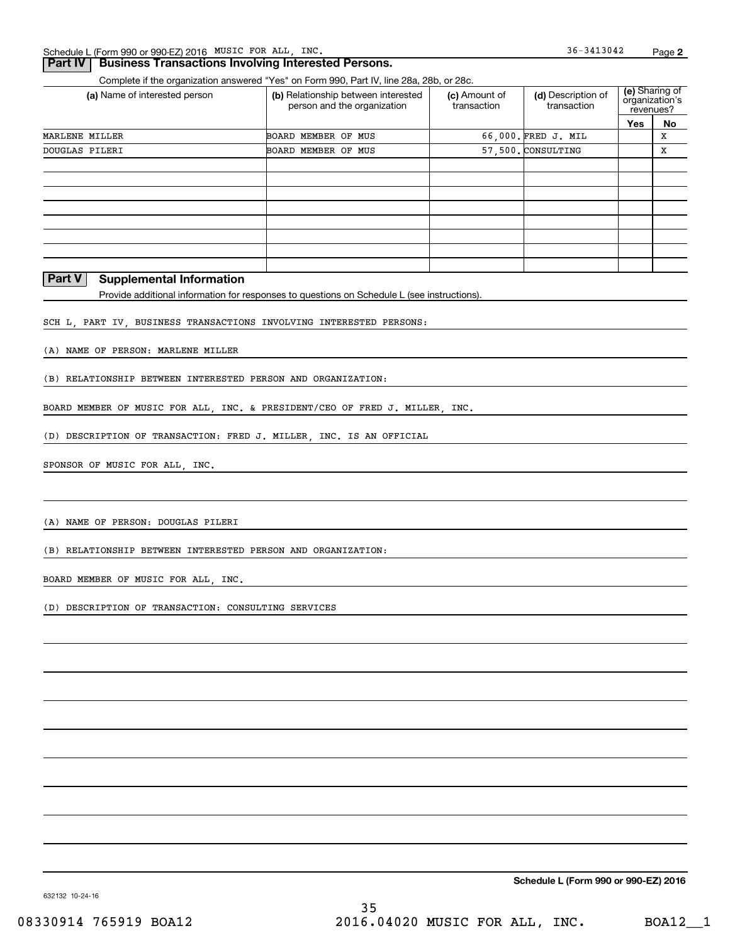### **Part IV Business Transactions Involving Interested Persons.**

Complete if the organization answered "Yes" on Form 990, Part IV, line 28a, 28b, or 28c.

| (a) Name of interested person | (b) Relationship between interested<br>person and the organization | (c) Amount of<br>transaction |                     | (e) Sharing of<br>organization's<br>revenues? |    |
|-------------------------------|--------------------------------------------------------------------|------------------------------|---------------------|-----------------------------------------------|----|
|                               |                                                                    |                              |                     | Yes                                           | No |
| MARLENE MILLER                | BOARD MEMBER OF MUS                                                |                              | 66.000. FRED J. MIL |                                               | x  |
| DOUGLAS PILERI                | BOARD MEMBER OF MUS                                                |                              | 57.500. CONSULTING  |                                               | х  |
|                               |                                                                    |                              |                     |                                               |    |
|                               |                                                                    |                              |                     |                                               |    |
|                               |                                                                    |                              |                     |                                               |    |
|                               |                                                                    |                              |                     |                                               |    |
|                               |                                                                    |                              |                     |                                               |    |
|                               |                                                                    |                              |                     |                                               |    |
|                               |                                                                    |                              |                     |                                               |    |
|                               |                                                                    |                              |                     |                                               |    |

## **Part V Supplemental Information**

Provide additional information for responses to questions on Schedule L (see instructions).

SCH L, PART IV, BUSINESS TRANSACTIONS INVOLVING INTERESTED PERSONS:

(A) NAME OF PERSON: MARLENE MILLER

(B) RELATIONSHIP BETWEEN INTERESTED PERSON AND ORGANIZATION:

BOARD MEMBER OF MUSIC FOR ALL, INC. & PRESIDENT/CEO OF FRED J. MILLER, INC.

(D) DESCRIPTION OF TRANSACTION: FRED J. MILLER, INC. IS AN OFFICIAL

SPONSOR OF MUSIC FOR ALL, INC.

(A) NAME OF PERSON: DOUGLAS PILERI

(B) RELATIONSHIP BETWEEN INTERESTED PERSON AND ORGANIZATION:

BOARD MEMBER OF MUSIC FOR ALL, INC.

(D) DESCRIPTION OF TRANSACTION: CONSULTING SERVICES

**Schedule L (Form 990 or 990-EZ) 2016**

632132 10-24-16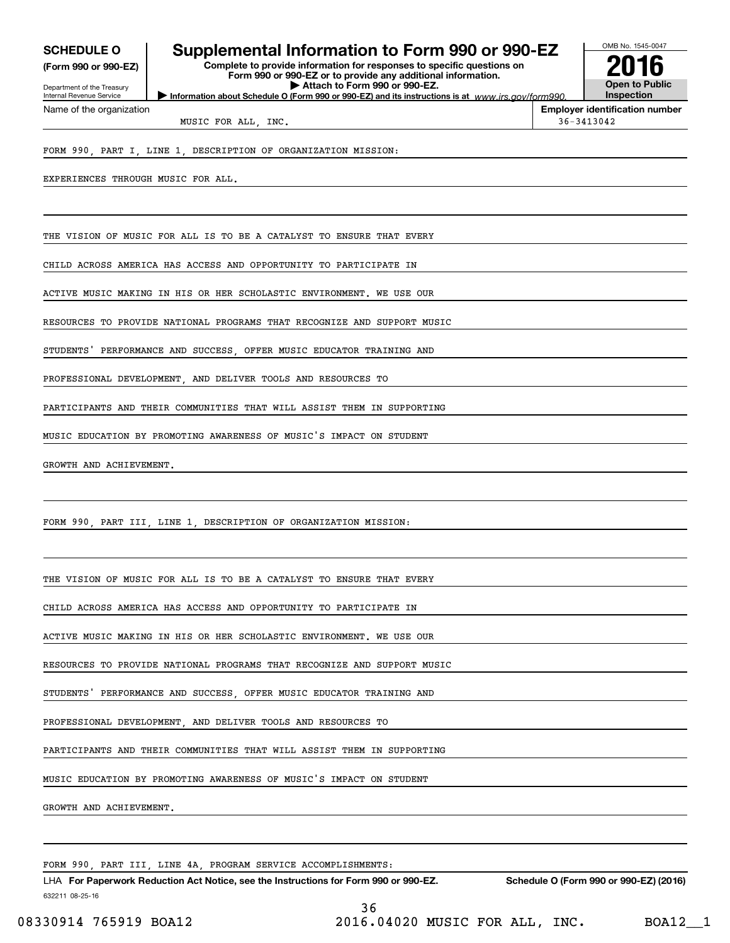| <b>SCHEDULE O</b> |  |
|-------------------|--|
|-------------------|--|

**(Form 990 or 990-EZ)**

Department of the Treasury Internal Revenue Service Name of the organization

# **Supplemental Information to Form 990 or 990-EZ**

**Information about Schedule O (Form 990 or 990-EZ) and its instructions is at**  $www.irs.gov/form990.$ **Complete to provide information for responses to specific questions on Form 990 or 990-EZ or to provide any additional information. | Attach to Form 990 or 990-EZ.**



**Employer identification number**

MUSIC FOR ALL, INC.  $36-3413042$ 

FORM 990, PART I, LINE 1, DESCRIPTION OF ORGANIZATION MISSION:

EXPERIENCES THROUGH MUSIC FOR ALL.

THE VISION OF MUSIC FOR ALL IS TO BE A CATALYST TO ENSURE THAT EVERY

CHILD ACROSS AMERICA HAS ACCESS AND OPPORTUNITY TO PARTICIPATE IN

ACTIVE MUSIC MAKING IN HIS OR HER SCHOLASTIC ENVIRONMENT. WE USE OUR

RESOURCES TO PROVIDE NATIONAL PROGRAMS THAT RECOGNIZE AND SUPPORT MUSIC

STUDENTS' PERFORMANCE AND SUCCESS OFFER MUSIC EDUCATOR TRAINING AND

PROFESSIONAL DEVELOPMENT AND DELIVER TOOLS AND RESOURCES TO

PARTICIPANTS AND THEIR COMMUNITIES THAT WILL ASSIST THEM IN SUPPORTING

MUSIC EDUCATION BY PROMOTING AWARENESS OF MUSIC'S IMPACT ON STUDENT

GROWTH AND ACHIEVEMENT.

FORM 990, PART III, LINE 1, DESCRIPTION OF ORGANIZATION MISSION:

THE VISION OF MUSIC FOR ALL IS TO BE A CATALYST TO ENSURE THAT EVERY

CHILD ACROSS AMERICA HAS ACCESS AND OPPORTUNITY TO PARTICIPATE IN

ACTIVE MUSIC MAKING IN HIS OR HER SCHOLASTIC ENVIRONMENT. WE USE OUR

RESOURCES TO PROVIDE NATIONAL PROGRAMS THAT RECOGNIZE AND SUPPORT MUSIC

STUDENTS' PERFORMANCE AND SUCCESS OFFER MUSIC EDUCATOR TRAINING AND

PROFESSIONAL DEVELOPMENT, AND DELIVER TOOLS AND RESOURCES TO

PARTICIPANTS AND THEIR COMMUNITIES THAT WILL ASSIST THEM IN SUPPORTING

MUSIC EDUCATION BY PROMOTING AWARENESS OF MUSIC'S IMPACT ON STUDENT

GROWTH AND ACHIEVEMENT.

FORM 990, PART III, LINE 4A, PROGRAM SERVICE ACCOMPLISHMENTS:

632211 08-25-16 LHA For Paperwork Reduction Act Notice, see the Instructions for Form 990 or 990-EZ. Schedule O (Form 990 or 990-EZ) (2016) 36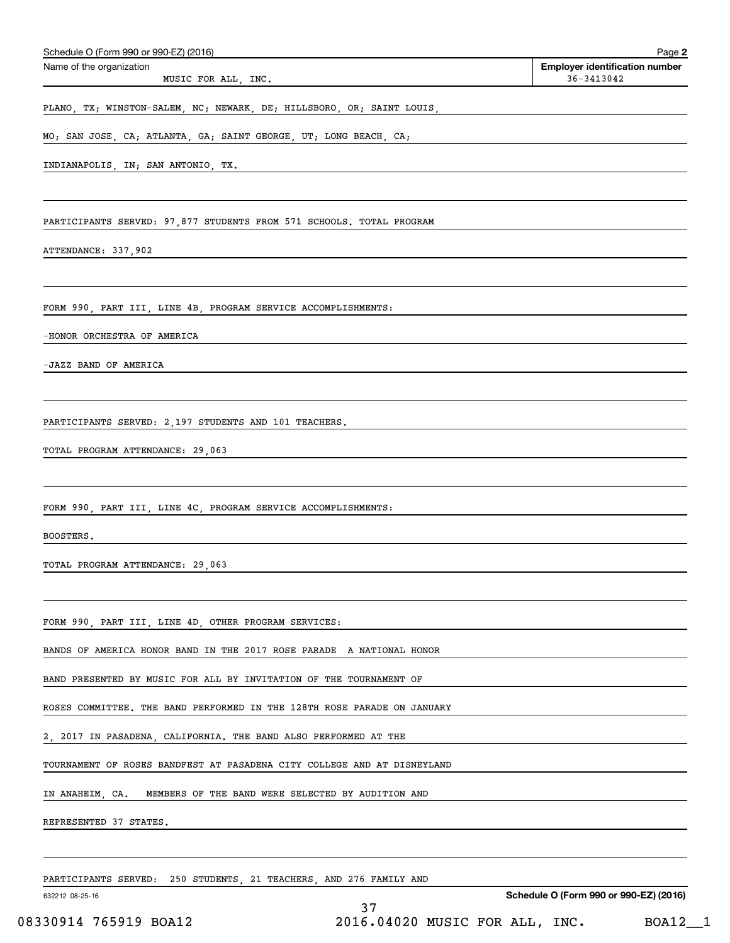| Schedule O (Form 990 or 990-EZ) (2016)                                  | Page 2                                              |
|-------------------------------------------------------------------------|-----------------------------------------------------|
| Name of the organization<br>MUSIC FOR ALL, INC.                         | <b>Employer identification number</b><br>36-3413042 |
| PLANO, TX; WINSTON-SALEM, NC; NEWARK, DE; HILLSBORO, OR; SAINT LOUIS,   |                                                     |
| MO; SAN JOSE, CA; ATLANTA, GA; SAINT GEORGE, UT; LONG BEACH, CA;        |                                                     |
| INDIANAPOLIS, IN; SAN ANTONIO, TX.                                      |                                                     |
|                                                                         |                                                     |
| PARTICIPANTS SERVED: 97,877 STUDENTS FROM 571 SCHOOLS. TOTAL PROGRAM    |                                                     |
| ATTENDANCE: 337,902                                                     |                                                     |
|                                                                         |                                                     |
| FORM 990, PART III, LINE 4B, PROGRAM SERVICE ACCOMPLISHMENTS:           |                                                     |
| -HONOR ORCHESTRA OF AMERICA                                             |                                                     |
| -JAZZ BAND OF AMERICA                                                   |                                                     |
|                                                                         |                                                     |
| PARTICIPANTS SERVED: 2,197 STUDENTS AND 101 TEACHERS.                   |                                                     |
| TOTAL PROGRAM ATTENDANCE: 29,063                                        |                                                     |
|                                                                         |                                                     |
| FORM 990, PART III, LINE 4C, PROGRAM SERVICE ACCOMPLISHMENTS:           |                                                     |
| BOOSTERS.                                                               |                                                     |
| TOTAL PROGRAM ATTENDANCE: 29,063                                        |                                                     |
|                                                                         |                                                     |
| FORM 990, PART III, LINE 4D, OTHER PROGRAM SERVICES:                    |                                                     |
| BANDS OF AMERICA HONOR BAND IN THE 2017 ROSE PARADE A NATIONAL HONOR    |                                                     |
| BAND PRESENTED BY MUSIC FOR ALL BY INVITATION OF THE TOURNAMENT OF      |                                                     |
| ROSES COMMITTEE. THE BAND PERFORMED IN THE 128TH ROSE PARADE ON JANUARY |                                                     |
| 2, 2017 IN PASADENA, CALIFORNIA. THE BAND ALSO PERFORMED AT THE         |                                                     |
| TOURNAMENT OF ROSES BANDFEST AT PASADENA CITY COLLEGE AND AT DISNEYLAND |                                                     |
| MEMBERS OF THE BAND WERE SELECTED BY AUDITION AND<br>IN ANAHEIM, CA.    |                                                     |
| REPRESENTED 37 STATES.                                                  |                                                     |
|                                                                         |                                                     |
| PARTICIPANTS SERVED: 250 STUDENTS, 21 TEACHERS, AND 276 FAMILY AND      |                                                     |
| 632212 08-25-16<br>37                                                   | Schedule O (Form 990 or 990-EZ) (2016)              |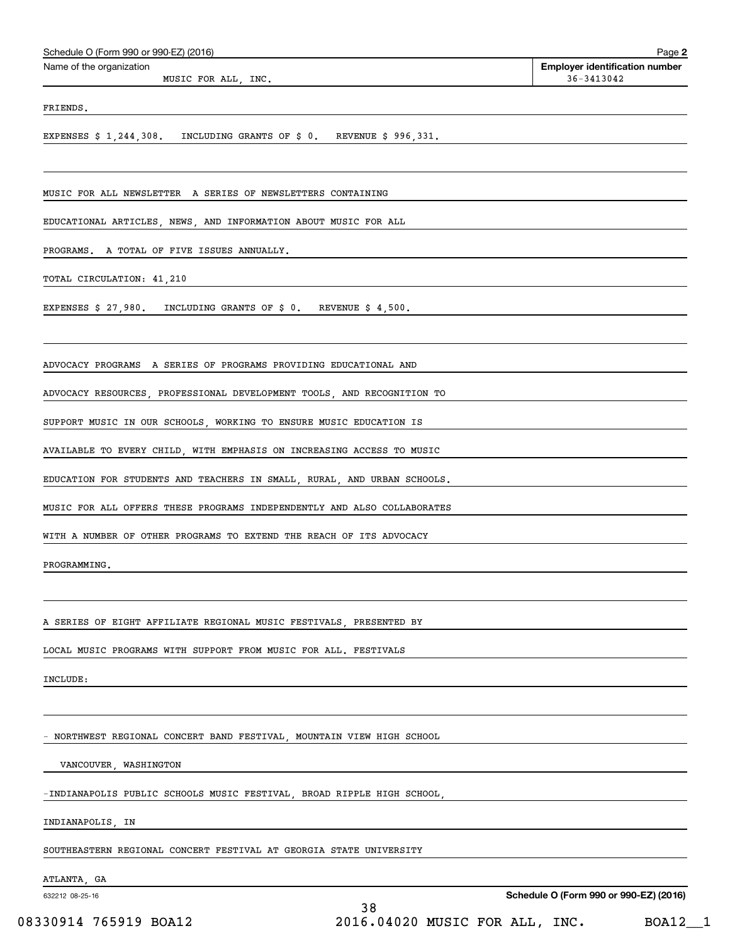| Schedule O (Form 990 or 990-EZ) (2016)                                                                                   | Page 2                                              |
|--------------------------------------------------------------------------------------------------------------------------|-----------------------------------------------------|
| Name of the organization<br>MUSIC FOR ALL, INC.                                                                          | <b>Employer identification number</b><br>36-3413042 |
| FRIENDS.                                                                                                                 |                                                     |
| EXPENSES $\sharp$ 1,244,308. INCLUDING GRANTS OF $\sharp$ 0. REVENUE $\sharp$ 996,331.                                   |                                                     |
| MUSIC FOR ALL NEWSLETTER A SERIES OF NEWSLETTERS CONTAINING                                                              |                                                     |
| EDUCATIONAL ARTICLES, NEWS, AND INFORMATION ABOUT MUSIC FOR ALL                                                          |                                                     |
| PROGRAMS. A TOTAL OF FIVE ISSUES ANNUALLY.                                                                               |                                                     |
| TOTAL CIRCULATION: 41,210                                                                                                |                                                     |
| EXPENSES \$ 27,980. INCLUDING GRANTS OF \$ 0. REVENUE \$ 4,500.                                                          |                                                     |
|                                                                                                                          |                                                     |
| ADVOCACY PROGRAMS A SERIES OF PROGRAMS PROVIDING EDUCATIONAL AND                                                         |                                                     |
| ADVOCACY RESOURCES, PROFESSIONAL DEVELOPMENT TOOLS, AND RECOGNITION TO                                                   |                                                     |
| SUPPORT MUSIC IN OUR SCHOOLS, WORKING TO ENSURE MUSIC EDUCATION IS                                                       |                                                     |
| AVAILABLE TO EVERY CHILD, WITH EMPHASIS ON INCREASING ACCESS TO MUSIC                                                    |                                                     |
| EDUCATION FOR STUDENTS AND TEACHERS IN SMALL, RURAL, AND URBAN SCHOOLS.                                                  |                                                     |
| MUSIC FOR ALL OFFERS THESE PROGRAMS INDEPENDENTLY AND ALSO COLLABORATES                                                  |                                                     |
| WITH A NUMBER OF OTHER PROGRAMS TO EXTEND THE REACH OF ITS ADVOCACY                                                      |                                                     |
| PROGRAMMING.                                                                                                             |                                                     |
|                                                                                                                          |                                                     |
| A SERIES OF EIGHT AFFILIATE REGIONAL MUSIC FESTIVALS, PRESENTED BY                                                       |                                                     |
| LOCAL MUSIC PROGRAMS WITH SUPPORT FROM MUSIC FOR ALL. FESTIVALS                                                          |                                                     |
| INCLUDE:                                                                                                                 |                                                     |
|                                                                                                                          |                                                     |
| - NORTHWEST REGIONAL CONCERT BAND FESTIVAL, MOUNTAIN VIEW HIGH SCHOOL                                                    |                                                     |
| VANCOUVER, WASHINGTON                                                                                                    |                                                     |
| -INDIANAPOLIS PUBLIC SCHOOLS MUSIC FESTIVAL, BROAD RIPPLE HIGH SCHOOL, <b>And Indianapolis Charles Contract Contract</b> |                                                     |
| INDIANAPOLIS, IN                                                                                                         |                                                     |
| SOUTHEASTERN REGIONAL CONCERT FESTIVAL AT GEORGIA STATE UNIVERSITY                                                       |                                                     |

38

ATLANTA, GA

632212 08-25-16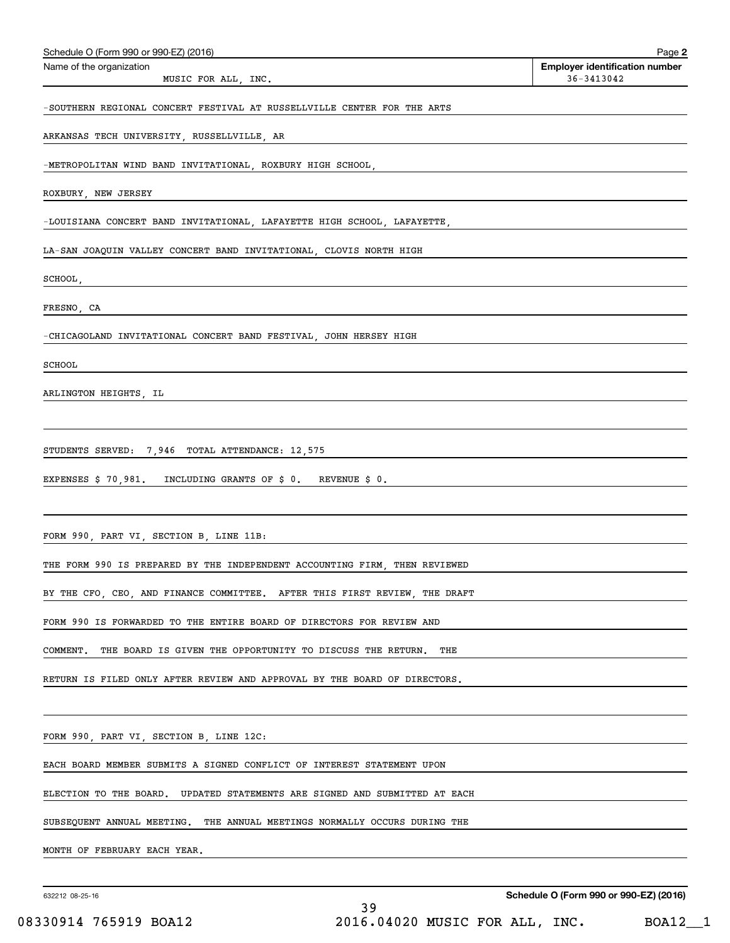| Schedule O (Form 990 or 990-EZ) (2016)                                       | Page 2                                              |
|------------------------------------------------------------------------------|-----------------------------------------------------|
| Name of the organization<br>MUSIC FOR ALL, INC.                              | <b>Employer identification number</b><br>36-3413042 |
| -SOUTHERN REGIONAL CONCERT FESTIVAL AT RUSSELLVILLE CENTER FOR THE ARTS      |                                                     |
| ARKANSAS TECH UNIVERSITY, RUSSELLVILLE, AR                                   |                                                     |
| -METROPOLITAN WIND BAND INVITATIONAL, ROXBURY HIGH SCHOOL,                   |                                                     |
| ROXBURY, NEW JERSEY                                                          |                                                     |
| -LOUISIANA CONCERT BAND INVITATIONAL, LAFAYETTE HIGH SCHOOL, LAFAYETTE,      |                                                     |
| LA-SAN JOAQUIN VALLEY CONCERT BAND INVITATIONAL, CLOVIS NORTH HIGH           |                                                     |
| SCHOOL,                                                                      |                                                     |
| FRESNO, CA                                                                   |                                                     |
| -CHICAGOLAND INVITATIONAL CONCERT BAND FESTIVAL, JOHN HERSEY HIGH            |                                                     |
| SCHOOL                                                                       |                                                     |
| ARLINGTON HEIGHTS, IL                                                        |                                                     |
|                                                                              |                                                     |
| STUDENTS SERVED: 7,946 TOTAL ATTENDANCE: 12,575                              |                                                     |
| EXPENSES \$70,981. INCLUDING GRANTS OF \$0. REVENUE \$0.                     |                                                     |
|                                                                              |                                                     |
| FORM 990, PART VI, SECTION B, LINE 11B:                                      |                                                     |
| THE FORM 990 IS PREPARED BY THE INDEPENDENT ACCOUNTING FIRM, THEN REVIEWED   |                                                     |
| BY THE CFO, CEO, AND FINANCE COMMITTEE. AFTER THIS FIRST REVIEW, THE DRAFT   |                                                     |
| FORM 990 IS FORWARDED TO THE ENTIRE BOARD OF DIRECTORS FOR REVIEW AND        |                                                     |
| THE BOARD IS GIVEN THE OPPORTUNITY TO DISCUSS THE RETURN.<br>COMMENT.<br>THE |                                                     |
| RETURN IS FILED ONLY AFTER REVIEW AND APPROVAL BY THE BOARD OF DIRECTORS.    |                                                     |
|                                                                              |                                                     |
| FORM 990, PART VI, SECTION B, LINE 12C:                                      |                                                     |
| EACH BOARD MEMBER SUBMITS A SIGNED CONFLICT OF INTEREST STATEMENT UPON       |                                                     |
| ELECTION TO THE BOARD. UPDATED STATEMENTS ARE SIGNED AND SUBMITTED AT EACH   |                                                     |
| SUBSEQUENT ANNUAL MEETING. THE ANNUAL MEETINGS NORMALLY OCCURS DURING THE    |                                                     |
| MONTH OF FEBRUARY EACH YEAR.                                                 |                                                     |
|                                                                              |                                                     |

**Schedule O (Form 990 or 990-EZ) (2016)**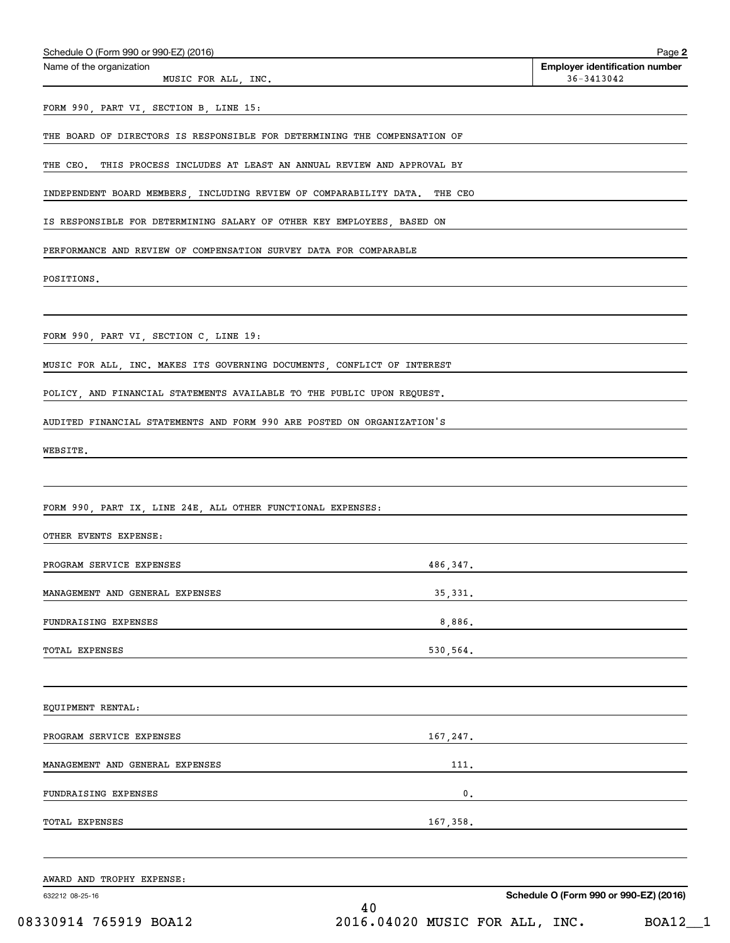| MUSIC FOR ALL, INC.                                                        | <b>Employer identification number</b><br>$36 - 3413042$                                                                           |  |
|----------------------------------------------------------------------------|-----------------------------------------------------------------------------------------------------------------------------------|--|
| FORM 990, PART VI, SECTION B, LINE 15:                                     |                                                                                                                                   |  |
| THE BOARD OF DIRECTORS IS RESPONSIBLE FOR DETERMINING THE COMPENSATION OF  |                                                                                                                                   |  |
|                                                                            |                                                                                                                                   |  |
| THE CEO. THIS PROCESS INCLUDES AT LEAST AN ANNUAL REVIEW AND APPROVAL BY   |                                                                                                                                   |  |
| INDEPENDENT BOARD MEMBERS, INCLUDING REVIEW OF COMPARABILITY DATA. THE CEO |                                                                                                                                   |  |
| IS RESPONSIBLE FOR DETERMINING SALARY OF OTHER KEY EMPLOYEES, BASED ON     |                                                                                                                                   |  |
| PERFORMANCE AND REVIEW OF COMPENSATION SURVEY DATA FOR COMPARABLE          |                                                                                                                                   |  |
| POSITIONS.                                                                 |                                                                                                                                   |  |
|                                                                            |                                                                                                                                   |  |
| FORM 990, PART VI, SECTION C, LINE 19:                                     |                                                                                                                                   |  |
| MUSIC FOR ALL, INC. MAKES ITS GOVERNING DOCUMENTS, CONFLICT OF INTEREST    |                                                                                                                                   |  |
| POLICY, AND FINANCIAL STATEMENTS AVAILABLE TO THE PUBLIC UPON REQUEST.     |                                                                                                                                   |  |
| AUDITED FINANCIAL STATEMENTS AND FORM 990 ARE POSTED ON ORGANIZATION'S     |                                                                                                                                   |  |
| WEBSITE.                                                                   |                                                                                                                                   |  |
|                                                                            |                                                                                                                                   |  |
| FORM 990, PART IX, LINE 24E, ALL OTHER FUNCTIONAL EXPENSES:                |                                                                                                                                   |  |
|                                                                            |                                                                                                                                   |  |
| OTHER EVENTS EXPENSE:                                                      |                                                                                                                                   |  |
| PROGRAM SERVICE EXPENSES                                                   | 486.347.                                                                                                                          |  |
|                                                                            |                                                                                                                                   |  |
| MANAGEMENT AND GENERAL EXPENSES                                            |                                                                                                                                   |  |
| FUNDRAISING EXPENSES                                                       |                                                                                                                                   |  |
| TOTAL EXPENSES                                                             | 530,564.                                                                                                                          |  |
|                                                                            |                                                                                                                                   |  |
| EQUIPMENT RENTAL:                                                          |                                                                                                                                   |  |
| PROGRAM SERVICE EXPENSES                                                   |                                                                                                                                   |  |
| MANAGEMENT AND GENERAL EXPENSES                                            | 111.                                                                                                                              |  |
| FUNDRAISING EXPENSES                                                       |                                                                                                                                   |  |
| TOTAL EXPENSES                                                             | $\overline{\phantom{a}}$                                                                                                          |  |
|                                                                            | 167,358.<br><u> 1989 - Johann Barn, mars et al. 1989 - Anna ann an t-Anna ann an t-Anna ann an t-Anna ann an t-Anna ann an t-</u> |  |
| AWARD AND TROPHY EXPENSE:                                                  |                                                                                                                                   |  |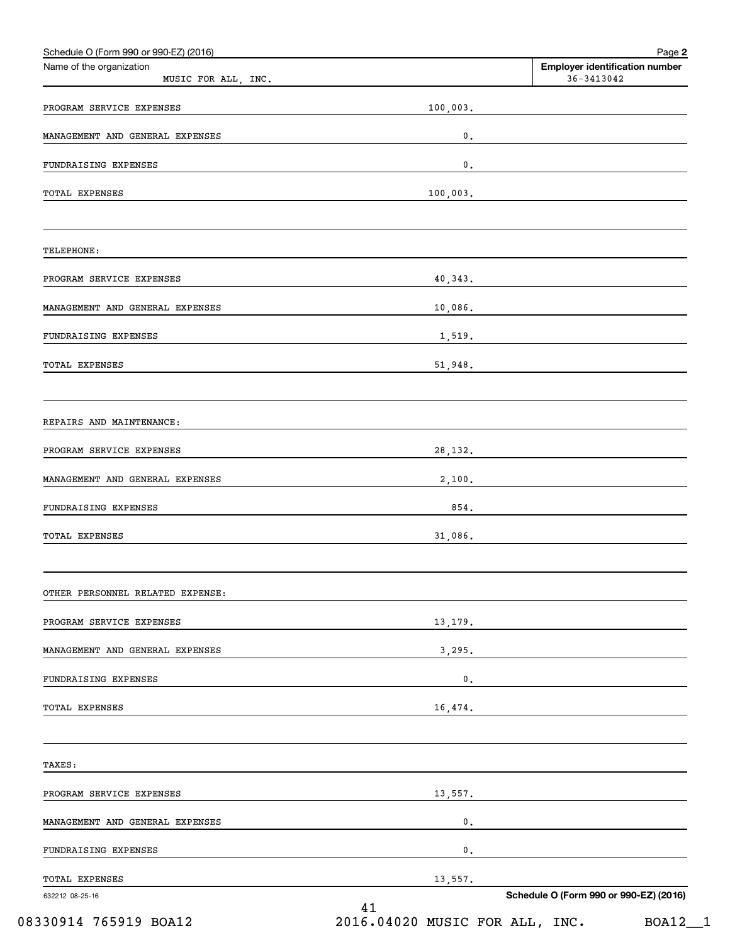| Name of the organization<br>MUSIC FOR ALL, INC. |          | <b>Employer identification number</b><br>$36 - 3413042$ |
|-------------------------------------------------|----------|---------------------------------------------------------|
| PROGRAM SERVICE EXPENSES                        | 100,003. |                                                         |
| MANAGEMENT AND GENERAL EXPENSES                 | $0$ .    |                                                         |
|                                                 |          |                                                         |
| FUNDRAISING EXPENSES                            | 0.       |                                                         |
| TOTAL EXPENSES                                  | 100,003. |                                                         |
| TELEPHONE:                                      |          |                                                         |
| PROGRAM SERVICE EXPENSES                        | 40,343.  |                                                         |
| MANAGEMENT AND GENERAL EXPENSES                 |          |                                                         |
| FUNDRAISING EXPENSES                            |          | 1,519.                                                  |
| TOTAL EXPENSES                                  | 51,948.  |                                                         |
| REPAIRS AND MAINTENANCE:                        |          |                                                         |
| PROGRAM SERVICE EXPENSES                        | 28, 132. |                                                         |
| MANAGEMENT AND GENERAL EXPENSES                 |          |                                                         |
| FUNDRAISING EXPENSES                            | 854.     |                                                         |
| <b>TOTAL EXPENSES</b>                           | 31,086.  |                                                         |
| OTHER PERSONNEL RELATED EXPENSE:                |          |                                                         |
| PROGRAM SERVICE EXPENSES                        |          | 13, 179.                                                |
| MANAGEMENT AND GENERAL EXPENSES                 | 3,295.   |                                                         |
| FUNDRAISING EXPENSES                            | 0.       |                                                         |
| TOTAL EXPENSES                                  | 16, 474. |                                                         |
| TAXES:                                          |          |                                                         |
| PROGRAM SERVICE EXPENSES                        |          | 13,557.                                                 |
| MANAGEMENT AND GENERAL EXPENSES                 | 0.       |                                                         |
| FUNDRAISING EXPENSES                            | 0.       |                                                         |
| <b>TOTAL EXPENSES</b>                           | 13,557.  |                                                         |
| 632212 08-25-16                                 | 41       | Schedule O (Form 990 or 990-EZ) (2016)                  |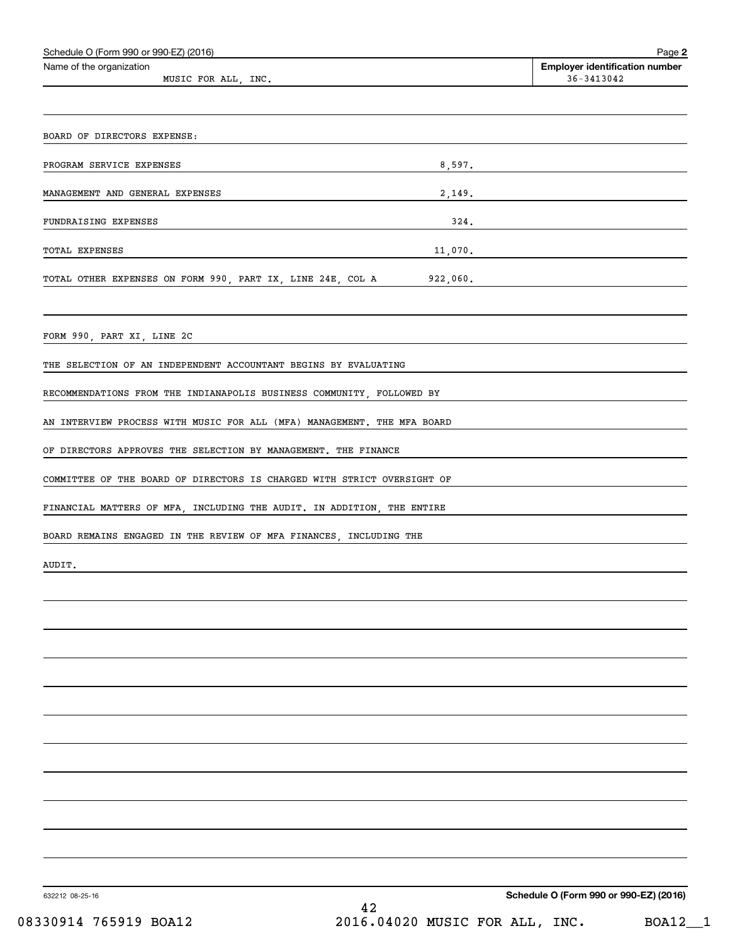| Schedule O (Form 990 or 990-EZ) (2016)                                  | Page 2                                              |
|-------------------------------------------------------------------------|-----------------------------------------------------|
| Name of the organization<br>MUSIC FOR ALL, INC.                         | <b>Employer identification number</b><br>36-3413042 |
|                                                                         |                                                     |
|                                                                         |                                                     |
| BOARD OF DIRECTORS EXPENSE:                                             |                                                     |
| 8,597.<br>PROGRAM SERVICE EXPENSES                                      |                                                     |
| MANAGEMENT AND GENERAL EXPENSES<br>2,149.                               |                                                     |
| FUNDRAISING EXPENSES<br>324.                                            |                                                     |
| 11,070.<br>TOTAL EXPENSES                                               |                                                     |
| TOTAL OTHER EXPENSES ON FORM 990, PART IX, LINE 24E, COL A 922,060.     |                                                     |
|                                                                         |                                                     |
|                                                                         |                                                     |
| FORM 990, PART XI, LINE 2C                                              |                                                     |
| THE SELECTION OF AN INDEPENDENT ACCOUNTANT BEGINS BY EVALUATING         |                                                     |
| RECOMMENDATIONS FROM THE INDIANAPOLIS BUSINESS COMMUNITY, FOLLOWED BY   |                                                     |
| AN INTERVIEW PROCESS WITH MUSIC FOR ALL (MFA) MANAGEMENT. THE MFA BOARD |                                                     |
| OF DIRECTORS APPROVES THE SELECTION BY MANAGEMENT. THE FINANCE          |                                                     |
| COMMITTEE OF THE BOARD OF DIRECTORS IS CHARGED WITH STRICT OVERSIGHT OF |                                                     |
| FINANCIAL MATTERS OF MFA, INCLUDING THE AUDIT. IN ADDITION, THE ENTIRE  |                                                     |
|                                                                         |                                                     |
| BOARD REMAINS ENGAGED IN THE REVIEW OF MFA FINANCES, INCLUDING THE      |                                                     |
| AUDIT.                                                                  |                                                     |
|                                                                         |                                                     |
|                                                                         |                                                     |
|                                                                         |                                                     |
|                                                                         |                                                     |
|                                                                         |                                                     |
|                                                                         |                                                     |
|                                                                         |                                                     |
|                                                                         |                                                     |
|                                                                         |                                                     |
|                                                                         |                                                     |
|                                                                         |                                                     |
|                                                                         |                                                     |

632212 08-25-16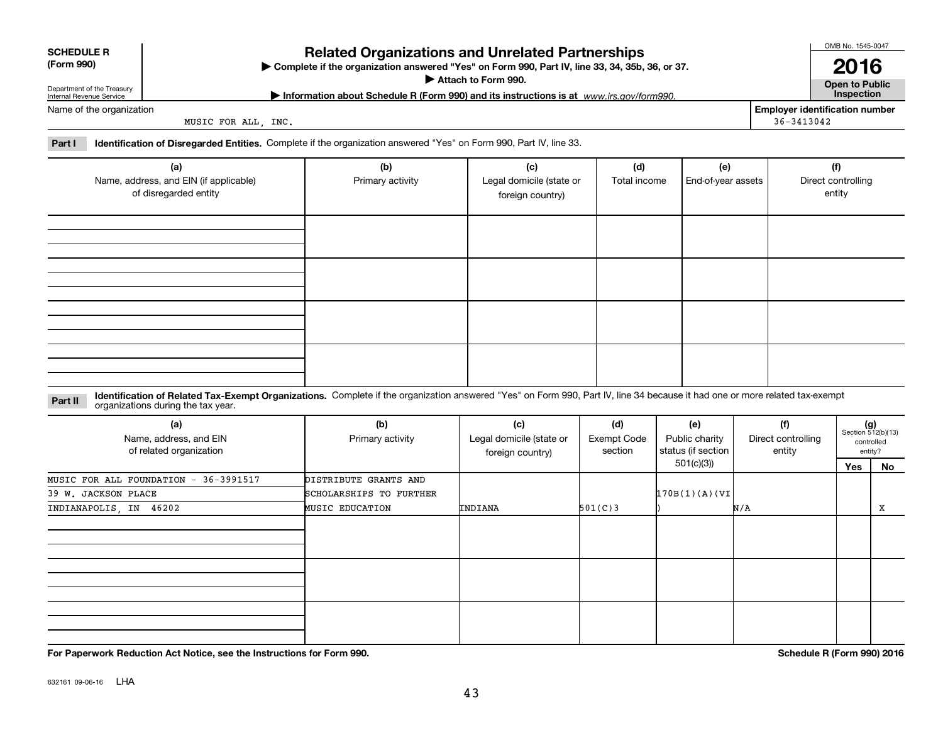| <b>Related Organizations and Unrelated Partnerships</b><br><b>SCHEDULE R</b><br>(Form 990)<br>▶ Complete if the organization answered "Yes" on Form 990, Part IV, line 33, 34, 35b, 36, or 37.<br>Attach to Form 990.<br>Department of the Treasury<br>Information about Schedule R (Form 990) and its instructions is at www.irs.gov/form990.<br>Internal Revenue Service |                                                                        |                                                                                                                           |                                                     |                     |                           |                | OMB No. 1545-0047<br>2016<br><b>Open to Public</b><br><b>Inspection</b> |
|----------------------------------------------------------------------------------------------------------------------------------------------------------------------------------------------------------------------------------------------------------------------------------------------------------------------------------------------------------------------------|------------------------------------------------------------------------|---------------------------------------------------------------------------------------------------------------------------|-----------------------------------------------------|---------------------|---------------------------|----------------|-------------------------------------------------------------------------|
| Name of the organization<br>Part I                                                                                                                                                                                                                                                                                                                                         | MUSIC FOR ALL, INC.                                                    | <b>Identification of Disregarded Entities.</b> Complete if the organization answered "Yes" on Form 990, Part IV, line 33. |                                                     |                     |                           | $36 - 3413042$ | <b>Employer identification number</b>                                   |
|                                                                                                                                                                                                                                                                                                                                                                            | (a)<br>Name, address, and EIN (if applicable)<br>of disregarded entity | (b)<br>Primary activity                                                                                                   | (c)<br>Legal domicile (state or<br>foreign country) | (d)<br>Total income | (e)<br>End-of-year assets |                | (f)<br>Direct controlling<br>entity                                     |

| (a)<br>Name, address, and EIN (if applicable)<br>of disregarded entity | (b)<br>Primary activity | (c)<br>Legal domicile (state or<br>foreign country) | (d)<br>Total income | (e)<br>End-of-year assets | (f)<br>Direct controlling<br>entity |
|------------------------------------------------------------------------|-------------------------|-----------------------------------------------------|---------------------|---------------------------|-------------------------------------|
|                                                                        |                         |                                                     |                     |                           |                                     |
|                                                                        |                         |                                                     |                     |                           |                                     |
|                                                                        |                         |                                                     |                     |                           |                                     |
|                                                                        |                         |                                                     |                     |                           |                                     |

**Identification of Related Tax-Exempt Organizations.** Complete if the organization answered "Yes" on Form 990, Part IV, line 34 because it had one or more related tax-exempt **Part II** organizations during the tax year.

| (a)<br>Name, address, and EIN<br>of related organization | (b)<br>Primary activity | (c)<br>Legal domicile (state or<br>foreign country) | (d)<br><b>Exempt Code</b><br>section | (e)<br>Public charity<br>status (if section | (f)<br>Direct controlling<br>entity |     | $(g)$<br>Section 512(b)(13)<br>controlled<br>entity? |
|----------------------------------------------------------|-------------------------|-----------------------------------------------------|--------------------------------------|---------------------------------------------|-------------------------------------|-----|------------------------------------------------------|
|                                                          |                         |                                                     |                                      | 501(c)(3))                                  |                                     | Yes | No                                                   |
| MUSIC FOR ALL FOUNDATION - 36-3991517                    | DISTRIBUTE GRANTS AND   |                                                     |                                      |                                             |                                     |     |                                                      |
| 39 W. JACKSON PLACE                                      | SCHOLARSHIPS TO FURTHER |                                                     |                                      | 170B(1)(A)(VI)                              |                                     |     |                                                      |
| INDIANAPOLIS, IN 46202                                   | <b>MUSIC EDUCATION</b>  | INDIANA                                             | 501(C)3                              |                                             | N/A                                 |     | x                                                    |
|                                                          |                         |                                                     |                                      |                                             |                                     |     |                                                      |
|                                                          |                         |                                                     |                                      |                                             |                                     |     |                                                      |
|                                                          |                         |                                                     |                                      |                                             |                                     |     |                                                      |

**For Paperwork Reduction Act Notice, see the Instructions for Form 990. Schedule R (Form 990) 2016**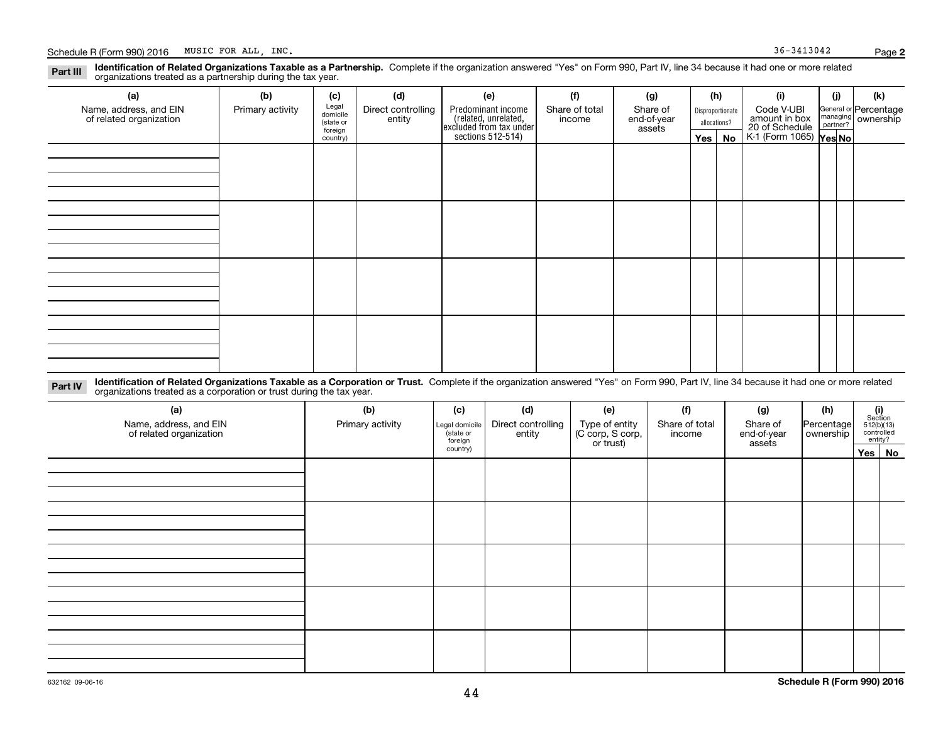**(a)**

| والمستقلص والتقارف والمستحدث والمسال |  |
|--------------------------------------|--|

**Part III**

**Identification of Related Organizations Taxable as a Corporation or Trust.** Complete if the organization answered "Yes" on Form 990, Part IV, line 34 because it had one or more related **Part IV** organizations treated as a corporation or trust during the tax year.

| (a)<br>Name, address, and EIN<br>of related organization | (b)<br>Primary activity | (c)<br>Legal domicile<br>(state or<br>foreign<br>country) | (d)<br>Direct controlling<br>entity | (e)<br>Type of entity<br>(C corp, S corp,<br>or trust) | (f)<br>Share of total<br>income | (g)<br>Share of<br>end-of-year<br>assets | (h)<br>Percentage<br>ownership | $\begin{array}{c} \textbf{(i)}\\ \text{Section}\\ 512 \text{(b)} \text{(13)}\\ \text{controlled}\end{array}$<br>entity? |
|----------------------------------------------------------|-------------------------|-----------------------------------------------------------|-------------------------------------|--------------------------------------------------------|---------------------------------|------------------------------------------|--------------------------------|-------------------------------------------------------------------------------------------------------------------------|
|                                                          |                         |                                                           |                                     |                                                        |                                 |                                          |                                | Yes No                                                                                                                  |
|                                                          |                         |                                                           |                                     |                                                        |                                 |                                          |                                |                                                                                                                         |
|                                                          |                         |                                                           |                                     |                                                        |                                 |                                          |                                |                                                                                                                         |
|                                                          |                         |                                                           |                                     |                                                        |                                 |                                          |                                |                                                                                                                         |
|                                                          |                         |                                                           |                                     |                                                        |                                 |                                          |                                |                                                                                                                         |

**2**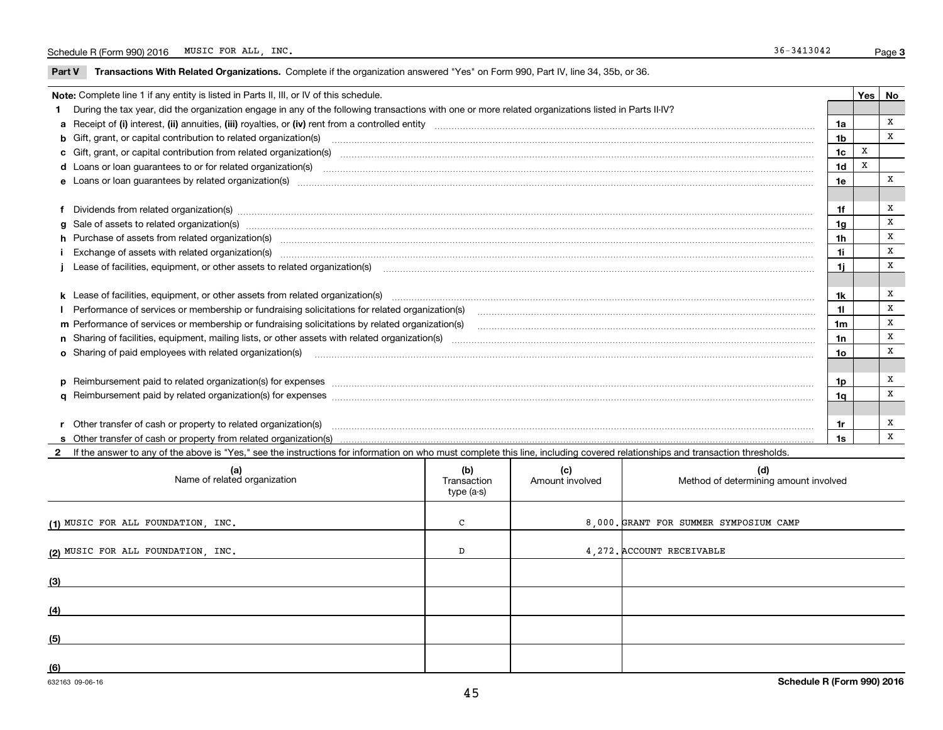$\overline{\phantom{0}}$ 

**Part V** T**ransactions With Related Organizations.** Complete if the organization answered "Yes" on Form 990, Part IV, line 34, 35b, or 36.

| Note: Complete line 1 if any entity is listed in Parts II, III, or IV of this schedule. |                                                                                                                                                                                                                                |                 |   |   |  |
|-----------------------------------------------------------------------------------------|--------------------------------------------------------------------------------------------------------------------------------------------------------------------------------------------------------------------------------|-----------------|---|---|--|
|                                                                                         | During the tax year, did the organization engage in any of the following transactions with one or more related organizations listed in Parts II-IV?                                                                            |                 |   |   |  |
|                                                                                         |                                                                                                                                                                                                                                | 1a              |   | x |  |
|                                                                                         | b Gift, grant, or capital contribution to related organization(s) manufactured content and contribution to related organization(s)                                                                                             | 1 <sub>b</sub>  |   | x |  |
|                                                                                         | c Gift, grant, or capital contribution from related organization(s)                                                                                                                                                            | 1 <sub>c</sub>  | X |   |  |
|                                                                                         | <b>d</b> Loans or loan quarantees to or for related organization(s)                                                                                                                                                            | 1 <sub>d</sub>  | X |   |  |
|                                                                                         |                                                                                                                                                                                                                                | 1e              |   | x |  |
|                                                                                         |                                                                                                                                                                                                                                |                 |   |   |  |
|                                                                                         | f Dividends from related organization(s) manufactured contains and contained a series of the contact of the contact of the contact of the contact of the contact of the contact of the contact of the contact of the contact o | 1f              |   | X |  |
|                                                                                         | g Sale of assets to related organization(s) www.assettion.com/www.assettion.com/www.assettion.com/www.assettion.com/www.assettion.com/www.assettion.com/www.assettion.com/www.assettion.com/www.assettion.com/www.assettion.co | 1 <sub>g</sub>  |   | X |  |
|                                                                                         | h Purchase of assets from related organization(s) www.assettion.com/www.assettion.com/www.assettion.com/www.assettion.com/www.assettion.com/www.assettion.com/www.assettion.com/www.assettion.com/www.assettion.com/www.assett | 1 <sub>h</sub>  |   | X |  |
|                                                                                         | Exchange of assets with related organization(s) www.array.com/www.array.com/www.array.com/www.array.com/www.array.com/www.array.com/www.array.com/www.array.com/www.array.com/www.array.com/www.array.com/www.array.com/www.ar | 1i              |   | X |  |
|                                                                                         |                                                                                                                                                                                                                                | 1i              |   | X |  |
|                                                                                         |                                                                                                                                                                                                                                |                 |   |   |  |
|                                                                                         |                                                                                                                                                                                                                                | 1k              |   | х |  |
|                                                                                         | I Performance of services or membership or fundraising solicitations for related organization(s)                                                                                                                               | 11              |   | X |  |
|                                                                                         | m Performance of services or membership or fundraising solicitations by related organization(s)                                                                                                                                | 1m              |   | X |  |
|                                                                                         |                                                                                                                                                                                                                                | 1n              |   | X |  |
|                                                                                         | o Sharing of paid employees with related organization(s) manufactured and content to the content of the content of the content of the content of the content of the content of the content of the content of the content of th | 10 <sub>o</sub> |   | X |  |
|                                                                                         |                                                                                                                                                                                                                                |                 |   |   |  |
|                                                                                         | p Reimbursement paid to related organization(s) for expenses [1111] and the content of the content of the content of the content of the content of the content of the content of the content of the content of the content of  | 1p              |   | x |  |
|                                                                                         |                                                                                                                                                                                                                                | 1q              |   | x |  |
|                                                                                         |                                                                                                                                                                                                                                |                 |   |   |  |
|                                                                                         | r Other transfer of cash or property to related organization(s)                                                                                                                                                                | 1r              |   | х |  |
|                                                                                         |                                                                                                                                                                                                                                | 1s              |   | x |  |

**2**If the answer to any of the above is "Yes," see the instructions for information on who must complete this line, including covered relationships and transaction thresholds.

| (a)<br>Name of related organization | (b)<br>Transaction<br>type (a-s) | (c)<br>Amount involved | (d)<br>Method of determining amount involved |
|-------------------------------------|----------------------------------|------------------------|----------------------------------------------|
| (1) MUSIC FOR ALL FOUNDATION, INC.  | C                                |                        | 8,000. GRANT FOR SUMMER SYMPOSIUM CAMP       |
| (2) MUSIC FOR ALL FOUNDATION, INC.  | D                                |                        | 4, 272. ACCOUNT RECEIVABLE                   |
| (3)                                 |                                  |                        |                                              |
| (4)                                 |                                  |                        |                                              |
| (5)                                 |                                  |                        |                                              |
| (6)                                 |                                  |                        |                                              |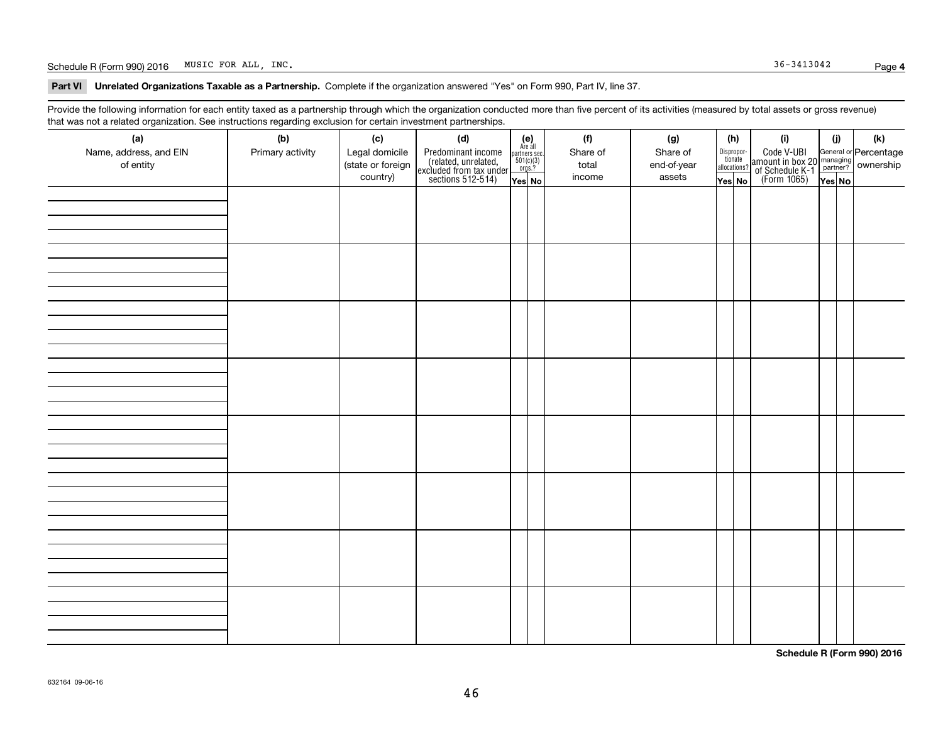#### Schedule R (Form 990) 2016 Page MUSIC FOR ALL, INC. 36-3413042

**Part VI Unrelated Organizations Taxable as a Partnership. Complete if the organization answered "Yes" on Form 990, Part IV, line 37.** 

Provide the following information for each entity taxed as a partnership through which the organization conducted more than five percent of its activities (measured by total assets or gross revenue) that was not a related organization. See instructions regarding exclusion for certain investment partnerships.

| (a)<br>Name, address, and EIN<br>of entity | (b)<br>Primary activity | (c)<br>Legal domicile<br>(state or foreign<br>country) | (d)<br>Predominant income<br>(related, unrelated,<br>excluded from tax under<br>sections 512-514) | $\begin{array}{c} \textbf{(e)}\\ \text{Are all} \\ \text{partners sec.}\\ 501(c)(3)\\ \text{orgs.?} \end{array}$<br>$Yes$ No | (f)<br>Share of<br>total<br>income | (g)<br>Share of<br>end-of-year<br>assets | (h)<br>Dispropor-<br>tionate<br>allocations?<br>Yes No | (i)<br>Code V-UBI<br>amount in box 20 managing<br>of Schedule K-1 partner? ownership<br>(Form 1065)<br>ves No | (i)<br>Yes No | (k) |
|--------------------------------------------|-------------------------|--------------------------------------------------------|---------------------------------------------------------------------------------------------------|------------------------------------------------------------------------------------------------------------------------------|------------------------------------|------------------------------------------|--------------------------------------------------------|---------------------------------------------------------------------------------------------------------------|---------------|-----|
|                                            |                         |                                                        |                                                                                                   |                                                                                                                              |                                    |                                          |                                                        |                                                                                                               |               |     |
|                                            |                         |                                                        |                                                                                                   |                                                                                                                              |                                    |                                          |                                                        |                                                                                                               |               |     |
|                                            |                         |                                                        |                                                                                                   |                                                                                                                              |                                    |                                          |                                                        |                                                                                                               |               |     |
|                                            |                         |                                                        |                                                                                                   |                                                                                                                              |                                    |                                          |                                                        |                                                                                                               |               |     |
|                                            |                         |                                                        |                                                                                                   |                                                                                                                              |                                    |                                          |                                                        |                                                                                                               |               |     |
|                                            |                         |                                                        |                                                                                                   |                                                                                                                              |                                    |                                          |                                                        |                                                                                                               |               |     |
|                                            |                         |                                                        |                                                                                                   |                                                                                                                              |                                    |                                          |                                                        |                                                                                                               |               |     |
|                                            |                         |                                                        |                                                                                                   |                                                                                                                              |                                    |                                          |                                                        |                                                                                                               |               |     |

**Schedule R (Form 990) 2016**